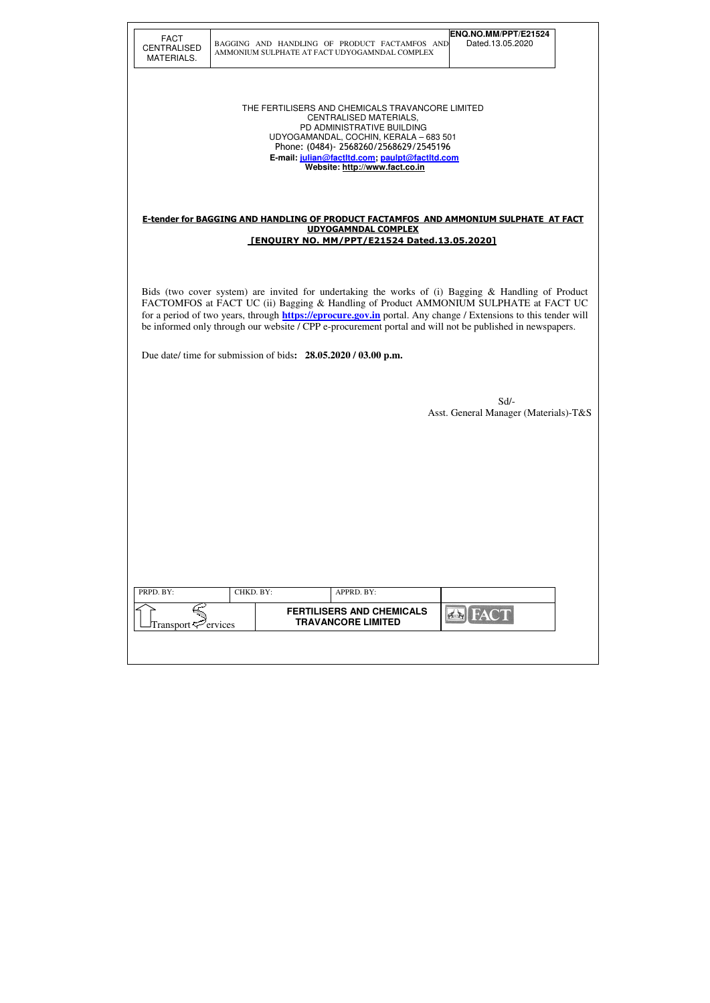| <b>FACT</b><br><b>CENTRALISED</b> | BAGGING AND HANDLING OF PRODUCT FACTAMFOS AND                                                                                                                                                                                                                                                                                                                                                                                   | ENQ.NO.MM/PPT/E21524<br>Dated.13.05.2020      |
|-----------------------------------|---------------------------------------------------------------------------------------------------------------------------------------------------------------------------------------------------------------------------------------------------------------------------------------------------------------------------------------------------------------------------------------------------------------------------------|-----------------------------------------------|
| MATERIALS.                        | AMMONIUM SULPHATE AT FACT UDYOGAMNDAL COMPLEX                                                                                                                                                                                                                                                                                                                                                                                   |                                               |
|                                   | THE FERTILISERS AND CHEMICALS TRAVANCORE LIMITED<br><b>CENTRALISED MATERIALS,</b><br>PD ADMINISTRATIVE BUILDING<br>UDYOGAMANDAL, COCHIN, KERALA - 683 501<br>Phone: (0484)-2568260/2568629/2545196<br>E-mail: julian@factItd.com, paulpt@factItd.com<br>Website: http://www.fact.co.in                                                                                                                                          |                                               |
|                                   | E-tender for BAGGING AND HANDLING OF PRODUCT FACTAMFOS AND AMMONIUM SULPHATE AT FACT<br><b>UDYOGAMNDAL COMPLEX</b><br><b>FENOUIRY NO. MM/PPT/E21524 Dated.13.05.20201</b>                                                                                                                                                                                                                                                       |                                               |
|                                   | Bids (two cover system) are invited for undertaking the works of (i) Bagging & Handling of Product<br>FACTOMFOS at FACT UC (ii) Bagging & Handling of Product AMMONIUM SULPHATE at FACT UC<br>for a period of two years, through <b>https://eprocure.gov.in</b> portal. Any change / Extensions to this tender will<br>be informed only through our website / CPP e-procurement portal and will not be published in newspapers. |                                               |
|                                   | Due date/ time for submission of bids: 28.05.2020 / 03.00 p.m.                                                                                                                                                                                                                                                                                                                                                                  |                                               |
|                                   |                                                                                                                                                                                                                                                                                                                                                                                                                                 | Sd/-<br>Asst. General Manager (Materials)-T&S |
|                                   |                                                                                                                                                                                                                                                                                                                                                                                                                                 |                                               |
|                                   |                                                                                                                                                                                                                                                                                                                                                                                                                                 |                                               |
|                                   |                                                                                                                                                                                                                                                                                                                                                                                                                                 |                                               |
|                                   |                                                                                                                                                                                                                                                                                                                                                                                                                                 |                                               |
|                                   |                                                                                                                                                                                                                                                                                                                                                                                                                                 |                                               |
|                                   |                                                                                                                                                                                                                                                                                                                                                                                                                                 |                                               |
| PRPD. BY:                         | CHKD. BY:<br>APPRD. BY:<br><b>FERTILISERS AND CHEMICALS</b>                                                                                                                                                                                                                                                                                                                                                                     |                                               |
| Transport <sup>2</sup> ervices    | <b>TRAVANCORE LIMITED</b>                                                                                                                                                                                                                                                                                                                                                                                                       | <b>FACT</b><br>$7 - 1$                        |
|                                   |                                                                                                                                                                                                                                                                                                                                                                                                                                 |                                               |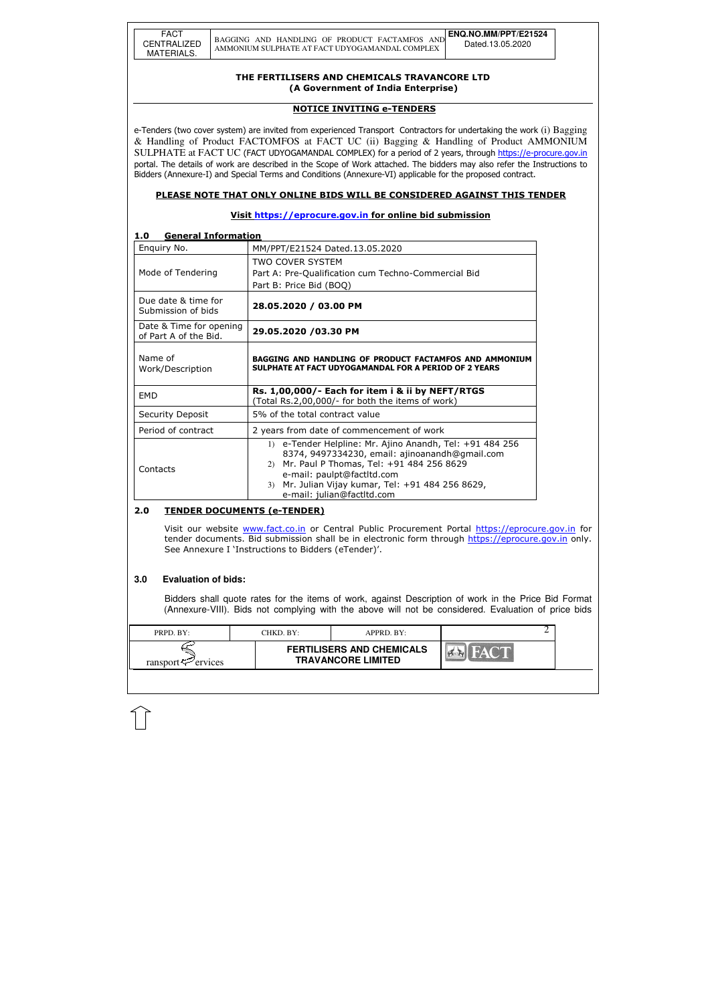| PRPD. BY:               | CHKD. BY: | APPRD. BY:                                                    |  |  |
|-------------------------|-----------|---------------------------------------------------------------|--|--|
| ransport $\leq$ ervices |           | <b>FERTILISERS AND CHEMICALS</b><br><b>TRAVANCORE LIMITED</b> |  |  |

#### THE FERTILISERS AND CHEMICALS TRAVANCORE LTD (A Government of India Enterprise)

#### NOTICE INVITING e-TENDERS

e-Tenders (two cover system) are invited from experienced Transport Contractors for undertaking the work (i) Bagging & Handling of Product FACTOMFOS at FACT UC (ii) Bagging & Handling of Product AMMONIUM SULPHATE at FACT UC (FACT UDYOGAMANDAL COMPLEX) for a period of 2 years, through https://e-procure.gov.in portal. The details of work are described in the Scope of Work attached. The bidders may also refer the Instructions to Bidders (Annexure-I) and Special Terms and Conditions (Annexure-VI) applicable for the proposed contract.

### PLEASE NOTE THAT ONLY ONLINE BIDS WILL BE CONSIDERED AGAINST THIS TENDER

### Visit https://eprocure.gov.in for online bid submission

### 1.0 General Information

Visit our website www.fact.co.in or Central Public Procurement Portal https://eprocure.gov.in for tender documents. Bid submission shall be in electronic form through https://eprocure.gov.in only. See Annexure I 'Instructions to Bidders (eTender)'.

| Enquiry No.                                      | MM/PPT/E21524 Dated.13.05.2020                                                                                         |
|--------------------------------------------------|------------------------------------------------------------------------------------------------------------------------|
| Mode of Tendering                                | <b>TWO COVER SYSTEM</b><br>Part A: Pre-Qualification cum Techno-Commercial Bid<br>Part B: Price Bid (BOQ)              |
| Due date & time for<br>Submission of bids        | 28.05.2020 / 03.00 PM                                                                                                  |
| Date & Time for opening<br>of Part A of the Bid. | 29.05.2020 /03.30 PM                                                                                                   |
| Name of                                          |                                                                                                                        |
| Work/Description                                 | <b>BAGGING AND HANDLING OF PRODUCT FACTAMFOS AND AMMONIUM</b><br>SULPHATE AT FACT UDYOGAMANDAL FOR A PERIOD OF 2 YEARS |
| <b>EMD</b>                                       | Rs. 1,00,000/- Each for item i & ii by NEFT/RTGS<br>(Total Rs.2,00,000/- for both the items of work)                   |
| <b>Security Deposit</b>                          | 5% of the total contract value                                                                                         |
| Period of contract                               | 2 years from date of commencement of work                                                                              |

#### 2.0 TENDER DOCUMENTS (e-TENDER)

#### **3.0 Evaluation of bids:**

Bidders shall quote rates for the items of work, against Description of work in the Price Bid Format (Annexure-VIII). Bids not complying with the above will not be considered. Evaluation of price bids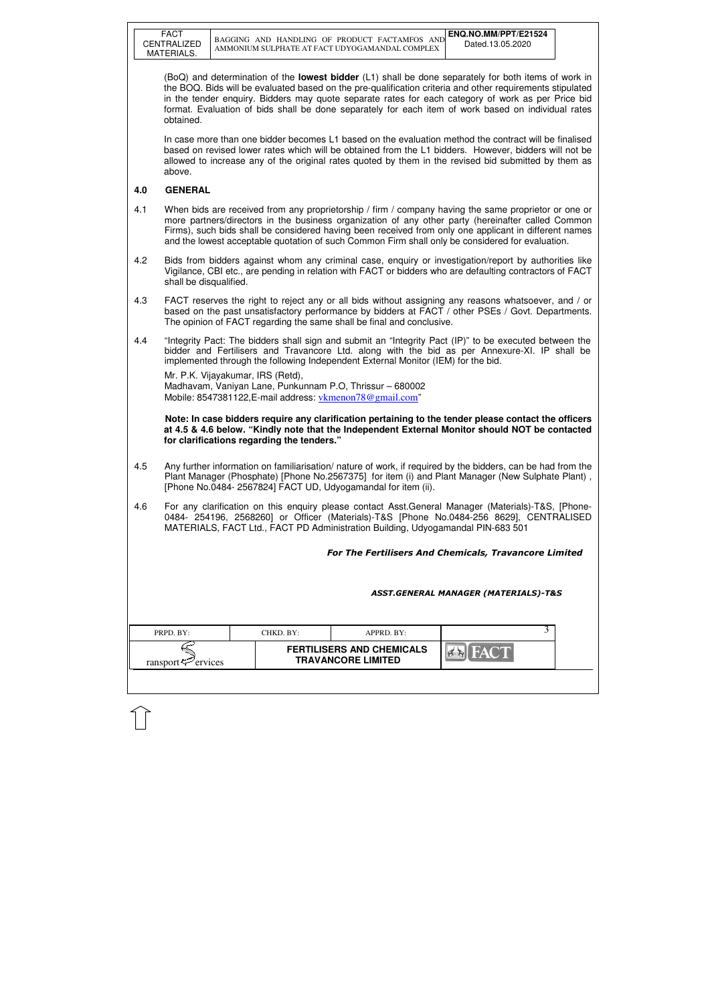| FACT        |
|-------------|
| CENTRALIZED |
| MATERIALS.  |

| PRPD. BY:               | CHKD. BY:- | APPRD. BY:                                                    |  |
|-------------------------|------------|---------------------------------------------------------------|--|
| ransport $\sim$ ervices |            | <b>FERTILISERS AND CHEMICALS</b><br><b>TRAVANCORE LIMITED</b> |  |

(BoQ) and determination of the **lowest bidder** (L1) shall be done separately for both items of work in the BOQ. Bids will be evaluated based on the pre-qualification criteria and other requirements stipulated in the tender enquiry. Bidders may quote separate rates for each category of work as per Price bid format. Evaluation of bids shall be done separately for each item of work based on individual rates obtained.

 In case more than one bidder becomes L1 based on the evaluation method the contract will be finalised based on revised lower rates which will be obtained from the L1 bidders. However, bidders will not be allowed to increase any of the original rates quoted by them in the revised bid submitted by them as above.

### **4.0 GENERAL**

Mr. P.K. Vijayakumar, IRS (Retd), Madhavam, Vaniyan Lane, Punkunnam P.O, Thrissur – 680002 Mobile: 8547381122, E-mail address: vkmenon 78@gmail.com"

- 4.1 When bids are received from any proprietorship / firm / company having the same proprietor or one or more partners/directors in the business organization of any other party (hereinafter called Common Firms), such bids shall be considered having been received from only one applicant in different names and the lowest acceptable quotation of such Common Firm shall only be considered for evaluation.
- 4.2 Bids from bidders against whom any criminal case, enquiry or investigation/report by authorities like Vigilance, CBI etc., are pending in relation with FACT or bidders who are defaulting contractors of FACT shall be disqualified.
- 4.3 FACT reserves the right to reject any or all bids without assigning any reasons whatsoever, and / or based on the past unsatisfactory performance by bidders at FACT / other PSEs / Govt. Departments. The opinion of FACT regarding the same shall be final and conclusive.
- 4.4 "Integrity Pact: The bidders shall sign and submit an "Integrity Pact (IP)" to be executed between the bidder and Fertilisers and Travancore Ltd. along with the bid as per Annexure-XI. IP shall be implemented through the following Independent External Monitor (IEM) for the bid.

 **Note: In case bidders require any clarification pertaining to the tender please contact the officers at 4.5 & 4.6 below. "Kindly note that the Independent External Monitor should NOT be contacted for clarifications regarding the tenders."**

- 4.5 Any further information on familiarisation/ nature of work, if required by the bidders, can be had from the Plant Manager (Phosphate) [Phone No.2567375] for item (i) and Plant Manager (New Sulphate Plant) , [Phone No.0484- 2567824] FACT UD, Udyogamandal for item (ii).
- 4.6 For any clarification on this enquiry please contact Asst.General Manager (Materials)-T&S, [Phone-0484- 254196, 2568260] or Officer (Materials)-T&S [Phone No.0484-256 8629], CENTRALISED MATERIALS, FACT Ltd., FACT PD Administration Building, Udyogamandal PIN-683 501

For The Fertilisers And Chemicals, Travancore Limited

ASST.GENERAL MANAGER (MATERIALS)-T&S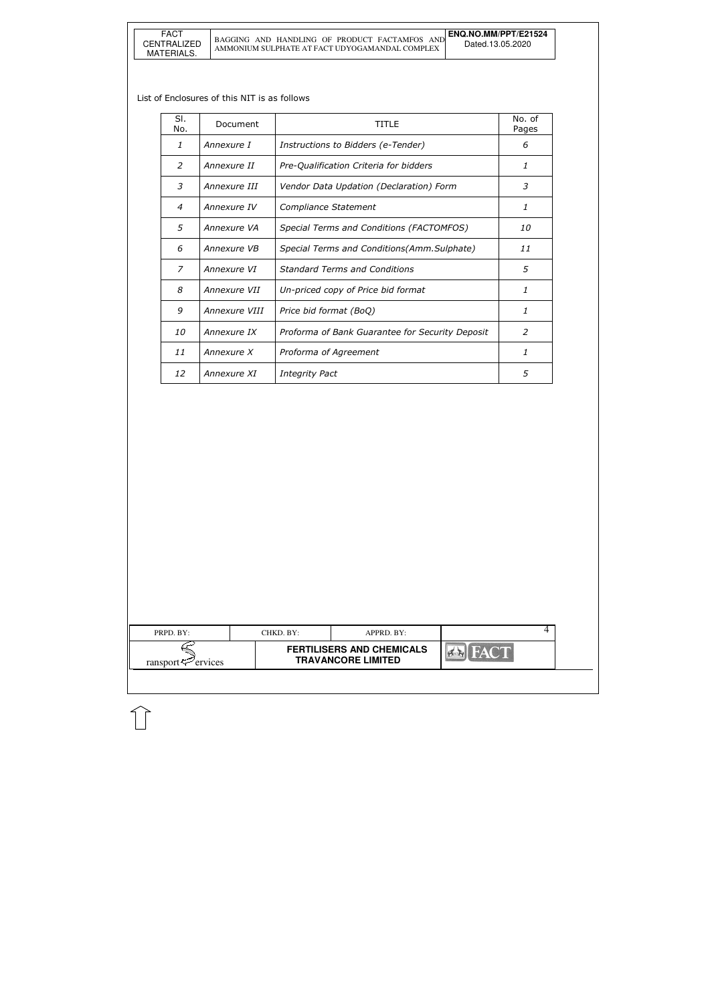| PRPD. BY:                  | CHKD. BY: | APPRD. BY:                                                    |  | 4 |
|----------------------------|-----------|---------------------------------------------------------------|--|---|
| ransport $\approx$ ervices |           | <b>FERTILISERS AND CHEMICALS</b><br><b>TRAVANCORE LIMITED</b> |  |   |
|                            |           |                                                               |  |   |

#### List of Enclosures of this NIT is as follows

| SI.<br>No.     | Document      | TITI F                                          | No. of<br>Pages |
|----------------|---------------|-------------------------------------------------|-----------------|
| 1              | Annexure I    | Instructions to Bidders (e-Tender)              | 6               |
| 2              | Annexure II   | Pre-Qualification Criteria for bidders          | 1               |
| 3              | Annexure III  | Vendor Data Updation (Declaration) Form         | 3               |
| $\overline{4}$ | Annexure IV   | Compliance Statement                            | 1               |
| 5              | Annexure VA   | Special Terms and Conditions (FACTOMFOS)        | <i>10</i>       |
| 6              | Annexure VB   | Special Terms and Conditions(Amm.Sulphate)      | 11              |
| 7              | Annexure VI   | <b>Standard Terms and Conditions</b>            | 5               |
| 8              | Annexure VII  | Un-priced copy of Price bid format              | 1               |
| 9              | Annexure VIII | Price bid format (BoQ)                          | 1               |
| 10             | Annexure IX   | Proforma of Bank Guarantee for Security Deposit | $\mathcal{P}$   |
| 11             | Annexure X    | Proforma of Agreement                           | 1               |
| 12             | Annexure XI   | <b>Integrity Pact</b>                           | 5               |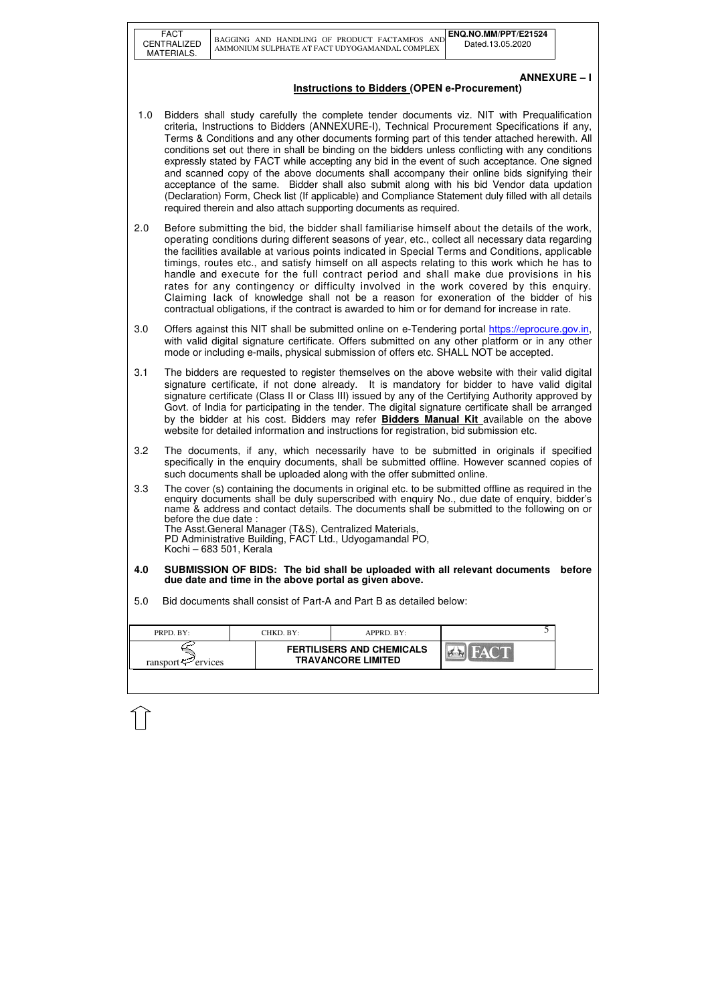| FACT        |
|-------------|
| CENTRALIZED |
| MATERIALS.  |

| <b>FERTILISERS AND CHEMICALS</b>                        | PRPD. BY: | CHKD. BY: | $APPRD$ . $BY:$ |  |
|---------------------------------------------------------|-----------|-----------|-----------------|--|
| <b>TRAVANCORE LIMITED</b><br>ransport $\approx$ ervices |           |           |                 |  |

## **ANNEXURE – I**

# **Instructions to Bidders (OPEN e-Procurement)**

- 1.0 Bidders shall study carefully the complete tender documents viz. NIT with Prequalification criteria, Instructions to Bidders (ANNEXURE-I), Technical Procurement Specifications if any, Terms & Conditions and any other documents forming part of this tender attached herewith. All conditions set out there in shall be binding on the bidders unless conflicting with any conditions expressly stated by FACT while accepting any bid in the event of such acceptance. One signed and scanned copy of the above documents shall accompany their online bids signifying their acceptance of the same. Bidder shall also submit along with his bid Vendor data updation (Declaration) Form, Check list (If applicable) and Compliance Statement duly filled with all details required therein and also attach supporting documents as required.
- 2.0 Before submitting the bid, the bidder shall familiarise himself about the details of the work, operating conditions during different seasons of year, etc., collect all necessary data regarding the facilities available at various points indicated in Special Terms and Conditions, applicable timings, routes etc., and satisfy himself on all aspects relating to this work which he has to handle and execute for the full contract period and shall make due provisions in his rates for any contingency or difficulty involved in the work covered by this enquiry. Claiming lack of knowledge shall not be a reason for exoneration of the bidder of his contractual obligations, if the contract is awarded to him or for demand for increase in rate.
- 3.0 Offers against this NIT shall be submitted online on e-Tendering portal https://eprocure.gov.in, with valid digital signature certificate. Offers submitted on any other platform or in any other mode or including e-mails, physical submission of offers etc. SHALL NOT be accepted.
- 3.1 The bidders are requested to register themselves on the above website with their valid digital signature certificate, if not done already. It is mandatory for bidder to have valid digital signature certificate (Class II or Class III) issued by any of the Certifying Authority approved by Govt. of India for participating in the tender. The digital signature certificate shall be arranged by the bidder at his cost. Bidders may refer **Bidders Manual Kit** available on the above website for detailed information and instructions for registration, bid submission etc.
- 3.2 The documents, if any, which necessarily have to be submitted in originals if specified specifically in the enquiry documents, shall be submitted offline. However scanned copies of such documents shall be uploaded along with the offer submitted online.
- 3.3 The cover (s) containing the documents in original etc. to be submitted offline as required in the enquiry documents shall be duly superscribed with enquiry No., due date of enquiry, bidder's name & address and contact details. The documents shall be submitted to the following on or before the due date :

The Asst.General Manager (T&S), Centralized Materials, PD Administrative Building, FACT Ltd., Udyogamandal PO, Kochi – 683 501, Kerala

- **4.0 SUBMISSION OF BIDS: The bid shall be uploaded with all relevant documents before due date and time in the above portal as given above.**
- 5.0 Bid documents shall consist of Part-A and Part B as detailed below: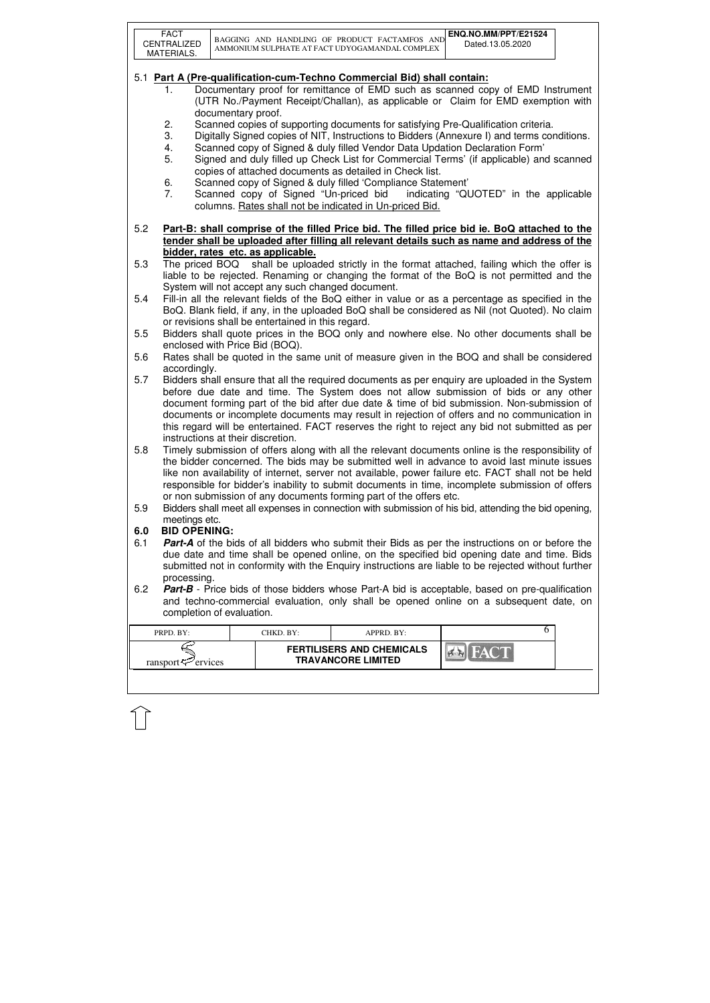|     | <b>FACT</b><br>CENTRALIZED<br>MATERIALS. |                    |                                                   | BAGGING AND HANDLING OF PRODUCT FACTAMFOS AND<br>AMMONIUM SULPHATE AT FACT UDYOGAMANDAL COMPLEX | ENQ.NO.MM/PPT/E21524<br>Dated.13.05.2020                                                                                                                                                             |  |
|-----|------------------------------------------|--------------------|---------------------------------------------------|-------------------------------------------------------------------------------------------------|------------------------------------------------------------------------------------------------------------------------------------------------------------------------------------------------------|--|
|     |                                          |                    |                                                   |                                                                                                 |                                                                                                                                                                                                      |  |
|     |                                          |                    |                                                   | 5.1 Part A (Pre-qualification-cum-Techno Commercial Bid) shall contain:                         |                                                                                                                                                                                                      |  |
|     | 1.                                       |                    |                                                   |                                                                                                 | Documentary proof for remittance of EMD such as scanned copy of EMD Instrument<br>(UTR No./Payment Receipt/Challan), as applicable or Claim for EMD exemption with                                   |  |
|     |                                          | documentary proof. |                                                   |                                                                                                 |                                                                                                                                                                                                      |  |
|     | 2.                                       |                    |                                                   |                                                                                                 | Scanned copies of supporting documents for satisfying Pre-Qualification criteria.                                                                                                                    |  |
|     | 3.                                       |                    |                                                   |                                                                                                 | Digitally Signed copies of NIT, Instructions to Bidders (Annexure I) and terms conditions.                                                                                                           |  |
|     | 4.                                       |                    |                                                   | Scanned copy of Signed & duly filled Vendor Data Updation Declaration Form'                     |                                                                                                                                                                                                      |  |
|     | 5.                                       |                    |                                                   |                                                                                                 | Signed and duly filled up Check List for Commercial Terms' (if applicable) and scanned                                                                                                               |  |
|     |                                          |                    |                                                   | copies of attached documents as detailed in Check list.                                         |                                                                                                                                                                                                      |  |
|     | 6.                                       |                    |                                                   | Scanned copy of Signed & duly filled 'Compliance Statement'                                     |                                                                                                                                                                                                      |  |
|     | 7.                                       |                    |                                                   | columns. Rates shall not be indicated in Un-priced Bid.                                         | Scanned copy of Signed "Un-priced bid indicating "QUOTED" in the applicable                                                                                                                          |  |
|     |                                          |                    |                                                   |                                                                                                 |                                                                                                                                                                                                      |  |
| 5.2 |                                          |                    |                                                   |                                                                                                 | Part-B: shall comprise of the filled Price bid. The filled price bid ie. BoQ attached to the                                                                                                         |  |
|     |                                          |                    |                                                   |                                                                                                 | tender shall be uploaded after filling all relevant details such as name and address of the                                                                                                          |  |
|     |                                          |                    | bidder, rates etc. as applicable.                 |                                                                                                 |                                                                                                                                                                                                      |  |
| 5.3 |                                          |                    |                                                   |                                                                                                 | The priced BOQ shall be uploaded strictly in the format attached, failing which the offer is                                                                                                         |  |
|     |                                          |                    |                                                   |                                                                                                 | liable to be rejected. Renaming or changing the format of the BoQ is not permitted and the                                                                                                           |  |
| 5.4 |                                          |                    | System will not accept any such changed document. |                                                                                                 |                                                                                                                                                                                                      |  |
|     |                                          |                    |                                                   |                                                                                                 | Fill-in all the relevant fields of the BoQ either in value or as a percentage as specified in the<br>BoQ. Blank field, if any, in the uploaded BoQ shall be considered as Nil (not Quoted). No claim |  |
|     |                                          |                    | or revisions shall be entertained in this regard. |                                                                                                 |                                                                                                                                                                                                      |  |
| 5.5 |                                          |                    |                                                   |                                                                                                 | Bidders shall quote prices in the BOQ only and nowhere else. No other documents shall be                                                                                                             |  |
|     |                                          |                    | enclosed with Price Bid (BOQ).                    |                                                                                                 |                                                                                                                                                                                                      |  |
| 5.6 |                                          |                    |                                                   |                                                                                                 | Rates shall be quoted in the same unit of measure given in the BOQ and shall be considered                                                                                                           |  |
|     | accordingly.                             |                    |                                                   |                                                                                                 |                                                                                                                                                                                                      |  |
| 5.7 |                                          |                    |                                                   |                                                                                                 | Bidders shall ensure that all the required documents as per enquiry are uploaded in the System                                                                                                       |  |
|     |                                          |                    |                                                   |                                                                                                 | before due date and time. The System does not allow submission of bids or any other                                                                                                                  |  |
|     |                                          |                    |                                                   |                                                                                                 | document forming part of the bid after due date & time of bid submission. Non-submission of                                                                                                          |  |
|     |                                          |                    |                                                   |                                                                                                 | documents or incomplete documents may result in rejection of offers and no communication in<br>this regard will be entertained. FACT reserves the right to reject any bid not submitted as per       |  |
|     | instructions at their discretion.        |                    |                                                   |                                                                                                 |                                                                                                                                                                                                      |  |
| 5.8 |                                          |                    |                                                   |                                                                                                 | Timely submission of offers along with all the relevant documents online is the responsibility of                                                                                                    |  |
|     |                                          |                    |                                                   |                                                                                                 | the bidder concerned. The bids may be submitted well in advance to avoid last minute issues                                                                                                          |  |
|     |                                          |                    |                                                   |                                                                                                 | like non availability of internet, server not available, power failure etc. FACT shall not be held                                                                                                   |  |
|     |                                          |                    |                                                   |                                                                                                 | responsible for bidder's inability to submit documents in time, incomplete submission of offers                                                                                                      |  |
|     |                                          |                    |                                                   | or non submission of any documents forming part of the offers etc.                              |                                                                                                                                                                                                      |  |
| 5.9 |                                          |                    |                                                   |                                                                                                 | Bidders shall meet all expenses in connection with submission of his bid, attending the bid opening,                                                                                                 |  |
| 6.0 | meetings etc.<br><b>BID OPENING:</b>     |                    |                                                   |                                                                                                 |                                                                                                                                                                                                      |  |
| 6.1 |                                          |                    |                                                   |                                                                                                 | <b>Part-A</b> of the bids of all bidders who submit their Bids as per the instructions on or before the                                                                                              |  |
|     |                                          |                    |                                                   |                                                                                                 | due date and time shall be opened online, on the specified bid opening date and time. Bids                                                                                                           |  |
|     |                                          |                    |                                                   |                                                                                                 | submitted not in conformity with the Enquiry instructions are liable to be rejected without further                                                                                                  |  |
|     | processing.                              |                    |                                                   |                                                                                                 |                                                                                                                                                                                                      |  |
| 6.2 |                                          |                    |                                                   |                                                                                                 | Part-B - Price bids of those bidders whose Part-A bid is acceptable, based on pre-qualification                                                                                                      |  |
|     |                                          |                    |                                                   |                                                                                                 | and techno-commercial evaluation, only shall be opened online on a subsequent date, on                                                                                                               |  |
|     | completion of evaluation.                |                    |                                                   |                                                                                                 |                                                                                                                                                                                                      |  |
|     | PRPD. BY:                                |                    | CHKD. BY:                                         | APPRD. BY:                                                                                      | 6                                                                                                                                                                                                    |  |
|     |                                          |                    |                                                   | <b>FERTILISERS AND CHEMICALS</b>                                                                |                                                                                                                                                                                                      |  |
|     | ransport $\mathcal{F}$ ervices           |                    |                                                   | <b>TRAVANCORE LIMITED</b>                                                                       |                                                                                                                                                                                                      |  |
|     |                                          |                    |                                                   |                                                                                                 |                                                                                                                                                                                                      |  |
|     |                                          |                    |                                                   |                                                                                                 |                                                                                                                                                                                                      |  |

イト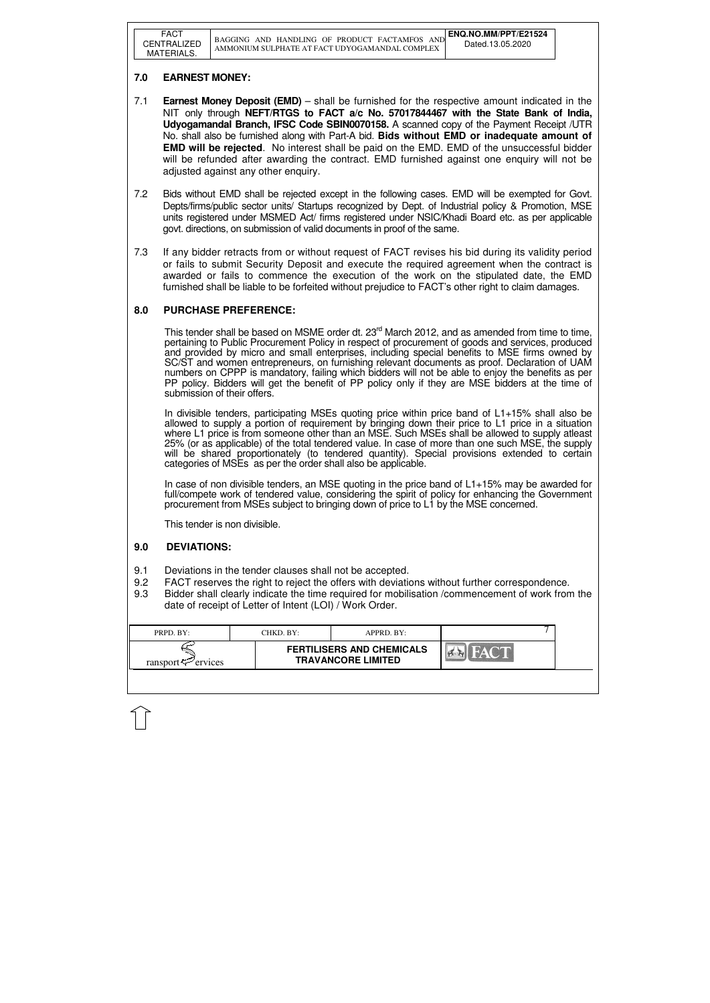| <b>FACT</b><br><b>CENTRALIZED</b><br>MATERIALS. | BAGGING AND HANDLING OF PRODUCT FACTAMFOS<br>AMMONIUM SULPHATE AT FACT UDYOGAMANDAL COMPLEX | ENQ.NO.MM/PPT/E21524<br>Dated.13.05.2020 |
|-------------------------------------------------|---------------------------------------------------------------------------------------------|------------------------------------------|
|                                                 |                                                                                             |                                          |

| PRPD. BY:               | CHKD. BY: | APPRD. BY:                                                    |  |
|-------------------------|-----------|---------------------------------------------------------------|--|
| ransport $\leq$ ervices |           | <b>FERTILISERS AND CHEMICALS</b><br><b>TRAVANCORE LIMITED</b> |  |

# **7.0 EARNEST MONEY:**

- 7.1 **Earnest Money Deposit (EMD)** shall be furnished for the respective amount indicated in the NIT only through **NEFT/RTGS to FACT a/c No. 57017844467 with the State Bank of India, Udyogamandal Branch, IFSC Code SBIN0070158.** A scanned copy of the Payment Receipt /UTR No. shall also be furnished along with Part-A bid. **Bids without EMD or inadequate amount of EMD will be rejected**. No interest shall be paid on the EMD. EMD of the unsuccessful bidder will be refunded after awarding the contract. EMD furnished against one enquiry will not be adjusted against any other enquiry.
- 7.2 Bids without EMD shall be rejected except in the following cases. EMD will be exempted for Govt. Depts/firms/public sector units/ Startups recognized by Dept. of Industrial policy & Promotion, MSE units registered under MSMED Act/ firms registered under NSIC/Khadi Board etc. as per applicable govt. directions, on submission of valid documents in proof of the same.
- 7.3 If any bidder retracts from or without request of FACT revises his bid during its validity period or fails to submit Security Deposit and execute the required agreement when the contract is awarded or fails to commence the execution of the work on the stipulated date, the EMD furnished shall be liable to be forfeited without prejudice to FACT's other right to claim damages.

This tender shall be based on MSME order dt. 23<sup>rd</sup> March 2012, and as amended from time to time, pertaining to Public Procurement Policy in respect of procurement of goods and services, produced and provided by micro and small enterprises, including special benefits to MSE firms owned by SC/ST and women entrepreneurs, on furnishing relevant documents as proof. Declaration of UAM numbers on CPPP is mandatory, failing which bidders will not be able to enjoy the benefits as per PP policy. Bidders will get the benefit of PP policy only if they are MSE bidders at the time of submission of their offers.

In case of non divisible tenders, an MSE quoting in the price band of L1+15% may be awarded for full/compete work of tendered value, considering the spirit of policy for enhancing the Government procurement from MSEs subject to bringing down of price to L1 by the MSE concerned.

# **8.0 PURCHASE PREFERENCE:**

In divisible tenders, participating MSEs quoting price within price band of L1+15% shall also be allowed to supply a portion of requirement by bringing down their price to L1 price in a situation where L1 price is from someone other than an MSE. Such MSEs shall be allowed to supply atleast 25% (or as applicable) of the total tendered value. In case of more than one such MSE, the supply will be shared proportionately (to tendered quantity). Special provisions extended to certain categories of MSEs as per the order shall also be applicable.

This tender is non divisible.

### **9.0 DEVIATIONS:**

- 9.1 Deviations in the tender clauses shall not be accepted.
- 9.2 FACT reserves the right to reject the offers with deviations without further correspondence.
- 9.3 Bidder shall clearly indicate the time required for mobilisation /commencement of work from the date of receipt of Letter of Intent (LOI) / Work Order.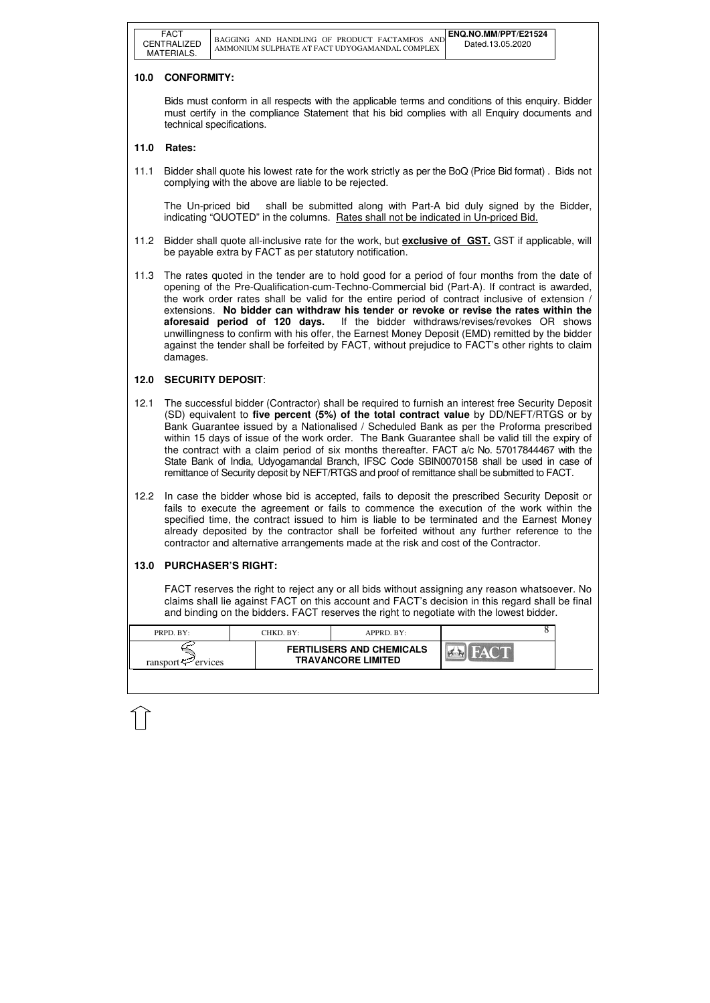| <b>FERTILISERS AND CHEMICALS</b>                            |  |
|-------------------------------------------------------------|--|
| <b>TRAVANCORE LIMITED</b><br>ransport $\mathcal{P}$ ervices |  |

# **10.0 CONFORMITY:**

Bids must conform in all respects with the applicable terms and conditions of this enquiry. Bidder must certify in the compliance Statement that his bid complies with all Enquiry documents and technical specifications.

## **11.0 Rates:**

11.1 Bidder shall quote his lowest rate for the work strictly as per the BoQ (Price Bid format) . Bids not complying with the above are liable to be rejected.

The Un-priced bid shall be submitted along with Part-A bid duly signed by the Bidder, indicating "QUOTED" in the columns. Rates shall not be indicated in Un-priced Bid.

- 11.2 Bidder shall quote all-inclusive rate for the work, but **exclusive of GST.** GST if applicable, will be payable extra by FACT as per statutory notification.
- 11.3 The rates quoted in the tender are to hold good for a period of four months from the date of opening of the Pre-Qualification-cum-Techno-Commercial bid (Part-A). If contract is awarded, the work order rates shall be valid for the entire period of contract inclusive of extension / extensions. **No bidder can withdraw his tender or revoke or revise the rates within the aforesaid period of 120 days.** If the bidder withdraws/revises/revokes OR shows unwillingness to confirm with his offer, the Earnest Money Deposit (EMD) remitted by the bidder against the tender shall be forfeited by FACT, without prejudice to FACT's other rights to claim damages.

## **12.0 SECURITY DEPOSIT**:

- 12.1 The successful bidder (Contractor) shall be required to furnish an interest free Security Deposit (SD) equivalent to **five percent (5%) of the total contract value** by DD/NEFT/RTGS or by Bank Guarantee issued by a Nationalised / Scheduled Bank as per the Proforma prescribed within 15 days of issue of the work order. The Bank Guarantee shall be valid till the expiry of the contract with a claim period of six months thereafter. FACT a/c No. 57017844467 with the State Bank of India, Udyogamandal Branch, IFSC Code SBIN0070158 shall be used in case of remittance of Security deposit by NEFT/RTGS and proof of remittance shall be submitted to FACT.
- 12.2 In case the bidder whose bid is accepted, fails to deposit the prescribed Security Deposit or fails to execute the agreement or fails to commence the execution of the work within the specified time, the contract issued to him is liable to be terminated and the Earnest Money already deposited by the contractor shall be forfeited without any further reference to the contractor and alternative arrangements made at the risk and cost of the Contractor.

# **13.0 PURCHASER'S RIGHT:**

 FACT reserves the right to reject any or all bids without assigning any reason whatsoever. No claims shall lie against FACT on this account and FACT's decision in this regard shall be final and binding on the bidders. FACT reserves the right to negotiate with the lowest bidder.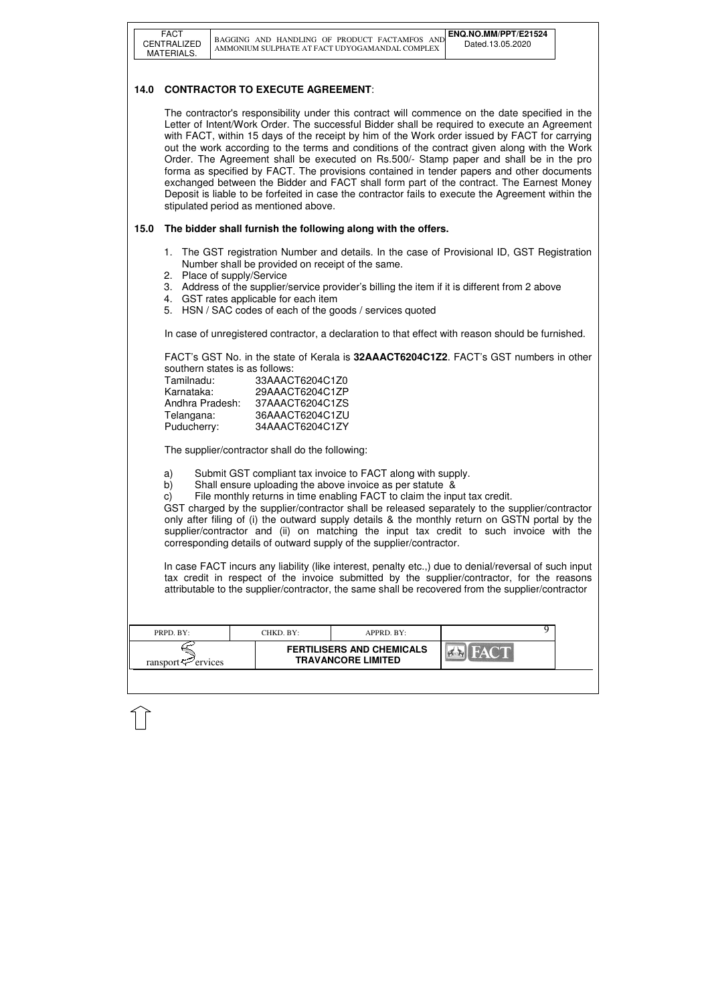| PRPD. BY:               | CHKD. BY: | $APPRD$ . BY:                                                 |  |
|-------------------------|-----------|---------------------------------------------------------------|--|
| ransport $\leq$ ervices |           | <b>FERTILISERS AND CHEMICALS</b><br><b>TRAVANCORE LIMITED</b> |  |

# **14.0 CONTRACTOR TO EXECUTE AGREEMENT**:

 The contractor's responsibility under this contract will commence on the date specified in the Letter of Intent/Work Order. The successful Bidder shall be required to execute an Agreement with FACT, within 15 days of the receipt by him of the Work order issued by FACT for carrying out the work according to the terms and conditions of the contract given along with the Work Order. The Agreement shall be executed on Rs.500/- Stamp paper and shall be in the pro forma as specified by FACT. The provisions contained in tender papers and other documents exchanged between the Bidder and FACT shall form part of the contract. The Earnest Money Deposit is liable to be forfeited in case the contractor fails to execute the Agreement within the stipulated period as mentioned above.

# **15.0 The bidder shall furnish the following along with the offers.**

- 1. The GST registration Number and details. In the case of Provisional ID, GST Registration Number shall be provided on receipt of the same.
- 2. Place of supply/Service
- 3. Address of the supplier/service provider's billing the item if it is different from 2 above
- 4. GST rates applicable for each item
- 5. HSN / SAC codes of each of the goods / services quoted

In case of unregistered contractor, a declaration to that effect with reason should be furnished.

FACT's GST No. in the state of Kerala is **32AAACT6204C1Z2**. FACT's GST numbers in other southern states is as follows:

| Tamilnadu:      | 33AAACT6204C1Z0 |
|-----------------|-----------------|
| Karnataka:      | 29AAACT6204C1ZP |
| Andhra Pradesh: | 37AAACT6204C1ZS |
| Telangana:      | 36AAACT6204C1ZU |
| Puducherry:     | 34AAACT6204C1ZY |

The supplier/contractor shall do the following:

- a) Submit GST compliant tax invoice to FACT along with supply.
- b) Shall ensure uploading the above invoice as per statute &

c) File monthly returns in time enabling FACT to claim the input tax credit.

GST charged by the supplier/contractor shall be released separately to the supplier/contractor only after filing of (i) the outward supply details & the monthly return on GSTN portal by the supplier/contractor and (ii) on matching the input tax credit to such invoice with the corresponding details of outward supply of the supplier/contractor.

In case FACT incurs any liability (like interest, penalty etc.,) due to denial/reversal of such input tax credit in respect of the invoice submitted by the supplier/contractor, for the reasons attributable to the supplier/contractor, the same shall be recovered from the supplier/contractor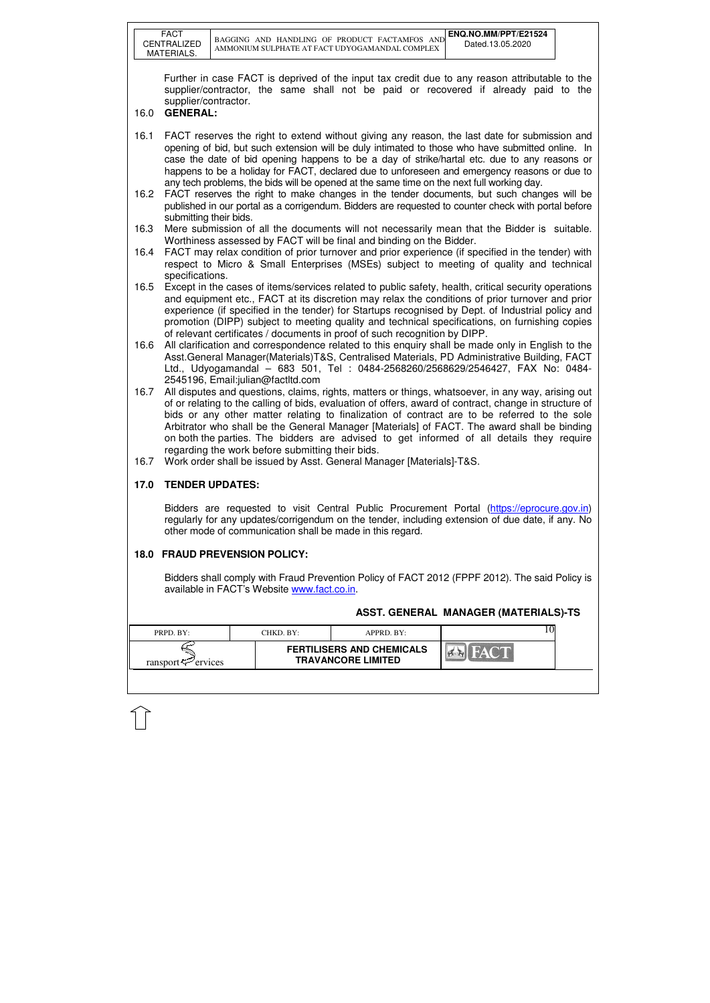|      | <b>FACT</b>                                                                                                                                                                                                                                                                                                                                                                                                                                                                                                     |  |                                                  |                                                                                                 | ENQ.NO.MM/PPT/E21524                                                                                                                                                                                                                                                                                                                                                                                                                                                                                    |  |  |  |  |
|------|-----------------------------------------------------------------------------------------------------------------------------------------------------------------------------------------------------------------------------------------------------------------------------------------------------------------------------------------------------------------------------------------------------------------------------------------------------------------------------------------------------------------|--|--------------------------------------------------|-------------------------------------------------------------------------------------------------|---------------------------------------------------------------------------------------------------------------------------------------------------------------------------------------------------------------------------------------------------------------------------------------------------------------------------------------------------------------------------------------------------------------------------------------------------------------------------------------------------------|--|--|--|--|
|      | CENTRALIZED<br>MATERIALS.                                                                                                                                                                                                                                                                                                                                                                                                                                                                                       |  |                                                  | BAGGING AND HANDLING OF PRODUCT FACTAMFOS AND<br>AMMONIUM SULPHATE AT FACT UDYOGAMANDAL COMPLEX | Dated.13.05.2020                                                                                                                                                                                                                                                                                                                                                                                                                                                                                        |  |  |  |  |
| 16.0 | supplier/contractor.<br><b>GENERAL:</b>                                                                                                                                                                                                                                                                                                                                                                                                                                                                         |  |                                                  |                                                                                                 | Further in case FACT is deprived of the input tax credit due to any reason attributable to the<br>supplier/contractor, the same shall not be paid or recovered if already paid to the                                                                                                                                                                                                                                                                                                                   |  |  |  |  |
| 16.1 | FACT reserves the right to extend without giving any reason, the last date for submission and<br>opening of bid, but such extension will be duly intimated to those who have submitted online. In<br>case the date of bid opening happens to be a day of strike/hartal etc. due to any reasons or<br>happens to be a holiday for FACT, declared due to unforeseen and emergency reasons or due to<br>any tech problems, the bids will be opened at the same time on the next full working day.                  |  |                                                  |                                                                                                 |                                                                                                                                                                                                                                                                                                                                                                                                                                                                                                         |  |  |  |  |
| 16.2 | FACT reserves the right to make changes in the tender documents, but such changes will be<br>published in our portal as a corrigendum. Bidders are requested to counter check with portal before                                                                                                                                                                                                                                                                                                                |  |                                                  |                                                                                                 |                                                                                                                                                                                                                                                                                                                                                                                                                                                                                                         |  |  |  |  |
| 16.3 | submitting their bids.<br>Mere submission of all the documents will not necessarily mean that the Bidder is suitable.<br>Worthiness assessed by FACT will be final and binding on the Bidder.                                                                                                                                                                                                                                                                                                                   |  |                                                  |                                                                                                 |                                                                                                                                                                                                                                                                                                                                                                                                                                                                                                         |  |  |  |  |
| 16.4 |                                                                                                                                                                                                                                                                                                                                                                                                                                                                                                                 |  |                                                  |                                                                                                 | FACT may relax condition of prior turnover and prior experience (if specified in the tender) with<br>respect to Micro & Small Enterprises (MSEs) subject to meeting of quality and technical                                                                                                                                                                                                                                                                                                            |  |  |  |  |
| 16.5 | specifications.<br>Except in the cases of items/services related to public safety, health, critical security operations<br>and equipment etc., FACT at its discretion may relax the conditions of prior turnover and prior<br>experience (if specified in the tender) for Startups recognised by Dept. of Industrial policy and<br>promotion (DIPP) subject to meeting quality and technical specifications, on furnishing copies<br>of relevant certificates / documents in proof of such recognition by DIPP. |  |                                                  |                                                                                                 |                                                                                                                                                                                                                                                                                                                                                                                                                                                                                                         |  |  |  |  |
| 16.6 |                                                                                                                                                                                                                                                                                                                                                                                                                                                                                                                 |  | 2545196, Email:julian@factltd.com                |                                                                                                 | All clarification and correspondence related to this enquiry shall be made only in English to the<br>Asst.General Manager(Materials)T&S, Centralised Materials, PD Administrative Building, FACT<br>Ltd., Udyogamandal – 683 501, Tel : 0484-2568260/2568629/2546427, FAX No: 0484-                                                                                                                                                                                                                     |  |  |  |  |
| 16.7 |                                                                                                                                                                                                                                                                                                                                                                                                                                                                                                                 |  | regarding the work before submitting their bids. |                                                                                                 | All disputes and questions, claims, rights, matters or things, whatsoever, in any way, arising out<br>of or relating to the calling of bids, evaluation of offers, award of contract, change in structure of<br>bids or any other matter relating to finalization of contract are to be referred to the sole<br>Arbitrator who shall be the General Manager [Materials] of FACT. The award shall be binding<br>on both the parties. The bidders are advised to get informed of all details they require |  |  |  |  |
| 16.7 |                                                                                                                                                                                                                                                                                                                                                                                                                                                                                                                 |  |                                                  | Work order shall be issued by Asst. General Manager [Materials]-T&S.                            |                                                                                                                                                                                                                                                                                                                                                                                                                                                                                                         |  |  |  |  |
| 17.0 | <b>TENDER UPDATES:</b>                                                                                                                                                                                                                                                                                                                                                                                                                                                                                          |  |                                                  | other mode of communication shall be made in this regard.                                       | Bidders are requested to visit Central Public Procurement Portal (https://eprocure.gov.in)<br>regularly for any updates/corrigendum on the tender, including extension of due date, if any. No                                                                                                                                                                                                                                                                                                          |  |  |  |  |
|      |                                                                                                                                                                                                                                                                                                                                                                                                                                                                                                                 |  | <b>18.0 FRAUD PREVENSION POLICY:</b>             |                                                                                                 |                                                                                                                                                                                                                                                                                                                                                                                                                                                                                                         |  |  |  |  |
|      |                                                                                                                                                                                                                                                                                                                                                                                                                                                                                                                 |  | available in FACT's Website www.fact.co.in.      |                                                                                                 | Bidders shall comply with Fraud Prevention Policy of FACT 2012 (FPPF 2012). The said Policy is                                                                                                                                                                                                                                                                                                                                                                                                          |  |  |  |  |
|      |                                                                                                                                                                                                                                                                                                                                                                                                                                                                                                                 |  |                                                  |                                                                                                 | ASST. GENERAL MANAGER (MATERIALS)-TS                                                                                                                                                                                                                                                                                                                                                                                                                                                                    |  |  |  |  |
|      |                                                                                                                                                                                                                                                                                                                                                                                                                                                                                                                 |  |                                                  |                                                                                                 |                                                                                                                                                                                                                                                                                                                                                                                                                                                                                                         |  |  |  |  |
|      | PRPD. BY:                                                                                                                                                                                                                                                                                                                                                                                                                                                                                                       |  | CHKD. BY:                                        | APPRD. BY:                                                                                      | 10                                                                                                                                                                                                                                                                                                                                                                                                                                                                                                      |  |  |  |  |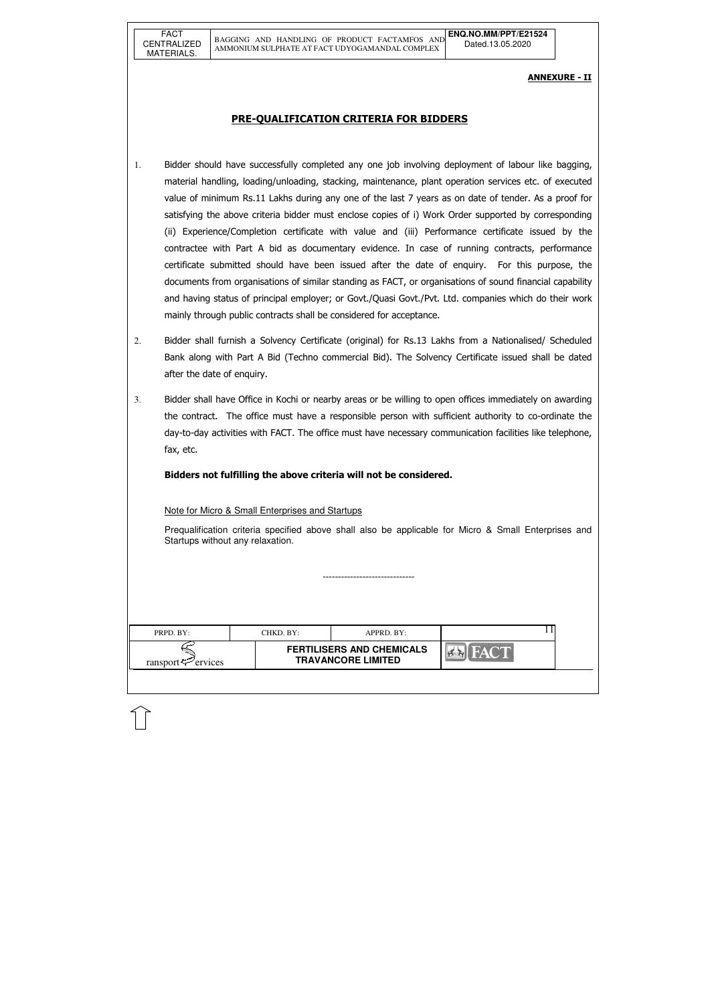| PRPD. BY:               | CHKD. BY:- | $APPRD$ . $BY:$                                               |  |
|-------------------------|------------|---------------------------------------------------------------|--|
| ransport $\leq$ ervices |            | <b>FERTILISERS AND CHEMICALS</b><br><b>TRAVANCORE LIMITED</b> |  |

#### ANNEXURE - II

## PRE-QUALIFICATION CRITERIA FOR BIDDERS

- 1. Bidder should have successfully completed any one job involving deployment of labour like bagging, material handling, loading/unloading, stacking, maintenance, plant operation services etc. of executed value of minimum Rs.11 Lakhs during any one of the last 7 years as on date of tender. As a proof for satisfying the above criteria bidder must enclose copies of i) Work Order supported by corresponding (ii) Experience/Completion certificate with value and (iii) Performance certificate issued by the contractee with Part A bid as documentary evidence. In case of running contracts, performance certificate submitted should have been issued after the date of enquiry. For this purpose, the documents from organisations of similar standing as FACT, or organisations of sound financial capability and having status of principal employer; or Govt./Quasi Govt./Pvt. Ltd. companies which do their work mainly through public contracts shall be considered for acceptance.
- 2. Bidder shall furnish a Solvency Certificate (original) for Rs.13 Lakhs from a Nationalised/ Scheduled Bank along with Part A Bid (Techno commercial Bid). The Solvency Certificate issued shall be dated after the date of enquiry.
- 3. Bidder shall have Office in Kochi or nearby areas or be willing to open offices immediately on awarding the contract. The office must have a responsible person with sufficient authority to co-ordinate the day-to-day activities with FACT. The office must have necessary communication facilities like telephone, fax, etc.

Bidders not fulfilling the above criteria will not be considered.

#### Note for Micro & Small Enterprises and Startups

Prequalification criteria specified above shall also be applicable for Micro & Small Enterprises and Startups without any relaxation.

------------------------------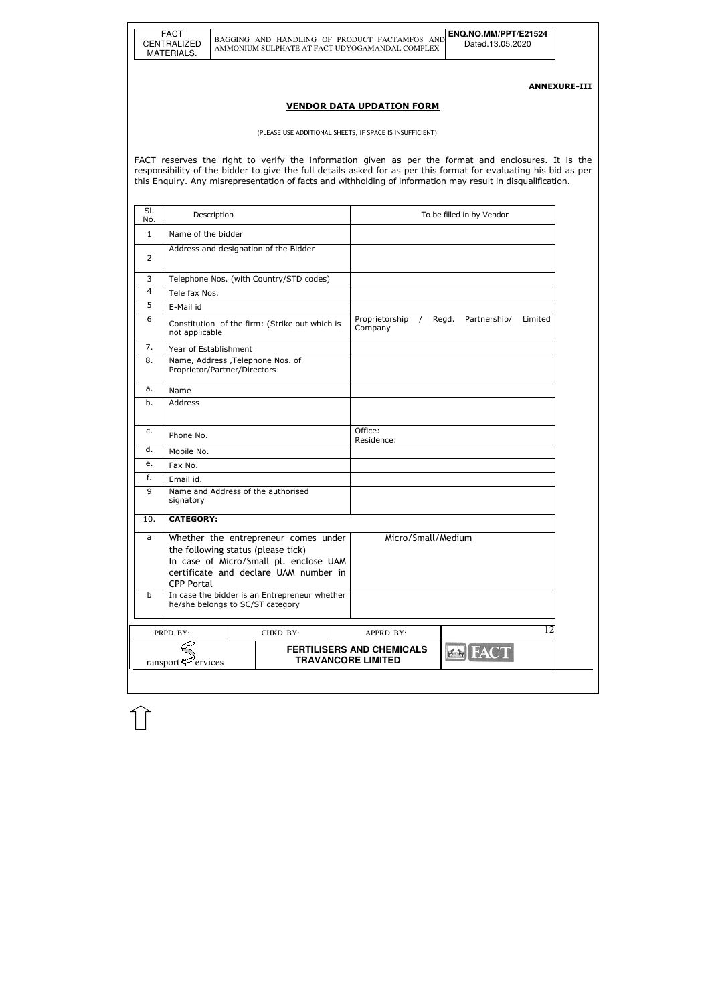ANNEXURE-III

#### VENDOR DATA UPDATION FORM

(PLEASE USE ADDITIONAL SHEETS, IF SPACE IS INSUFFICIENT)

FACT reserves the right to verify the information given as per the format and enclosures. It is the responsibility of the bidder to give the full details asked for as per this format for evaluating his bid as per this Enquiry. Any misrepresentation of facts and withholding of information may result in disqualification.

| SI.<br>No.     | Description                                                       |                                                                                                                         |                                                               | To be filled in by Vendor        |
|----------------|-------------------------------------------------------------------|-------------------------------------------------------------------------------------------------------------------------|---------------------------------------------------------------|----------------------------------|
| 1              | Name of the bidder                                                |                                                                                                                         |                                                               |                                  |
| 2              | Address and designation of the Bidder                             |                                                                                                                         |                                                               |                                  |
| 3              |                                                                   | Telephone Nos. (with Country/STD codes)                                                                                 |                                                               |                                  |
| $\overline{4}$ | Tele fax Nos.                                                     |                                                                                                                         |                                                               |                                  |
| 5              | E-Mail id                                                         |                                                                                                                         |                                                               |                                  |
| 6              | not applicable                                                    | Constitution of the firm: (Strike out which is                                                                          | Proprietorship<br>$\sqrt{2}$<br>Company                       | Regd.<br>Partnership/<br>Limited |
| 7.             | Year of Establishment                                             |                                                                                                                         |                                                               |                                  |
| 8.             | Name, Address , Telephone Nos. of<br>Proprietor/Partner/Directors |                                                                                                                         |                                                               |                                  |
| а.             | Name                                                              |                                                                                                                         |                                                               |                                  |
| b.             | Address                                                           |                                                                                                                         |                                                               |                                  |
| c.             | Phone No.                                                         |                                                                                                                         | Office:<br>Residence:                                         |                                  |
| d.             | Mobile No.                                                        |                                                                                                                         |                                                               |                                  |
| е.             | Fax No.                                                           |                                                                                                                         |                                                               |                                  |
| f.             | Email id.                                                         |                                                                                                                         |                                                               |                                  |
| 9              | Name and Address of the authorised<br>signatory                   |                                                                                                                         |                                                               |                                  |
| 10.            | <b>CATEGORY:</b>                                                  |                                                                                                                         |                                                               |                                  |
| a              | the following status (please tick)<br><b>CPP Portal</b>           | Whether the entrepreneur comes under<br>In case of Micro/Small pl. enclose UAM<br>certificate and declare UAM number in | Micro/Small/Medium                                            |                                  |
| b              | he/she belongs to SC/ST category                                  | In case the bidder is an Entrepreneur whether                                                                           |                                                               |                                  |
|                | PRPD. BY:                                                         | CHKD. BY:                                                                                                               | APPRD. BY:                                                    | 12                               |
|                | ervices<br>ransport $\ddot{\nabla}$                               |                                                                                                                         | <b>FERTILISERS AND CHEMICALS</b><br><b>TRAVANCORE LIMITED</b> | <b>A</b> FACT                    |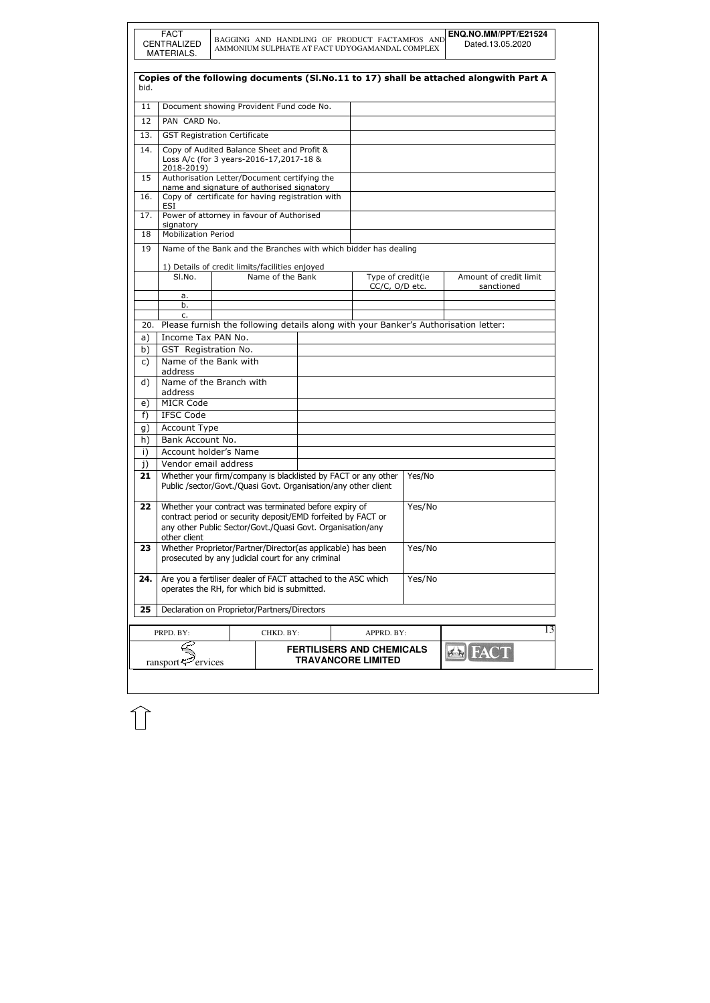|              | <b>FACT</b><br><b>CENTRALIZED</b><br>MATERIALS.                                                                                                                                                     |  |                  |  | BAGGING AND HANDLING OF PRODUCT FACTAMFOS AND<br>AMMONIUM SULPHATE AT FACT UDYOGAMANDAL COMPLEX |        | ENQ.NO.MM/PPT/E21524<br>Dated.13.05.2020                                                |
|--------------|-----------------------------------------------------------------------------------------------------------------------------------------------------------------------------------------------------|--|------------------|--|-------------------------------------------------------------------------------------------------|--------|-----------------------------------------------------------------------------------------|
|              |                                                                                                                                                                                                     |  |                  |  |                                                                                                 |        |                                                                                         |
| bid.         |                                                                                                                                                                                                     |  |                  |  |                                                                                                 |        | Copies of the following documents (SI.No.11 to 17) shall be attached alongwith Part A   |
| 11           | Document showing Provident Fund code No.                                                                                                                                                            |  |                  |  |                                                                                                 |        |                                                                                         |
| 12           | PAN CARD No.                                                                                                                                                                                        |  |                  |  |                                                                                                 |        |                                                                                         |
| 13.          | <b>GST Registration Certificate</b>                                                                                                                                                                 |  |                  |  |                                                                                                 |        |                                                                                         |
|              |                                                                                                                                                                                                     |  |                  |  |                                                                                                 |        |                                                                                         |
| 14.          | Copy of Audited Balance Sheet and Profit &<br>Loss A/c (for 3 years-2016-17,2017-18 &<br>2018-2019)                                                                                                 |  |                  |  |                                                                                                 |        |                                                                                         |
| 15           | Authorisation Letter/Document certifying the                                                                                                                                                        |  |                  |  |                                                                                                 |        |                                                                                         |
| 16.          | name and signature of authorised signatory<br>Copy of certificate for having registration with                                                                                                      |  |                  |  |                                                                                                 |        |                                                                                         |
|              | <b>ESI</b>                                                                                                                                                                                          |  |                  |  |                                                                                                 |        |                                                                                         |
| 17.          | Power of attorney in favour of Authorised                                                                                                                                                           |  |                  |  |                                                                                                 |        |                                                                                         |
| 18           | signatory<br>Mobilization Period                                                                                                                                                                    |  |                  |  |                                                                                                 |        |                                                                                         |
|              |                                                                                                                                                                                                     |  |                  |  |                                                                                                 |        |                                                                                         |
| 19           |                                                                                                                                                                                                     |  |                  |  | Name of the Bank and the Branches with which bidder has dealing                                 |        |                                                                                         |
|              | 1) Details of credit limits/facilities enjoyed                                                                                                                                                      |  |                  |  |                                                                                                 |        |                                                                                         |
|              | SI.No.                                                                                                                                                                                              |  | Name of the Bank |  | Type of credit(ie                                                                               |        | Amount of credit limit                                                                  |
|              | а.                                                                                                                                                                                                  |  |                  |  | CC/C, O/D etc.                                                                                  |        | sanctioned                                                                              |
|              | b.                                                                                                                                                                                                  |  |                  |  |                                                                                                 |        |                                                                                         |
|              | c.                                                                                                                                                                                                  |  |                  |  |                                                                                                 |        |                                                                                         |
|              |                                                                                                                                                                                                     |  |                  |  |                                                                                                 |        | 20. Please furnish the following details along with your Banker's Authorisation letter: |
| a)           | Income Tax PAN No.                                                                                                                                                                                  |  |                  |  |                                                                                                 |        |                                                                                         |
| b)           | GST Registration No.                                                                                                                                                                                |  |                  |  |                                                                                                 |        |                                                                                         |
| $\mathsf{C}$ | Name of the Bank with<br>address                                                                                                                                                                    |  |                  |  |                                                                                                 |        |                                                                                         |
| d)           | Name of the Branch with<br>address                                                                                                                                                                  |  |                  |  |                                                                                                 |        |                                                                                         |
| e)           | <b>MICR Code</b>                                                                                                                                                                                    |  |                  |  |                                                                                                 |        |                                                                                         |
| f)           | <b>IFSC Code</b>                                                                                                                                                                                    |  |                  |  |                                                                                                 |        |                                                                                         |
| g)           | Account Type                                                                                                                                                                                        |  |                  |  |                                                                                                 |        |                                                                                         |
| h)           | Bank Account No.                                                                                                                                                                                    |  |                  |  |                                                                                                 |        |                                                                                         |
| $\mathsf{i}$ | Account holder's Name                                                                                                                                                                               |  |                  |  |                                                                                                 |        |                                                                                         |
| j)           | Vendor email address                                                                                                                                                                                |  |                  |  |                                                                                                 |        |                                                                                         |
| 21           |                                                                                                                                                                                                     |  |                  |  | Whether your firm/company is blacklisted by FACT or any other                                   | Yes/No |                                                                                         |
|              |                                                                                                                                                                                                     |  |                  |  | Public /sector/Govt./Quasi Govt. Organisation/any other client                                  |        |                                                                                         |
| 22           | Whether your contract was terminated before expiry of<br>contract period or security deposit/EMD forfeited by FACT or<br>any other Public Sector/Govt./Quasi Govt. Organisation/any<br>other client |  |                  |  |                                                                                                 | Yes/No |                                                                                         |
| 23           | Whether Proprietor/Partner/Director(as applicable) has been<br>prosecuted by any judicial court for any criminal                                                                                    |  |                  |  |                                                                                                 | Yes/No |                                                                                         |
| 24.          | Are you a fertiliser dealer of FACT attached to the ASC which<br>operates the RH, for which bid is submitted.                                                                                       |  |                  |  |                                                                                                 | Yes/No |                                                                                         |
| 25           | Declaration on Proprietor/Partners/Directors                                                                                                                                                        |  |                  |  |                                                                                                 |        |                                                                                         |
|              | PRPD. BY:                                                                                                                                                                                           |  | CHKD. BY:        |  | APPRD. BY:                                                                                      |        | 13                                                                                      |
|              | ransport $\approx$ ervices                                                                                                                                                                          |  |                  |  | <b>FERTILISERS AND CHEMICALS</b><br><b>TRAVANCORE LIMITED</b>                                   |        |                                                                                         |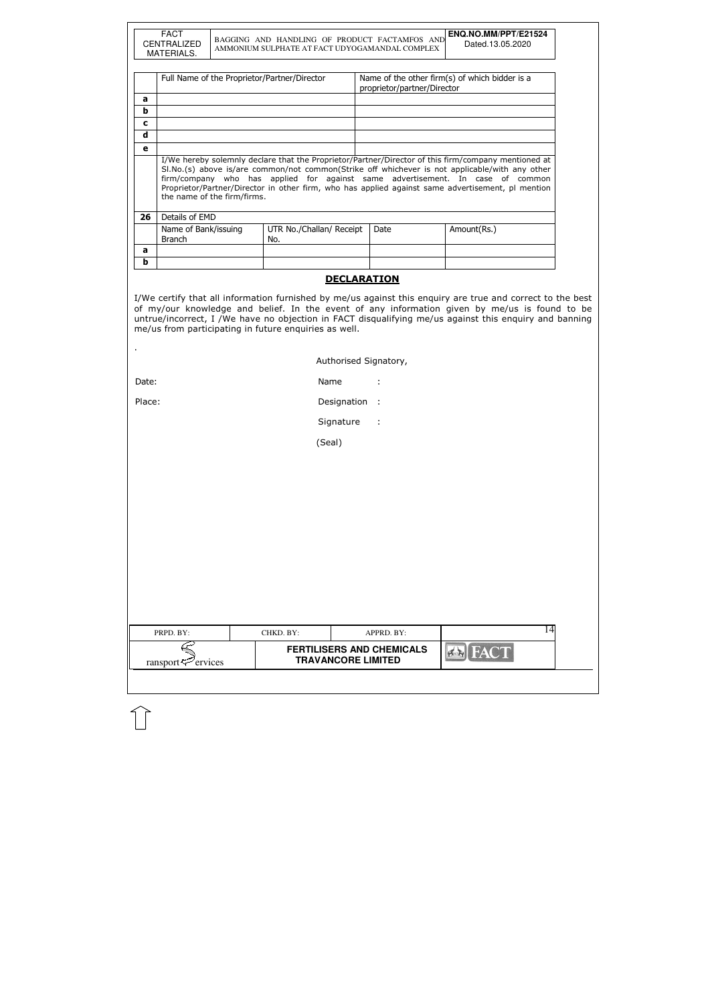| PRPD. BY: | CHKD. BY: | APPRD. BY: | 14 |
|-----------|-----------|------------|----|

|                  | <b>FACT</b><br><b>CENTRALIZED</b><br>MATERIALS. | BAGGING AND HANDLING OF PRODUCT FACTAMFOS AND<br>AMMONIUM SULPHATE AT FACT UDYOGAMANDAL COMPLEX |                             | ENQ.NO.MM/PPT/E21524<br>Dated.13.05.2020                                                                                                                                            |
|------------------|-------------------------------------------------|-------------------------------------------------------------------------------------------------|-----------------------------|-------------------------------------------------------------------------------------------------------------------------------------------------------------------------------------|
|                  |                                                 | Full Name of the Proprietor/Partner/Director                                                    | proprietor/partner/Director | Name of the other firm(s) of which bidder is a                                                                                                                                      |
| a                |                                                 |                                                                                                 |                             |                                                                                                                                                                                     |
| b<br>$\mathbf c$ |                                                 |                                                                                                 |                             |                                                                                                                                                                                     |
| d                |                                                 |                                                                                                 |                             |                                                                                                                                                                                     |
| e                |                                                 |                                                                                                 |                             |                                                                                                                                                                                     |
|                  |                                                 |                                                                                                 |                             | firm/company who has applied for against same advertisement. In case of common<br>Proprietor/Partner/Director in other firm, who has applied against same advertisement, pl mention |
| 26               | the name of the firm/firms.<br>Details of EMD   |                                                                                                 |                             |                                                                                                                                                                                     |
|                  | Name of Bank/issuing<br><b>Branch</b>           | UTR No./Challan/ Receipt<br>No.                                                                 | Date                        | Amount(Rs.)                                                                                                                                                                         |
| a                |                                                 |                                                                                                 |                             |                                                                                                                                                                                     |
| b                |                                                 |                                                                                                 |                             |                                                                                                                                                                                     |
|                  |                                                 | <b>DECLARATION</b>                                                                              |                             |                                                                                                                                                                                     |

| Authorised Signatory, |  |
|-----------------------|--|
|                       |  |

| Date: | Name |  |
|-------|------|--|
|       |      |  |

Place: Place: Place: Place: Place: Place: Place: Place: Place: Place: Place: Place: Place: Place: Place: Place

Signature :

(Seal)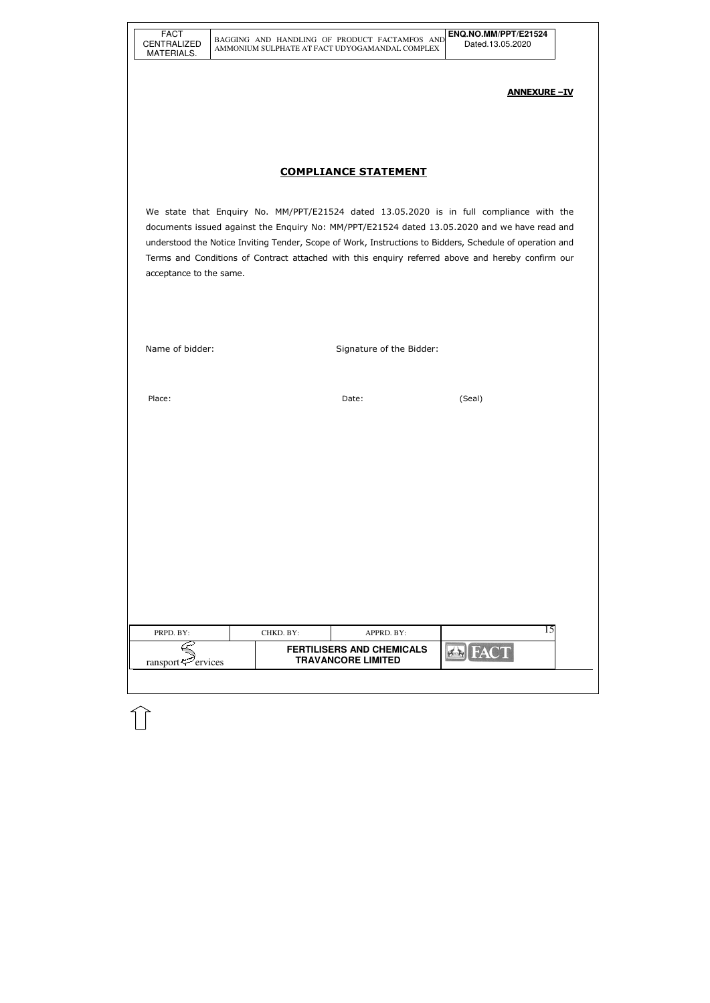| FACT               |
|--------------------|
| <b>CENTRALIZED</b> |
| MATERIALS.         |

| PRPD. BY:                      | CHKD. BY: | APPRD. BY:                                                    |  |
|--------------------------------|-----------|---------------------------------------------------------------|--|
| ransport $\mathcal{P}$ ervices |           | <b>FERTILISERS AND CHEMICALS</b><br><b>TRAVANCORE LIMITED</b> |  |
|                                |           |                                                               |  |

#### ANNEXURE –IV

# COMPLIANCE STATEMENT

We state that Enquiry No. MM/PPT/E21524 dated 13.05.2020 is in full compliance with the documents issued against the Enquiry No: MM/PPT/E21524 dated 13.05.2020 and we have read and understood the Notice Inviting Tender, Scope of Work, Instructions to Bidders, Schedule of operation and Terms and Conditions of Contract attached with this enquiry referred above and hereby confirm our acceptance to the same.

Name of bidder: Signature of the Bidder:

Place: (Seal) and the contract of the contract of the Date: (Seal) and the contract of the contract of the contract of the contract of the contract of the contract of the contract of the contract of the contract of the con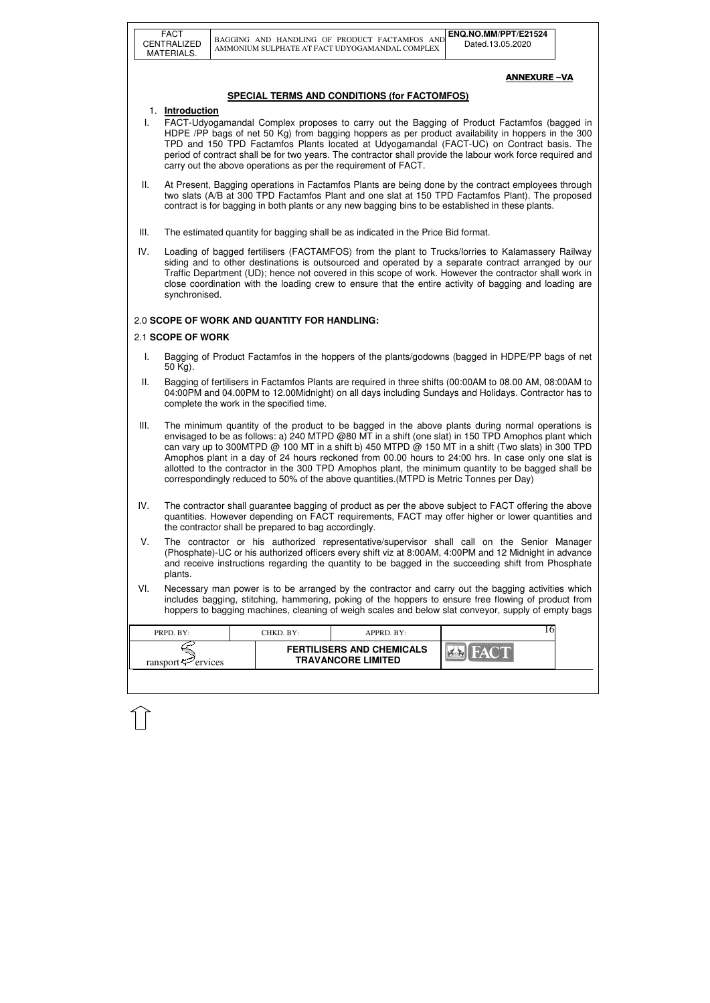|                                                     | <b>FACT</b><br>CENTRALIZED<br>MATERIALS.                                                                                                                                                                                                                                                                                                                                                                                                                                                                                                                                                                              |  | BAGGING AND HANDLING OF PRODUCT FACTAMFOS AND<br>AMMONIUM SULPHATE AT FACT UDYOGAMANDAL COMPLEX |                                                               |  | ENQ.NO.MM/PPT/E21524<br>Dated.13.05.2020                                                                                                                                                                                                                                                                          |  |  |  |
|-----------------------------------------------------|-----------------------------------------------------------------------------------------------------------------------------------------------------------------------------------------------------------------------------------------------------------------------------------------------------------------------------------------------------------------------------------------------------------------------------------------------------------------------------------------------------------------------------------------------------------------------------------------------------------------------|--|-------------------------------------------------------------------------------------------------|---------------------------------------------------------------|--|-------------------------------------------------------------------------------------------------------------------------------------------------------------------------------------------------------------------------------------------------------------------------------------------------------------------|--|--|--|
|                                                     |                                                                                                                                                                                                                                                                                                                                                                                                                                                                                                                                                                                                                       |  |                                                                                                 |                                                               |  | <b>ANNEXURE-VA</b>                                                                                                                                                                                                                                                                                                |  |  |  |
| <b>SPECIAL TERMS AND CONDITIONS (for FACTOMFOS)</b> |                                                                                                                                                                                                                                                                                                                                                                                                                                                                                                                                                                                                                       |  |                                                                                                 |                                                               |  |                                                                                                                                                                                                                                                                                                                   |  |  |  |
| L.                                                  | 1. Introduction<br>FACT-Udyogamandal Complex proposes to carry out the Bagging of Product Factamfos (bagged in<br>HDPE /PP bags of net 50 Kg) from bagging hoppers as per product availability in hoppers in the 300<br>TPD and 150 TPD Factamfos Plants located at Udyogamandal (FACT-UC) on Contract basis. The<br>period of contract shall be for two years. The contractor shall provide the labour work force required and<br>carry out the above operations as per the requirement of FACT.                                                                                                                     |  |                                                                                                 |                                                               |  |                                                                                                                                                                                                                                                                                                                   |  |  |  |
| Ш.                                                  | At Present, Bagging operations in Factamfos Plants are being done by the contract employees through<br>two slats (A/B at 300 TPD Factamfos Plant and one slat at 150 TPD Factamfos Plant). The proposed<br>contract is for bagging in both plants or any new bagging bins to be established in these plants.                                                                                                                                                                                                                                                                                                          |  |                                                                                                 |                                                               |  |                                                                                                                                                                                                                                                                                                                   |  |  |  |
| III.                                                |                                                                                                                                                                                                                                                                                                                                                                                                                                                                                                                                                                                                                       |  | The estimated quantity for bagging shall be as indicated in the Price Bid format.               |                                                               |  |                                                                                                                                                                                                                                                                                                                   |  |  |  |
| IV.                                                 | Loading of bagged fertilisers (FACTAMFOS) from the plant to Trucks/lorries to Kalamassery Railway<br>siding and to other destinations is outsourced and operated by a separate contract arranged by our<br>Traffic Department (UD); hence not covered in this scope of work. However the contractor shall work in<br>close coordination with the loading crew to ensure that the entire activity of bagging and loading are<br>synchronised.                                                                                                                                                                          |  |                                                                                                 |                                                               |  |                                                                                                                                                                                                                                                                                                                   |  |  |  |
| 2.0 SCOPE OF WORK AND QUANTITY FOR HANDLING:        |                                                                                                                                                                                                                                                                                                                                                                                                                                                                                                                                                                                                                       |  |                                                                                                 |                                                               |  |                                                                                                                                                                                                                                                                                                                   |  |  |  |
| 2.1 SCOPE OF WORK                                   |                                                                                                                                                                                                                                                                                                                                                                                                                                                                                                                                                                                                                       |  |                                                                                                 |                                                               |  |                                                                                                                                                                                                                                                                                                                   |  |  |  |
| I.                                                  | Bagging of Product Factamfos in the hoppers of the plants/godowns (bagged in HDPE/PP bags of net<br>50 Kg).                                                                                                                                                                                                                                                                                                                                                                                                                                                                                                           |  |                                                                                                 |                                                               |  |                                                                                                                                                                                                                                                                                                                   |  |  |  |
| Ш.                                                  | Bagging of fertilisers in Factamfos Plants are required in three shifts (00:00AM to 08.00 AM, 08:00AM to<br>04:00PM and 04.00PM to 12.00Midnight) on all days including Sundays and Holidays. Contractor has to<br>complete the work in the specified time.                                                                                                                                                                                                                                                                                                                                                           |  |                                                                                                 |                                                               |  |                                                                                                                                                                                                                                                                                                                   |  |  |  |
| III.                                                | The minimum quantity of the product to be bagged in the above plants during normal operations is<br>envisaged to be as follows: a) 240 MTPD @80 MT in a shift (one slat) in 150 TPD Amophos plant which<br>can vary up to 300MTPD @ 100 MT in a shift b) 450 MTPD @ 150 MT in a shift (Two slats) in 300 TPD<br>Amophos plant in a day of 24 hours reckoned from 00.00 hours to 24:00 hrs. In case only one slat is<br>allotted to the contractor in the 300 TPD Amophos plant, the minimum quantity to be bagged shall be<br>correspondingly reduced to 50% of the above quantities. (MTPD is Metric Tonnes per Day) |  |                                                                                                 |                                                               |  |                                                                                                                                                                                                                                                                                                                   |  |  |  |
| IV.                                                 | The contractor shall guarantee bagging of product as per the above subject to FACT offering the above<br>quantities. However depending on FACT requirements, FACT may offer higher or lower quantities and<br>the contractor shall be prepared to bag accordingly.                                                                                                                                                                                                                                                                                                                                                    |  |                                                                                                 |                                                               |  |                                                                                                                                                                                                                                                                                                                   |  |  |  |
| V.                                                  | The contractor or his authorized representative/supervisor shall call on the Senior Manager<br>(Phosphate)-UC or his authorized officers every shift viz at 8:00AM, 4:00PM and 12 Midnight in advance<br>and receive instructions regarding the quantity to be bagged in the succeeding shift from Phosphate<br>plants.                                                                                                                                                                                                                                                                                               |  |                                                                                                 |                                                               |  |                                                                                                                                                                                                                                                                                                                   |  |  |  |
| VI.                                                 |                                                                                                                                                                                                                                                                                                                                                                                                                                                                                                                                                                                                                       |  |                                                                                                 |                                                               |  | Necessary man power is to be arranged by the contractor and carry out the bagging activities which<br>includes bagging, stitching, hammering, poking of the hoppers to ensure free flowing of product from<br>hoppers to bagging machines, cleaning of weigh scales and below slat conveyor, supply of empty bags |  |  |  |
|                                                     | PRPD. BY:                                                                                                                                                                                                                                                                                                                                                                                                                                                                                                                                                                                                             |  | CHKD. BY:                                                                                       | APPRD. BY:                                                    |  | 16                                                                                                                                                                                                                                                                                                                |  |  |  |
|                                                     | ransport $\approx$ ervices                                                                                                                                                                                                                                                                                                                                                                                                                                                                                                                                                                                            |  |                                                                                                 | <b>FERTILISERS AND CHEMICALS</b><br><b>TRAVANCORE LIMITED</b> |  |                                                                                                                                                                                                                                                                                                                   |  |  |  |
|                                                     |                                                                                                                                                                                                                                                                                                                                                                                                                                                                                                                                                                                                                       |  |                                                                                                 |                                                               |  |                                                                                                                                                                                                                                                                                                                   |  |  |  |

 $\bigcap$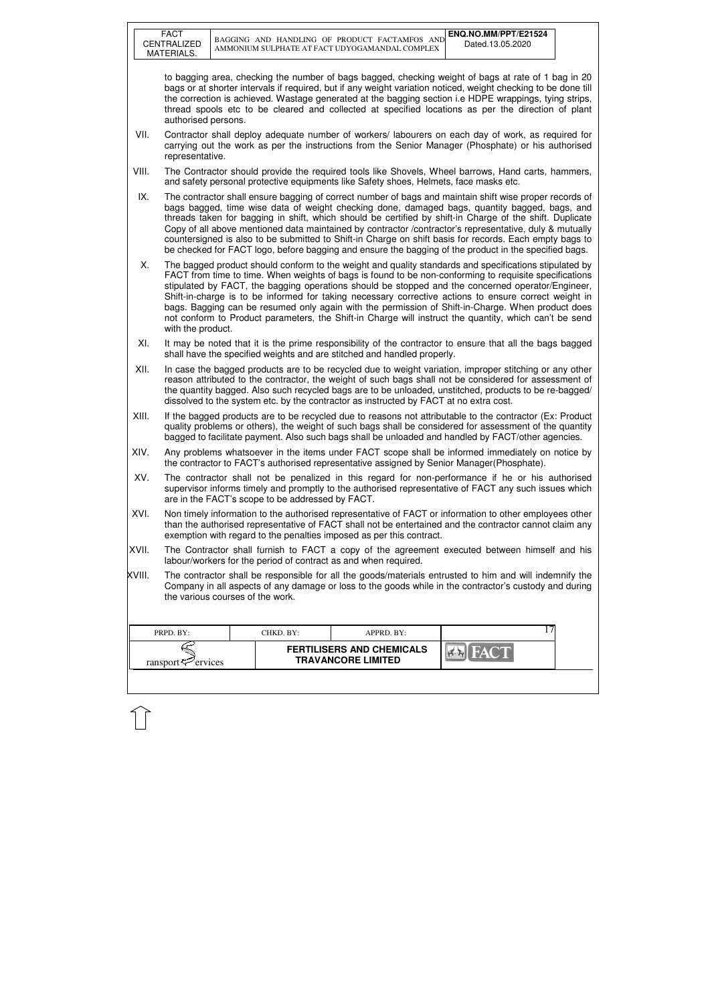| <b>FACT</b><br>CENTRALIZED<br>MATERIALS. |                                                                                                                                                                                                                                                                                                                                                                                                                                                                                                                                                                                                                                                                    |  |           | BAGGING AND HANDLING OF PRODUCT FACTAMFOS AND<br>AMMONIUM SULPHATE AT FACT UDYOGAMANDAL COMPLEX | ENQ.NO.MM/PPT/E21524<br>Dated.13.05.2020                                                                                                                                                                          |  |  |  |
|------------------------------------------|--------------------------------------------------------------------------------------------------------------------------------------------------------------------------------------------------------------------------------------------------------------------------------------------------------------------------------------------------------------------------------------------------------------------------------------------------------------------------------------------------------------------------------------------------------------------------------------------------------------------------------------------------------------------|--|-----------|-------------------------------------------------------------------------------------------------|-------------------------------------------------------------------------------------------------------------------------------------------------------------------------------------------------------------------|--|--|--|
|                                          | to bagging area, checking the number of bags bagged, checking weight of bags at rate of 1 bag in 20<br>bags or at shorter intervals if required, but if any weight variation noticed, weight checking to be done till<br>the correction is achieved. Wastage generated at the bagging section i.e HDPE wrappings, tying strips,<br>thread spools etc to be cleared and collected at specified locations as per the direction of plant<br>authorised persons.                                                                                                                                                                                                       |  |           |                                                                                                 |                                                                                                                                                                                                                   |  |  |  |
| VII.                                     | representative.                                                                                                                                                                                                                                                                                                                                                                                                                                                                                                                                                                                                                                                    |  |           |                                                                                                 | Contractor shall deploy adequate number of workers/labourers on each day of work, as required for<br>carrying out the work as per the instructions from the Senior Manager (Phosphate) or his authorised          |  |  |  |
| VIII.                                    |                                                                                                                                                                                                                                                                                                                                                                                                                                                                                                                                                                                                                                                                    |  |           | and safety personal protective equipments like Safety shoes, Helmets, face masks etc.           | The Contractor should provide the required tools like Shovels, Wheel barrows, Hand carts, hammers,                                                                                                                |  |  |  |
| IX.                                      | The contractor shall ensure bagging of correct number of bags and maintain shift wise proper records of<br>bags bagged, time wise data of weight checking done, damaged bags, quantity bagged, bags, and<br>threads taken for bagging in shift, which should be certified by shift-in Charge of the shift. Duplicate<br>Copy of all above mentioned data maintained by contractor /contractor's representative, duly & mutually<br>countersigned is also to be submitted to Shift-in Charge on shift basis for records. Each empty bags to<br>be checked for FACT logo, before bagging and ensure the bagging of the product in the specified bags.                |  |           |                                                                                                 |                                                                                                                                                                                                                   |  |  |  |
| X.                                       | The bagged product should conform to the weight and quality standards and specifications stipulated by<br>FACT from time to time. When weights of bags is found to be non-conforming to requisite specifications<br>stipulated by FACT, the bagging operations should be stopped and the concerned operator/Engineer,<br>Shift-in-charge is to be informed for taking necessary corrective actions to ensure correct weight in<br>bags. Bagging can be resumed only again with the permission of Shift-in-Charge. When product does<br>not conform to Product parameters, the Shift-in Charge will instruct the quantity, which can't be send<br>with the product. |  |           |                                                                                                 |                                                                                                                                                                                                                   |  |  |  |
| XI.                                      | It may be noted that it is the prime responsibility of the contractor to ensure that all the bags bagged<br>shall have the specified weights and are stitched and handled properly.                                                                                                                                                                                                                                                                                                                                                                                                                                                                                |  |           |                                                                                                 |                                                                                                                                                                                                                   |  |  |  |
| XII.                                     | In case the bagged products are to be recycled due to weight variation, improper stitching or any other<br>reason attributed to the contractor, the weight of such bags shall not be considered for assessment of<br>the quantity bagged. Also such recycled bags are to be unloaded, unstitched, products to be re-bagged/<br>dissolved to the system etc. by the contractor as instructed by FACT at no extra cost.                                                                                                                                                                                                                                              |  |           |                                                                                                 |                                                                                                                                                                                                                   |  |  |  |
| XIII.                                    | If the bagged products are to be recycled due to reasons not attributable to the contractor (Ex: Product<br>quality problems or others), the weight of such bags shall be considered for assessment of the quantity<br>bagged to facilitate payment. Also such bags shall be unloaded and handled by FACT/other agencies.                                                                                                                                                                                                                                                                                                                                          |  |           |                                                                                                 |                                                                                                                                                                                                                   |  |  |  |
| XIV.                                     | Any problems whatsoever in the items under FACT scope shall be informed immediately on notice by<br>the contractor to FACT's authorised representative assigned by Senior Manager (Phosphate).                                                                                                                                                                                                                                                                                                                                                                                                                                                                     |  |           |                                                                                                 |                                                                                                                                                                                                                   |  |  |  |
| XV.                                      | The contractor shall not be penalized in this regard for non-performance if he or his authorised<br>supervisor informs timely and promptly to the authorised representative of FACT any such issues which<br>are in the FACT's scope to be addressed by FACT.                                                                                                                                                                                                                                                                                                                                                                                                      |  |           |                                                                                                 |                                                                                                                                                                                                                   |  |  |  |
| XVI.                                     | Non timely information to the authorised representative of FACT or information to other employees other<br>than the authorised representative of FACT shall not be entertained and the contractor cannot claim any<br>exemption with regard to the penalties imposed as per this contract.                                                                                                                                                                                                                                                                                                                                                                         |  |           |                                                                                                 |                                                                                                                                                                                                                   |  |  |  |
| XVII.                                    |                                                                                                                                                                                                                                                                                                                                                                                                                                                                                                                                                                                                                                                                    |  |           | labour/workers for the period of contract as and when required.                                 | The Contractor shall furnish to FACT a copy of the agreement executed between himself and his                                                                                                                     |  |  |  |
| XVIII.                                   | the various courses of the work.                                                                                                                                                                                                                                                                                                                                                                                                                                                                                                                                                                                                                                   |  |           |                                                                                                 | The contractor shall be responsible for all the goods/materials entrusted to him and will indemnify the<br>Company in all aspects of any damage or loss to the goods while in the contractor's custody and during |  |  |  |
| PRPD. BY:                                |                                                                                                                                                                                                                                                                                                                                                                                                                                                                                                                                                                                                                                                                    |  | CHKD. BY: | APPRD. BY:                                                                                      | 17                                                                                                                                                                                                                |  |  |  |
|                                          | ransport <sup>52</sup> ervices                                                                                                                                                                                                                                                                                                                                                                                                                                                                                                                                                                                                                                     |  |           | <b>FERTILISERS AND CHEMICALS</b><br><b>TRAVANCORE LIMITED</b>                                   |                                                                                                                                                                                                                   |  |  |  |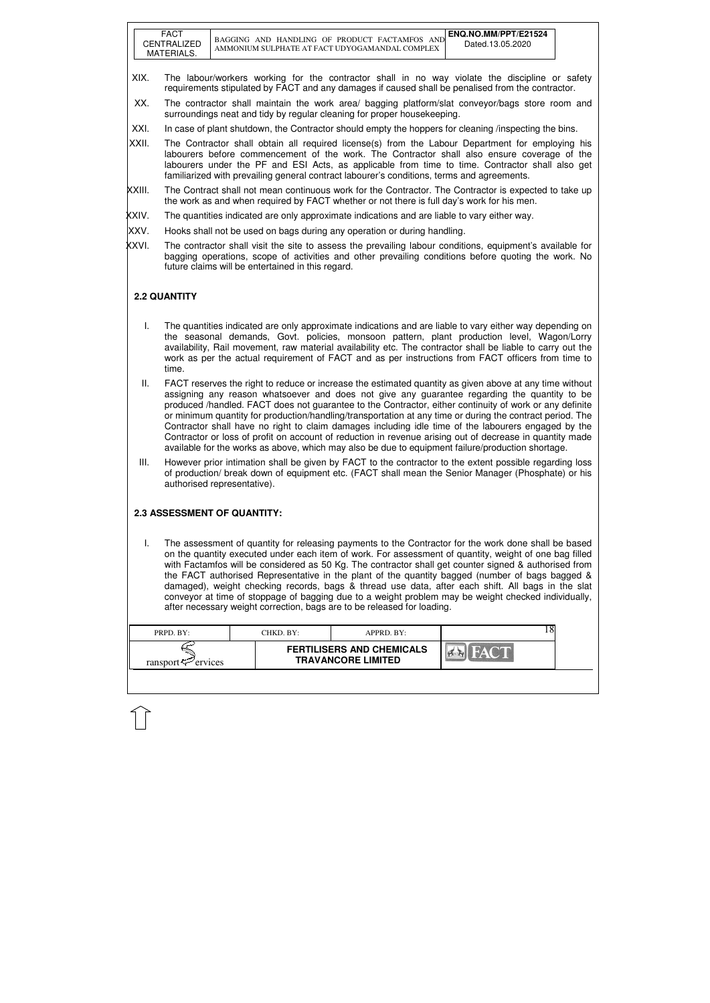| <b>FACT</b><br>CENTRALIZED<br>MATERIALS. | ENQ.NO.MM/PPT/E21524<br>BAGGING AND HANDLING OF PRODUCT FACTAMEOS<br><b>AND</b><br>Dated.13.05.2020<br>AMMONIUM SULPHATE AT FACT UDYOGAMANDAL COMPLEX |
|------------------------------------------|-------------------------------------------------------------------------------------------------------------------------------------------------------|
|------------------------------------------|-------------------------------------------------------------------------------------------------------------------------------------------------------|

| PRPD. BY:                  | CHKD. BY: | APPRD. BY:                                                    |  |
|----------------------------|-----------|---------------------------------------------------------------|--|
| ransport $\approx$ ervices |           | <b>FERTILISERS AND CHEMICALS</b><br><b>TRAVANCORE LIMITED</b> |  |

- XIX. The labour/workers working for the contractor shall in no way violate the discipline or safety requirements stipulated by FACT and any damages if caused shall be penalised from the contractor.
- XX. The contractor shall maintain the work area/ bagging platform/slat conveyor/bags store room and surroundings neat and tidy by regular cleaning for proper housekeeping.
- XXI. In case of plant shutdown, the Contractor should empty the hoppers for cleaning *linspecting the bins.*
- XXII. The Contractor shall obtain all required license(s) from the Labour Department for employing his labourers before commencement of the work. The Contractor shall also ensure coverage of the labourers under the PF and ESI Acts, as applicable from time to time. Contractor shall also get familiarized with prevailing general contract labourer's conditions, terms and agreements.
- XXIII. The Contract shall not mean continuous work for the Contractor. The Contractor is expected to take up the work as and when required by FACT whether or not there is full day's work for his men.
- XXIV. The quantities indicated are only approximate indications and are liable to vary either way.
- XXV. Hooks shall not be used on bags during any operation or during handling.
- XXVI. The contractor shall visit the site to assess the prevailing labour conditions, equipment's available for bagging operations, scope of activities and other prevailing conditions before quoting the work. No future claims will be entertained in this regard.

### **2.2 QUANTITY**

- I. The quantities indicated are only approximate indications and are liable to vary either way depending on the seasonal demands, Govt. policies, monsoon pattern, plant production level, Wagon/Lorry availability, Rail movement, raw material availability etc. The contractor shall be liable to carry out the work as per the actual requirement of FACT and as per instructions from FACT officers from time to time.
- II. FACT reserves the right to reduce or increase the estimated quantity as given above at any time without assigning any reason whatsoever and does not give any guarantee regarding the quantity to be produced /handled. FACT does not guarantee to the Contractor, either continuity of work or any definite or minimum quantity for production/handling/transportation at any time or during the contract period. The Contractor shall have no right to claim damages including idle time of the labourers engaged by the Contractor or loss of profit on account of reduction in revenue arising out of decrease in quantity made available for the works as above, which may also be due to equipment failure/production shortage.
- III. However prior intimation shall be given by FACT to the contractor to the extent possible regarding loss of production/ break down of equipment etc. (FACT shall mean the Senior Manager (Phosphate) or his authorised representative).

#### **2.3 ASSESSMENT OF QUANTITY:**

I. The assessment of quantity for releasing payments to the Contractor for the work done shall be based on the quantity executed under each item of work. For assessment of quantity, weight of one bag filled with Factamfos will be considered as 50 Kg. The contractor shall get counter signed & authorised from the FACT authorised Representative in the plant of the quantity bagged (number of bags bagged & damaged), weight checking records, bags & thread use data, after each shift. All bags in the slat conveyor at time of stoppage of bagging due to a weight problem may be weight checked individually, after necessary weight correction, bags are to be released for loading.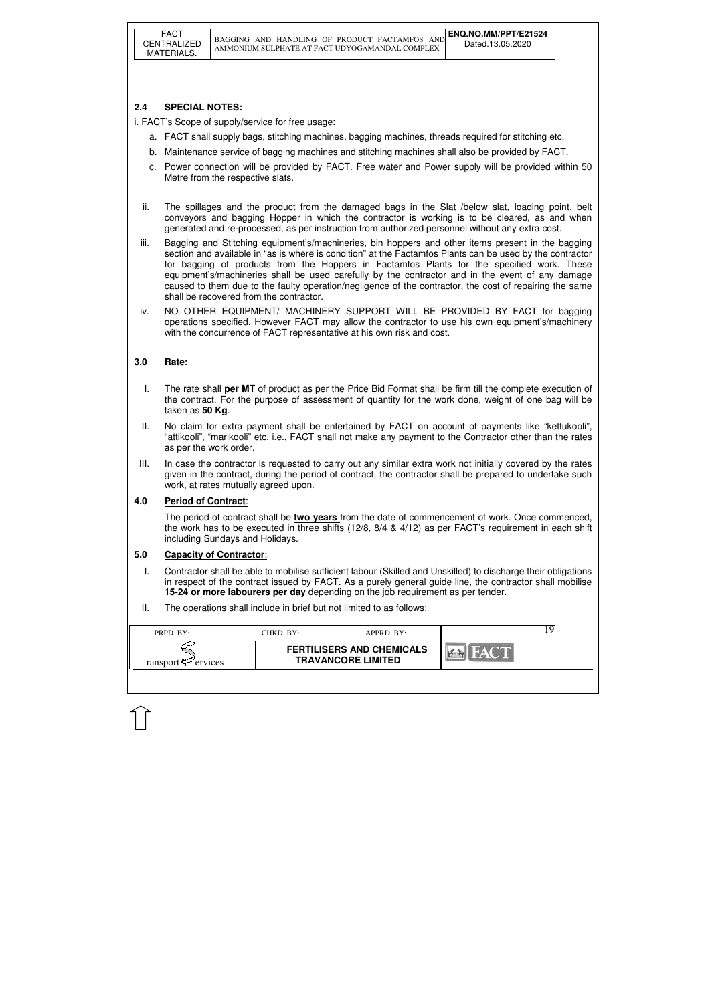| <b>FERTILISERS AND CHEMICALS</b><br><b>TRAVANCORE LIMITED</b><br>ransport $\leq$ ervices |  |
|------------------------------------------------------------------------------------------|--|

## **2.4 SPECIAL NOTES:**

i. FACT's Scope of supply/service for free usage:

- a. FACT shall supply bags, stitching machines, bagging machines, threads required for stitching etc.
- b. Maintenance service of bagging machines and stitching machines shall also be provided by FACT.
- c. Power connection will be provided by FACT. Free water and Power supply will be provided within 50 Metre from the respective slats.
- ii. The spillages and the product from the damaged bags in the Slat /below slat, loading point, belt conveyors and bagging Hopper in which the contractor is working is to be cleared, as and when generated and re-processed, as per instruction from authorized personnel without any extra cost.
- iii. Bagging and Stitching equipment's/machineries, bin hoppers and other items present in the bagging section and available in "as is where is condition" at the Factamfos Plants can be used by the contractor for bagging of products from the Hoppers in Factamfos Plants for the specified work. These equipment's/machineries shall be used carefully by the contractor and in the event of any damage caused to them due to the faulty operation/negligence of the contractor, the cost of repairing the same shall be recovered from the contractor.
- iv. NO OTHER EQUIPMENT/ MACHINERY SUPPORT WILL BE PROVIDED BY FACT for bagging operations specified. However FACT may allow the contractor to use his own equipment's/machinery with the concurrence of FACT representative at his own risk and cost.

### **3.0 Rate:**

- I. The rate shall **per MT** of product as per the Price Bid Format shall be firm till the complete execution of the contract. For the purpose of assessment of quantity for the work done, weight of one bag will be taken as **50 Kg**.
- II. No claim for extra payment shall be entertained by FACT on account of payments like "kettukooli", "attikooli", "marikooli" etc. i.e., FACT shall not make any payment to the Contractor other than the rates as per the work order.
- III. In case the contractor is requested to carry out any similar extra work not initially covered by the rates given in the contract, during the period of contract, the contractor shall be prepared to undertake such work, at rates mutually agreed upon.

#### **4.0 Period of Contract**:

The period of contract shall be **two years** from the date of commencement of work. Once commenced, the work has to be executed in three shifts (12/8, 8/4 & 4/12) as per FACT's requirement in each shift including Sundays and Holidays.

#### **5.0 Capacity of Contractor**:

- I. Contractor shall be able to mobilise sufficient labour (Skilled and Unskilled) to discharge their obligations in respect of the contract issued by FACT. As a purely general guide line, the contractor shall mobilise **15-24 or more labourers per day** depending on the job requirement as per tender.
- II. The operations shall include in brief but not limited to as follows: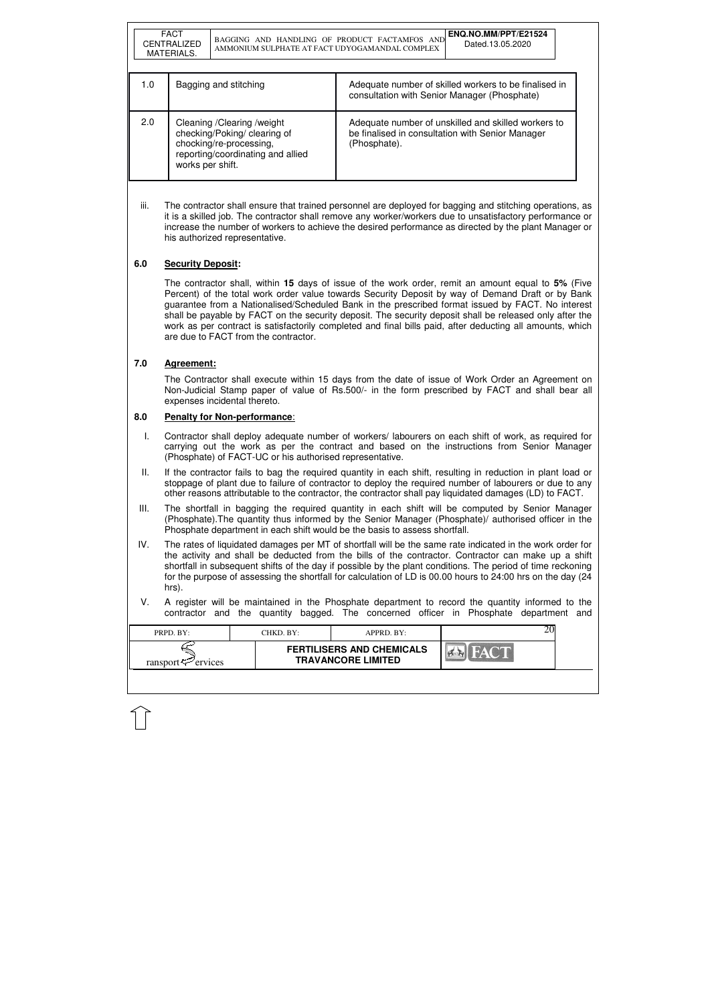| <b>FERTILISERS AND CHEMICALS</b><br><b>TRAVANCORE LIMITED</b> | PRPD. BY:           | CHKD. BY:- | $APPRD$ . BY: |  |
|---------------------------------------------------------------|---------------------|------------|---------------|--|
|                                                               | ransport<br>ervices |            |               |  |

|     | <b>FACT</b><br><b>CENTRALIZED</b><br>MATERIALS. | BAGGING AND HANDLING OF PRODUCT FACTAMFOS AND<br>AMMONIUM SULPHATE AT FACT UDYOGAMANDAL COMPLEX                              | ENQ.NO.MM/PPT/E21524<br>Dated.13.05.2020                                                                                |
|-----|-------------------------------------------------|------------------------------------------------------------------------------------------------------------------------------|-------------------------------------------------------------------------------------------------------------------------|
| 1.0 |                                                 | Bagging and stitching                                                                                                        | Adequate number of skilled workers to be finalised in<br>consultation with Senior Manager (Phosphate)                   |
| 2.0 | works per shift.                                | Cleaning / Clearing / weight<br>checking/Poking/ clearing of<br>chocking/re-processing,<br>reporting/coordinating and allied | Adequate number of unskilled and skilled workers to<br>be finalised in consultation with Senior Manager<br>(Phosphate). |

iii. The contractor shall ensure that trained personnel are deployed for bagging and stitching operations, as it is a skilled job. The contractor shall remove any worker/workers due to unsatisfactory performance or increase the number of workers to achieve the desired performance as directed by the plant Manager or his authorized representative.

### **6.0 Security Deposit:**

The contractor shall, within **15** days of issue of the work order, remit an amount equal to **5%** (Five Percent) of the total work order value towards Security Deposit by way of Demand Draft or by Bank guarantee from a Nationalised/Scheduled Bank in the prescribed format issued by FACT. No interest shall be payable by FACT on the security deposit. The security deposit shall be released only after the work as per contract is satisfactorily completed and final bills paid, after deducting all amounts, which are due to FACT from the contractor.

#### **7.0 Agreement:**

The Contractor shall execute within 15 days from the date of issue of Work Order an Agreement on Non-Judicial Stamp paper of value of Rs.500/- in the form prescribed by FACT and shall bear all expenses incidental thereto.

#### **8.0 Penalty for Non-performance**:

- I. Contractor shall deploy adequate number of workers/ labourers on each shift of work, as required for carrying out the work as per the contract and based on the instructions from Senior Manager (Phosphate) of FACT-UC or his authorised representative.
- II. If the contractor fails to bag the required quantity in each shift, resulting in reduction in plant load or stoppage of plant due to failure of contractor to deploy the required number of labourers or due to any other reasons attributable to the contractor, the contractor shall pay liquidated damages (LD) to FACT.
- III. The shortfall in bagging the required quantity in each shift will be computed by Senior Manager (Phosphate).The quantity thus informed by the Senior Manager (Phosphate)/ authorised officer in the Phosphate department in each shift would be the basis to assess shortfall.
- IV. The rates of liquidated damages per MT of shortfall will be the same rate indicated in the work order for the activity and shall be deducted from the bills of the contractor. Contractor can make up a shift shortfall in subsequent shifts of the day if possible by the plant conditions. The period of time reckoning for the purpose of assessing the shortfall for calculation of LD is 00.00 hours to 24:00 hrs on the day (24 hrs).
- V. A register will be maintained in the Phosphate department to record the quantity informed to the contractor and the quantity bagged. The concerned officer in Phosphate department and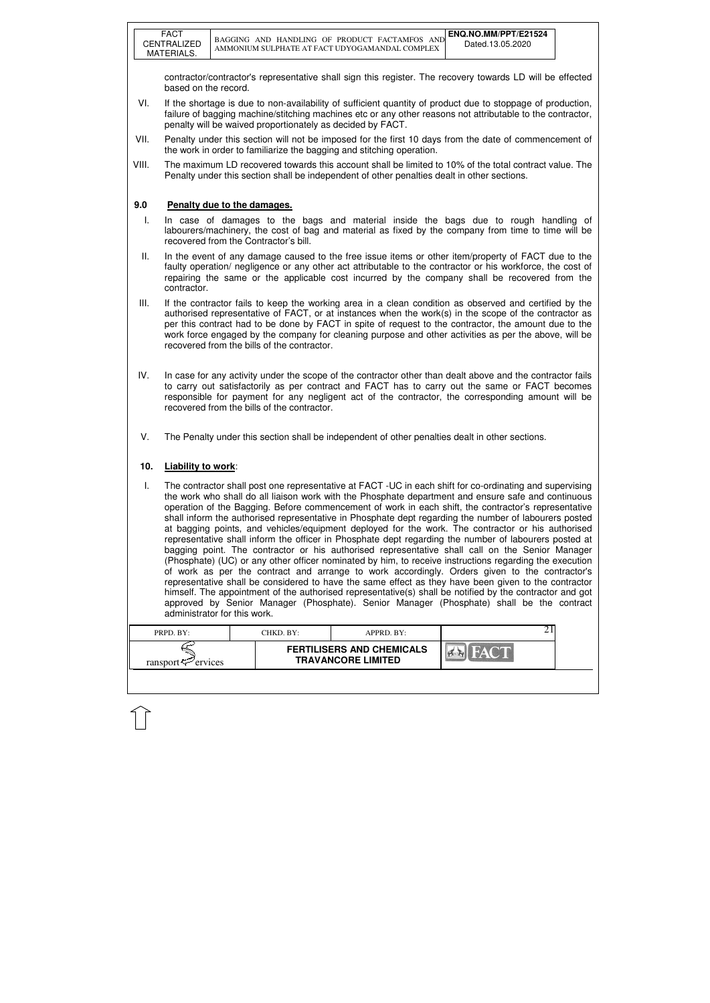| PRPD. BY:               | CHKD. BY:- | $APPRD$ $BY:$                                                 |  |
|-------------------------|------------|---------------------------------------------------------------|--|
| ransport $\sim$ ervices |            | <b>FERTILISERS AND CHEMICALS</b><br><b>TRAVANCORE LIMITED</b> |  |

contractor/contractor's representative shall sign this register. The recovery towards LD will be effected based on the record.

- VI. If the shortage is due to non-availability of sufficient quantity of product due to stoppage of production, failure of bagging machine/stitching machines etc or any other reasons not attributable to the contractor, penalty will be waived proportionately as decided by FACT.
- VII. Penalty under this section will not be imposed for the first 10 days from the date of commencement of the work in order to familiarize the bagging and stitching operation.
- VIII. The maximum LD recovered towards this account shall be limited to 10% of the total contract value. The Penalty under this section shall be independent of other penalties dealt in other sections.

### **9.0 Penalty due to the damages.**

- I. In case of damages to the bags and material inside the bags due to rough handling of labourers/machinery, the cost of bag and material as fixed by the company from time to time will be recovered from the Contractor's bill.
- II. In the event of any damage caused to the free issue items or other item/property of FACT due to the faulty operation/ negligence or any other act attributable to the contractor or his workforce, the cost of repairing the same or the applicable cost incurred by the company shall be recovered from the contractor.
- III. If the contractor fails to keep the working area in a clean condition as observed and certified by the authorised representative of FACT, or at instances when the work(s) in the scope of the contractor as per this contract had to be done by FACT in spite of request to the contractor, the amount due to the work force engaged by the company for cleaning purpose and other activities as per the above, will be recovered from the bills of the contractor.
- IV. In case for any activity under the scope of the contractor other than dealt above and the contractor fails to carry out satisfactorily as per contract and FACT has to carry out the same or FACT becomes responsible for payment for any negligent act of the contractor, the corresponding amount will be recovered from the bills of the contractor.
- V. The Penalty under this section shall be independent of other penalties dealt in other sections.

#### **10. Liability to work**:

I. The contractor shall post one representative at FACT -UC in each shift for co-ordinating and supervising the work who shall do all liaison work with the Phosphate department and ensure safe and continuous operation of the Bagging. Before commencement of work in each shift, the contractor's representative shall inform the authorised representative in Phosphate dept regarding the number of labourers posted at bagging points, and vehicles/equipment deployed for the work. The contractor or his authorised representative shall inform the officer in Phosphate dept regarding the number of labourers posted at bagging point. The contractor or his authorised representative shall call on the Senior Manager (Phosphate) (UC) or any other officer nominated by him, to receive instructions regarding the execution of work as per the contract and arrange to work accordingly. Orders given to the contractor's representative shall be considered to have the same effect as they have been given to the contractor himself. The appointment of the authorised representative(s) shall be notified by the contractor and got approved by Senior Manager (Phosphate). Senior Manager (Phosphate) shall be the contract administrator for this work.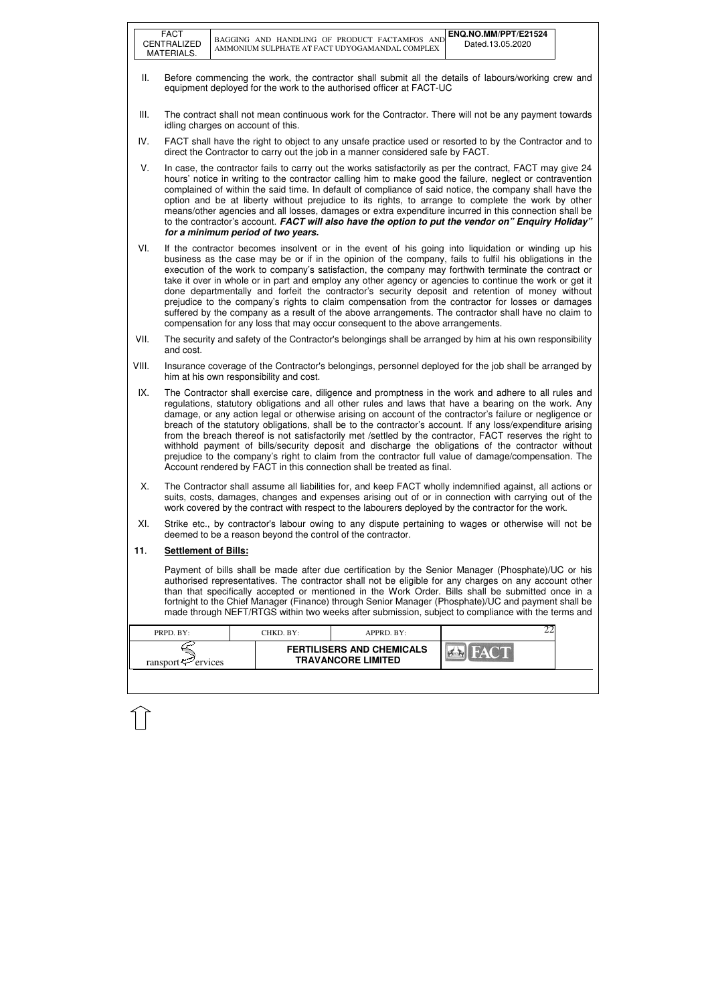|       | <b>FACT</b><br>CENTRALIZED                                                                                                                                                                                                                                                                                                                                                                                                                                                                                                                                                                                                                                                                                                                                                                                                                 |  |                                    | BAGGING AND HANDLING OF PRODUCT FACTAMFOS AND<br>AMMONIUM SULPHATE AT FACT UDYOGAMANDAL COMPLEX                                                                                                                                                                                                                                                                                                                                                                                                                                                                                                                                                                                                                                                                                                                                      | ENQ.NO.MM/PPT/E21524<br>Dated.13.05.2020 |  |
|-------|--------------------------------------------------------------------------------------------------------------------------------------------------------------------------------------------------------------------------------------------------------------------------------------------------------------------------------------------------------------------------------------------------------------------------------------------------------------------------------------------------------------------------------------------------------------------------------------------------------------------------------------------------------------------------------------------------------------------------------------------------------------------------------------------------------------------------------------------|--|------------------------------------|--------------------------------------------------------------------------------------------------------------------------------------------------------------------------------------------------------------------------------------------------------------------------------------------------------------------------------------------------------------------------------------------------------------------------------------------------------------------------------------------------------------------------------------------------------------------------------------------------------------------------------------------------------------------------------------------------------------------------------------------------------------------------------------------------------------------------------------|------------------------------------------|--|
|       | MATERIALS.                                                                                                                                                                                                                                                                                                                                                                                                                                                                                                                                                                                                                                                                                                                                                                                                                                 |  |                                    |                                                                                                                                                                                                                                                                                                                                                                                                                                                                                                                                                                                                                                                                                                                                                                                                                                      |                                          |  |
| Ш.    |                                                                                                                                                                                                                                                                                                                                                                                                                                                                                                                                                                                                                                                                                                                                                                                                                                            |  |                                    | Before commencing the work, the contractor shall submit all the details of labours/working crew and<br>equipment deployed for the work to the authorised officer at FACT-UC                                                                                                                                                                                                                                                                                                                                                                                                                                                                                                                                                                                                                                                          |                                          |  |
| III.  | idling charges on account of this.                                                                                                                                                                                                                                                                                                                                                                                                                                                                                                                                                                                                                                                                                                                                                                                                         |  |                                    | The contract shall not mean continuous work for the Contractor. There will not be any payment towards                                                                                                                                                                                                                                                                                                                                                                                                                                                                                                                                                                                                                                                                                                                                |                                          |  |
| IV.   |                                                                                                                                                                                                                                                                                                                                                                                                                                                                                                                                                                                                                                                                                                                                                                                                                                            |  |                                    | FACT shall have the right to object to any unsafe practice used or resorted to by the Contractor and to<br>direct the Contractor to carry out the job in a manner considered safe by FACT.                                                                                                                                                                                                                                                                                                                                                                                                                                                                                                                                                                                                                                           |                                          |  |
| V.    |                                                                                                                                                                                                                                                                                                                                                                                                                                                                                                                                                                                                                                                                                                                                                                                                                                            |  | for a minimum period of two years. | In case, the contractor fails to carry out the works satisfactorily as per the contract, FACT may give 24<br>hours' notice in writing to the contractor calling him to make good the failure, neglect or contravention<br>complained of within the said time. In default of compliance of said notice, the company shall have the<br>option and be at liberty without prejudice to its rights, to arrange to complete the work by other<br>means/other agencies and all losses, damages or extra expenditure incurred in this connection shall be<br>to the contractor's account. FACT will also have the option to put the vendor on" Enquiry Holiday"                                                                                                                                                                              |                                          |  |
| VI.   |                                                                                                                                                                                                                                                                                                                                                                                                                                                                                                                                                                                                                                                                                                                                                                                                                                            |  |                                    | If the contractor becomes insolvent or in the event of his going into liquidation or winding up his<br>business as the case may be or if in the opinion of the company, fails to fulfil his obligations in the<br>execution of the work to company's satisfaction, the company may forthwith terminate the contract or<br>take it over in whole or in part and employ any other agency or agencies to continue the work or get it<br>done departmentally and forfeit the contractor's security deposit and retention of money without<br>prejudice to the company's rights to claim compensation from the contractor for losses or damages<br>suffered by the company as a result of the above arrangements. The contractor shall have no claim to<br>compensation for any loss that may occur consequent to the above arrangements. |                                          |  |
| VII.  | The security and safety of the Contractor's belongings shall be arranged by him at his own responsibility<br>and cost.                                                                                                                                                                                                                                                                                                                                                                                                                                                                                                                                                                                                                                                                                                                     |  |                                    |                                                                                                                                                                                                                                                                                                                                                                                                                                                                                                                                                                                                                                                                                                                                                                                                                                      |                                          |  |
| VIII. | Insurance coverage of the Contractor's belongings, personnel deployed for the job shall be arranged by<br>him at his own responsibility and cost.                                                                                                                                                                                                                                                                                                                                                                                                                                                                                                                                                                                                                                                                                          |  |                                    |                                                                                                                                                                                                                                                                                                                                                                                                                                                                                                                                                                                                                                                                                                                                                                                                                                      |                                          |  |
| IX.   | The Contractor shall exercise care, diligence and promptness in the work and adhere to all rules and<br>regulations, statutory obligations and all other rules and laws that have a bearing on the work. Any<br>damage, or any action legal or otherwise arising on account of the contractor's failure or negligence or<br>breach of the statutory obligations, shall be to the contractor's account. If any loss/expenditure arising<br>from the breach thereof is not satisfactorily met /settled by the contractor, FACT reserves the right to<br>withhold payment of bills/security deposit and discharge the obligations of the contractor without<br>prejudice to the company's right to claim from the contractor full value of damage/compensation. The<br>Account rendered by FACT in this connection shall be treated as final. |  |                                    |                                                                                                                                                                                                                                                                                                                                                                                                                                                                                                                                                                                                                                                                                                                                                                                                                                      |                                          |  |
| Х.    |                                                                                                                                                                                                                                                                                                                                                                                                                                                                                                                                                                                                                                                                                                                                                                                                                                            |  |                                    | The Contractor shall assume all liabilities for, and keep FACT wholly indemnified against, all actions or<br>suits, costs, damages, changes and expenses arising out of or in connection with carrying out of the<br>work covered by the contract with respect to the labourers deployed by the contractor for the work.                                                                                                                                                                                                                                                                                                                                                                                                                                                                                                             |                                          |  |
| XI.   |                                                                                                                                                                                                                                                                                                                                                                                                                                                                                                                                                                                                                                                                                                                                                                                                                                            |  |                                    | Strike etc., by contractor's labour owing to any dispute pertaining to wages or otherwise will not be<br>deemed to be a reason beyond the control of the contractor.                                                                                                                                                                                                                                                                                                                                                                                                                                                                                                                                                                                                                                                                 |                                          |  |
| 11.   | <b>Settlement of Bills:</b>                                                                                                                                                                                                                                                                                                                                                                                                                                                                                                                                                                                                                                                                                                                                                                                                                |  |                                    |                                                                                                                                                                                                                                                                                                                                                                                                                                                                                                                                                                                                                                                                                                                                                                                                                                      |                                          |  |
|       |                                                                                                                                                                                                                                                                                                                                                                                                                                                                                                                                                                                                                                                                                                                                                                                                                                            |  |                                    | Payment of bills shall be made after due certification by the Senior Manager (Phosphate)/UC or his<br>authorised representatives. The contractor shall not be eligible for any charges on any account other<br>than that specifically accepted or mentioned in the Work Order. Bills shall be submitted once in a<br>fortnight to the Chief Manager (Finance) through Senior Manager (Phosphate)/UC and payment shall be<br>made through NEFT/RTGS within two weeks after submission, subject to compliance with the terms and                                                                                                                                                                                                                                                                                                       |                                          |  |
|       | PRPD. BY:                                                                                                                                                                                                                                                                                                                                                                                                                                                                                                                                                                                                                                                                                                                                                                                                                                  |  | CHKD. BY:                          | APPRD. BY:                                                                                                                                                                                                                                                                                                                                                                                                                                                                                                                                                                                                                                                                                                                                                                                                                           | 22                                       |  |
|       | ransport $\mathcal{F}$ ervices                                                                                                                                                                                                                                                                                                                                                                                                                                                                                                                                                                                                                                                                                                                                                                                                             |  |                                    | <b>FERTILISERS AND CHEMICALS</b><br><b>TRAVANCORE LIMITED</b>                                                                                                                                                                                                                                                                                                                                                                                                                                                                                                                                                                                                                                                                                                                                                                        |                                          |  |
|       |                                                                                                                                                                                                                                                                                                                                                                                                                                                                                                                                                                                                                                                                                                                                                                                                                                            |  |                                    |                                                                                                                                                                                                                                                                                                                                                                                                                                                                                                                                                                                                                                                                                                                                                                                                                                      |                                          |  |

 $\overline{1}$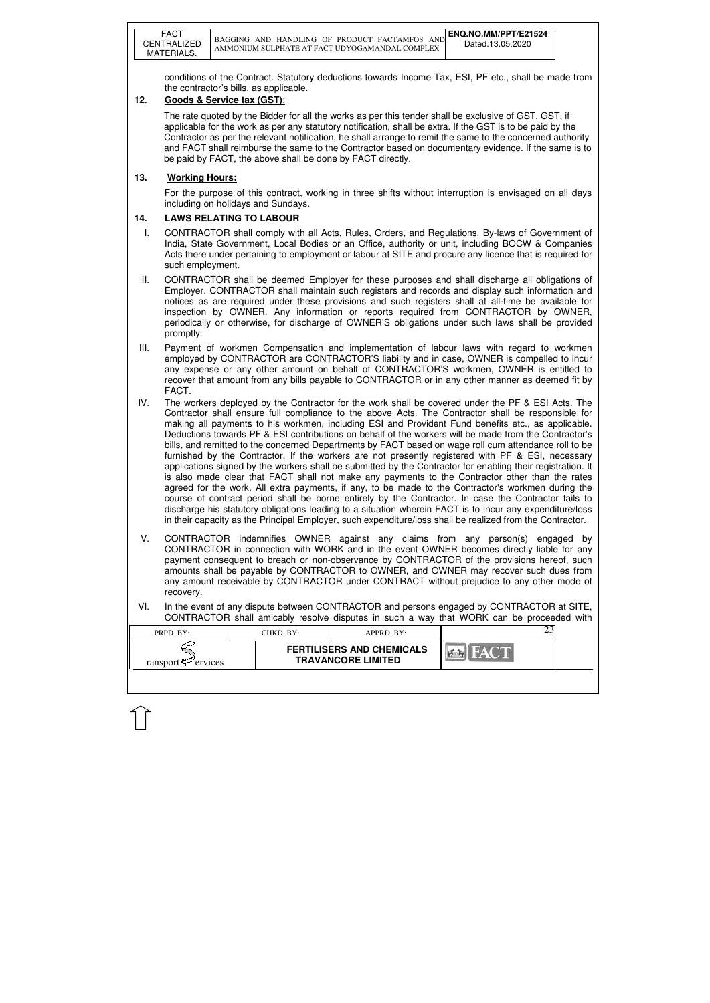|      | <b>FACT</b><br>CENTRALIZED<br>MATERIALS.                                                                                                                                                                                                                                                                                                                                                                                                                                                                         |  |                                                                      | BAGGING AND HANDLING OF PRODUCT FACTAMFOS AND<br>AMMONIUM SULPHATE AT FACT UDYOGAMANDAL COMPLEX                                                                                                                                                                                                                                                                                                                                                                                                                                                                                                                                                                                                                                                                                                                                                                                                                                                                                                                                                                                                                                                                                                                                                                                               | ENQ.NO.MM/PPT/E21524<br>Dated.13.05.2020 |  |  |
|------|------------------------------------------------------------------------------------------------------------------------------------------------------------------------------------------------------------------------------------------------------------------------------------------------------------------------------------------------------------------------------------------------------------------------------------------------------------------------------------------------------------------|--|----------------------------------------------------------------------|-----------------------------------------------------------------------------------------------------------------------------------------------------------------------------------------------------------------------------------------------------------------------------------------------------------------------------------------------------------------------------------------------------------------------------------------------------------------------------------------------------------------------------------------------------------------------------------------------------------------------------------------------------------------------------------------------------------------------------------------------------------------------------------------------------------------------------------------------------------------------------------------------------------------------------------------------------------------------------------------------------------------------------------------------------------------------------------------------------------------------------------------------------------------------------------------------------------------------------------------------------------------------------------------------|------------------------------------------|--|--|
| 12.  |                                                                                                                                                                                                                                                                                                                                                                                                                                                                                                                  |  | the contractor's bills, as applicable.<br>Goods & Service tax (GST): | conditions of the Contract. Statutory deductions towards Income Tax, ESI, PF etc., shall be made from                                                                                                                                                                                                                                                                                                                                                                                                                                                                                                                                                                                                                                                                                                                                                                                                                                                                                                                                                                                                                                                                                                                                                                                         |                                          |  |  |
|      |                                                                                                                                                                                                                                                                                                                                                                                                                                                                                                                  |  |                                                                      | The rate quoted by the Bidder for all the works as per this tender shall be exclusive of GST. GST, if<br>applicable for the work as per any statutory notification, shall be extra. If the GST is to be paid by the<br>Contractor as per the relevant notification, he shall arrange to remit the same to the concerned authority<br>and FACT shall reimburse the same to the Contractor based on documentary evidence. If the same is to<br>be paid by FACT, the above shall be done by FACT directly.                                                                                                                                                                                                                                                                                                                                                                                                                                                                                                                                                                                                                                                                                                                                                                                       |                                          |  |  |
| 13.  | <b>Working Hours:</b>                                                                                                                                                                                                                                                                                                                                                                                                                                                                                            |  |                                                                      |                                                                                                                                                                                                                                                                                                                                                                                                                                                                                                                                                                                                                                                                                                                                                                                                                                                                                                                                                                                                                                                                                                                                                                                                                                                                                               |                                          |  |  |
|      |                                                                                                                                                                                                                                                                                                                                                                                                                                                                                                                  |  | including on holidays and Sundays.                                   | For the purpose of this contract, working in three shifts without interruption is envisaged on all days                                                                                                                                                                                                                                                                                                                                                                                                                                                                                                                                                                                                                                                                                                                                                                                                                                                                                                                                                                                                                                                                                                                                                                                       |                                          |  |  |
| 14.  |                                                                                                                                                                                                                                                                                                                                                                                                                                                                                                                  |  | <b>LAWS RELATING TO LABOUR</b>                                       |                                                                                                                                                                                                                                                                                                                                                                                                                                                                                                                                                                                                                                                                                                                                                                                                                                                                                                                                                                                                                                                                                                                                                                                                                                                                                               |                                          |  |  |
| T.   | such employment.                                                                                                                                                                                                                                                                                                                                                                                                                                                                                                 |  |                                                                      | CONTRACTOR shall comply with all Acts, Rules, Orders, and Regulations. By-laws of Government of<br>India, State Government, Local Bodies or an Office, authority or unit, including BOCW & Companies<br>Acts there under pertaining to employment or labour at SITE and procure any licence that is required for                                                                                                                                                                                                                                                                                                                                                                                                                                                                                                                                                                                                                                                                                                                                                                                                                                                                                                                                                                              |                                          |  |  |
| Ш.   | CONTRACTOR shall be deemed Employer for these purposes and shall discharge all obligations of<br>Employer. CONTRACTOR shall maintain such registers and records and display such information and<br>notices as are required under these provisions and such registers shall at all-time be available for<br>inspection by OWNER. Any information or reports required from CONTRACTOR by OWNER,<br>periodically or otherwise, for discharge of OWNER'S obligations under such laws shall be provided<br>promptly. |  |                                                                      |                                                                                                                                                                                                                                                                                                                                                                                                                                                                                                                                                                                                                                                                                                                                                                                                                                                                                                                                                                                                                                                                                                                                                                                                                                                                                               |                                          |  |  |
| III. | Payment of workmen Compensation and implementation of labour laws with regard to workmen<br>employed by CONTRACTOR are CONTRACTOR'S liability and in case, OWNER is compelled to incur<br>any expense or any other amount on behalf of CONTRACTOR'S workmen, OWNER is entitled to<br>recover that amount from any bills payable to CONTRACTOR or in any other manner as deemed fit by<br>FACT.                                                                                                                   |  |                                                                      |                                                                                                                                                                                                                                                                                                                                                                                                                                                                                                                                                                                                                                                                                                                                                                                                                                                                                                                                                                                                                                                                                                                                                                                                                                                                                               |                                          |  |  |
| IV.  |                                                                                                                                                                                                                                                                                                                                                                                                                                                                                                                  |  |                                                                      | The workers deployed by the Contractor for the work shall be covered under the PF & ESI Acts. The<br>Contractor shall ensure full compliance to the above Acts. The Contractor shall be responsible for<br>making all payments to his workmen, including ESI and Provident Fund benefits etc., as applicable.<br>Deductions towards PF & ESI contributions on behalf of the workers will be made from the Contractor's<br>bills, and remitted to the concerned Departments by FACT based on wage roll cum attendance roll to be<br>furnished by the Contractor. If the workers are not presently registered with PF & ESI, necessary<br>applications signed by the workers shall be submitted by the Contractor for enabling their registration. It<br>is also made clear that FACT shall not make any payments to the Contractor other than the rates<br>agreed for the work. All extra payments, if any, to be made to the Contractor's workmen during the<br>course of contract period shall be borne entirely by the Contractor. In case the Contractor fails to<br>discharge his statutory obligations leading to a situation wherein FACT is to incur any expenditure/loss<br>in their capacity as the Principal Employer, such expenditure/loss shall be realized from the Contractor. |                                          |  |  |
| V.   | CONTRACTOR indemnifies OWNER against any claims from any person(s) engaged by<br>CONTRACTOR in connection with WORK and in the event OWNER becomes directly liable for any<br>payment consequent to breach or non-observance by CONTRACTOR of the provisions hereof, such<br>amounts shall be payable by CONTRACTOR to OWNER, and OWNER may recover such dues from<br>any amount receivable by CONTRACTOR under CONTRACT without prejudice to any other mode of<br>recovery.                                     |  |                                                                      |                                                                                                                                                                                                                                                                                                                                                                                                                                                                                                                                                                                                                                                                                                                                                                                                                                                                                                                                                                                                                                                                                                                                                                                                                                                                                               |                                          |  |  |
| VI.  |                                                                                                                                                                                                                                                                                                                                                                                                                                                                                                                  |  |                                                                      | In the event of any dispute between CONTRACTOR and persons engaged by CONTRACTOR at SITE,<br>CONTRACTOR shall amicably resolve disputes in such a way that WORK can be proceeded with                                                                                                                                                                                                                                                                                                                                                                                                                                                                                                                                                                                                                                                                                                                                                                                                                                                                                                                                                                                                                                                                                                         |                                          |  |  |
|      | PRPD. BY:                                                                                                                                                                                                                                                                                                                                                                                                                                                                                                        |  | CHKD. BY:                                                            | APPRD. BY:                                                                                                                                                                                                                                                                                                                                                                                                                                                                                                                                                                                                                                                                                                                                                                                                                                                                                                                                                                                                                                                                                                                                                                                                                                                                                    | 23                                       |  |  |
|      | ransport $\approx$ ervices                                                                                                                                                                                                                                                                                                                                                                                                                                                                                       |  |                                                                      | <b>FERTILISERS AND CHEMICALS</b><br><b>TRAVANCORE LIMITED</b>                                                                                                                                                                                                                                                                                                                                                                                                                                                                                                                                                                                                                                                                                                                                                                                                                                                                                                                                                                                                                                                                                                                                                                                                                                 | $7 - 1$                                  |  |  |

 $\widehat{1}$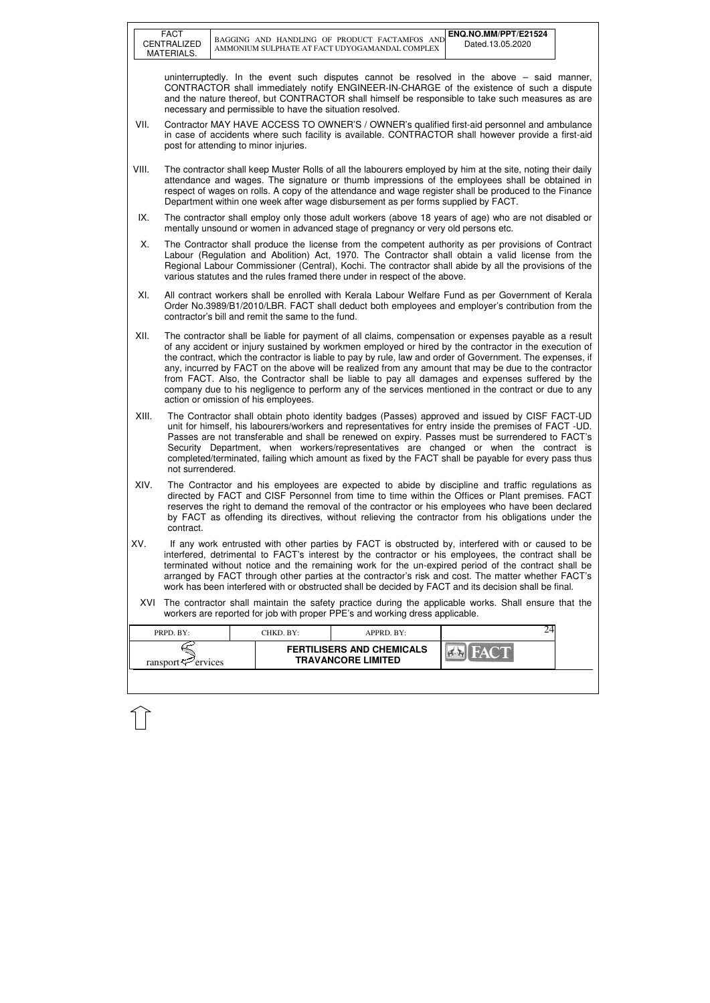|       | <b>FACT</b><br>CENTRALIZED<br>MATERIALS.                                                                                                                                                                                                                                                                                                                                                                                                                                                                                                                                                                                                                                                   |  |                                                           | BAGGING AND HANDLING OF PRODUCT FACTAMFOS AND<br>AMMONIUM SULPHATE AT FACT UDYOGAMANDAL COMPLEX                                                                                                                                                                                                                                                                                                              | ENQ.NO.MM/PPT/E21524<br>Dated.13.05.2020 |  |  |
|-------|--------------------------------------------------------------------------------------------------------------------------------------------------------------------------------------------------------------------------------------------------------------------------------------------------------------------------------------------------------------------------------------------------------------------------------------------------------------------------------------------------------------------------------------------------------------------------------------------------------------------------------------------------------------------------------------------|--|-----------------------------------------------------------|--------------------------------------------------------------------------------------------------------------------------------------------------------------------------------------------------------------------------------------------------------------------------------------------------------------------------------------------------------------------------------------------------------------|------------------------------------------|--|--|
|       |                                                                                                                                                                                                                                                                                                                                                                                                                                                                                                                                                                                                                                                                                            |  | necessary and permissible to have the situation resolved. | uninterruptedly. In the event such disputes cannot be resolved in the above $-$ said manner,<br>CONTRACTOR shall immediately notify ENGINEER-IN-CHARGE of the existence of such a dispute<br>and the nature thereof, but CONTRACTOR shall himself be responsible to take such measures as are                                                                                                                |                                          |  |  |
| VII.  |                                                                                                                                                                                                                                                                                                                                                                                                                                                                                                                                                                                                                                                                                            |  | post for attending to minor injuries.                     | Contractor MAY HAVE ACCESS TO OWNER'S / OWNER's qualified first-aid personnel and ambulance<br>in case of accidents where such facility is available. CONTRACTOR shall however provide a first-aid                                                                                                                                                                                                           |                                          |  |  |
| VIII. |                                                                                                                                                                                                                                                                                                                                                                                                                                                                                                                                                                                                                                                                                            |  |                                                           | The contractor shall keep Muster Rolls of all the labourers employed by him at the site, noting their daily<br>attendance and wages. The signature or thumb impressions of the employees shall be obtained in<br>respect of wages on rolls. A copy of the attendance and wage register shall be produced to the Finance<br>Department within one week after wage disbursement as per forms supplied by FACT. |                                          |  |  |
| IX.   | The contractor shall employ only those adult workers (above 18 years of age) who are not disabled or<br>mentally unsound or women in advanced stage of pregnancy or very old persons etc.                                                                                                                                                                                                                                                                                                                                                                                                                                                                                                  |  |                                                           |                                                                                                                                                                                                                                                                                                                                                                                                              |                                          |  |  |
| Х.    |                                                                                                                                                                                                                                                                                                                                                                                                                                                                                                                                                                                                                                                                                            |  |                                                           | The Contractor shall produce the license from the competent authority as per provisions of Contract<br>Labour (Regulation and Abolition) Act, 1970. The Contractor shall obtain a valid license from the<br>Regional Labour Commissioner (Central), Kochi. The contractor shall abide by all the provisions of the<br>various statutes and the rules framed there under in respect of the above.             |                                          |  |  |
| XI.   | All contract workers shall be enrolled with Kerala Labour Welfare Fund as per Government of Kerala<br>Order No.3989/B1/2010/LBR. FACT shall deduct both employees and employer's contribution from the<br>contractor's bill and remit the same to the fund.                                                                                                                                                                                                                                                                                                                                                                                                                                |  |                                                           |                                                                                                                                                                                                                                                                                                                                                                                                              |                                          |  |  |
| XII.  | The contractor shall be liable for payment of all claims, compensation or expenses payable as a result<br>of any accident or injury sustained by workmen employed or hired by the contractor in the execution of<br>the contract, which the contractor is liable to pay by rule, law and order of Government. The expenses, if<br>any, incurred by FACT on the above will be realized from any amount that may be due to the contractor<br>from FACT. Also, the Contractor shall be liable to pay all damages and expenses suffered by the<br>company due to his negligence to perform any of the services mentioned in the contract or due to any<br>action or omission of his employees. |  |                                                           |                                                                                                                                                                                                                                                                                                                                                                                                              |                                          |  |  |
| XIII. | The Contractor shall obtain photo identity badges (Passes) approved and issued by CISF FACT-UD<br>unit for himself, his labourers/workers and representatives for entry inside the premises of FACT -UD.<br>Passes are not transferable and shall be renewed on expiry. Passes must be surrendered to FACT's<br>Security Department, when workers/representatives are changed or when the contract is<br>completed/terminated, failing which amount as fixed by the FACT shall be payable for every pass thus<br>not surrendered.                                                                                                                                                          |  |                                                           |                                                                                                                                                                                                                                                                                                                                                                                                              |                                          |  |  |
| XIV.  | The Contractor and his employees are expected to abide by discipline and traffic regulations as<br>directed by FACT and CISF Personnel from time to time within the Offices or Plant premises. FACT<br>reserves the right to demand the removal of the contractor or his employees who have been declared<br>by FACT as offending its directives, without relieving the contractor from his obligations under the<br>contract.                                                                                                                                                                                                                                                             |  |                                                           |                                                                                                                                                                                                                                                                                                                                                                                                              |                                          |  |  |
| XV.   | If any work entrusted with other parties by FACT is obstructed by, interfered with or caused to be<br>interfered, detrimental to FACT's interest by the contractor or his employees, the contract shall be<br>terminated without notice and the remaining work for the un-expired period of the contract shall be<br>arranged by FACT through other parties at the contractor's risk and cost. The matter whether FACT's<br>work has been interfered with or obstructed shall be decided by FACT and its decision shall be final.                                                                                                                                                          |  |                                                           |                                                                                                                                                                                                                                                                                                                                                                                                              |                                          |  |  |
| XVI   |                                                                                                                                                                                                                                                                                                                                                                                                                                                                                                                                                                                                                                                                                            |  |                                                           | The contractor shall maintain the safety practice during the applicable works. Shall ensure that the<br>workers are reported for job with proper PPE's and working dress applicable.                                                                                                                                                                                                                         |                                          |  |  |
|       | PRPD. BY:                                                                                                                                                                                                                                                                                                                                                                                                                                                                                                                                                                                                                                                                                  |  | CHKD. BY:                                                 | APPRD. BY:                                                                                                                                                                                                                                                                                                                                                                                                   | 24                                       |  |  |
|       | ransport <sup>-</sup> ervices                                                                                                                                                                                                                                                                                                                                                                                                                                                                                                                                                                                                                                                              |  |                                                           | <b>FERTILISERS AND CHEMICALS</b><br><b>TRAVANCORE LIMITED</b>                                                                                                                                                                                                                                                                                                                                                |                                          |  |  |
|       |                                                                                                                                                                                                                                                                                                                                                                                                                                                                                                                                                                                                                                                                                            |  |                                                           |                                                                                                                                                                                                                                                                                                                                                                                                              |                                          |  |  |

 $\widehat{1}$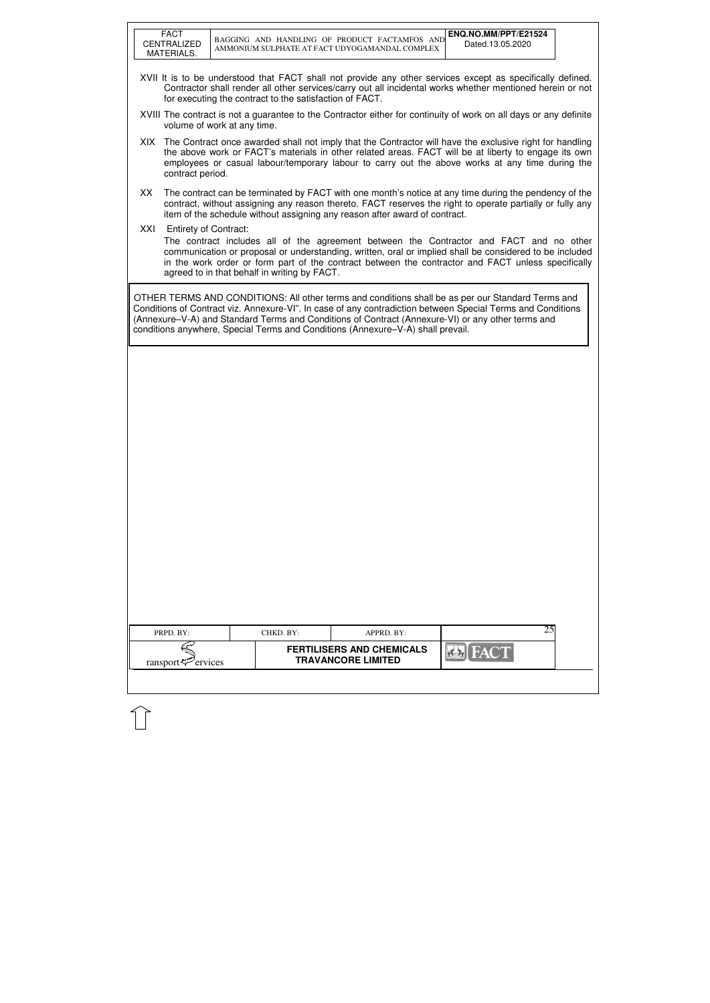|     | <b>FACT</b><br><b>CENTRALIZED</b><br>MATERIALS. | BAGGING AND HANDLING OF PRODUCT FACTAMFOS AND<br>AMMONIUM SULPHATE AT FACT UDYOGAMANDAL COMPLEX                                                                                      |                                                               | ENQ.NO.MM/PPT/E21524<br>Dated.13.05.2020                                                                                                                                                                                                                                                                                |
|-----|-------------------------------------------------|--------------------------------------------------------------------------------------------------------------------------------------------------------------------------------------|---------------------------------------------------------------|-------------------------------------------------------------------------------------------------------------------------------------------------------------------------------------------------------------------------------------------------------------------------------------------------------------------------|
|     |                                                 | for executing the contract to the satisfaction of FACT.                                                                                                                              |                                                               | XVII It is to be understood that FACT shall not provide any other services except as specifically defined.<br>Contractor shall render all other services/carry out all incidental works whether mentioned herein or not                                                                                                 |
|     |                                                 | volume of work at any time.                                                                                                                                                          |                                                               | XVIII The contract is not a guarantee to the Contractor either for continuity of work on all days or any definite                                                                                                                                                                                                       |
|     | contract period.                                |                                                                                                                                                                                      |                                                               | XIX The Contract once awarded shall not imply that the Contractor will have the exclusive right for handling<br>the above work or FACT's materials in other related areas. FACT will be at liberty to engage its own<br>employees or casual labour/temporary labour to carry out the above works at any time during the |
| XX  |                                                 | item of the schedule without assigning any reason after award of contract.                                                                                                           |                                                               | The contract can be terminated by FACT with one month's notice at any time during the pendency of the<br>contract, without assigning any reason thereto. FACT reserves the right to operate partially or fully any                                                                                                      |
| XXI | <b>Entirety of Contract:</b>                    | agreed to in that behalf in writing by FACT.                                                                                                                                         |                                                               | The contract includes all of the agreement between the Contractor and FACT and no other<br>communication or proposal or understanding, written, oral or implied shall be considered to be included<br>in the work order or form part of the contract between the contractor and FACT unless specifically                |
|     |                                                 | (Annexure-V-A) and Standard Terms and Conditions of Contract (Annexure-VI) or any other terms and<br>conditions anywhere, Special Terms and Conditions (Annexure-V-A) shall prevail. |                                                               | OTHER TERMS AND CONDITIONS: All other terms and conditions shall be as per our Standard Terms and<br>Conditions of Contract viz. Annexure-VI". In case of any contradiction between Special Terms and Conditions                                                                                                        |
|     |                                                 |                                                                                                                                                                                      |                                                               |                                                                                                                                                                                                                                                                                                                         |
|     |                                                 |                                                                                                                                                                                      |                                                               |                                                                                                                                                                                                                                                                                                                         |
|     |                                                 |                                                                                                                                                                                      |                                                               |                                                                                                                                                                                                                                                                                                                         |
|     |                                                 |                                                                                                                                                                                      |                                                               |                                                                                                                                                                                                                                                                                                                         |
|     |                                                 |                                                                                                                                                                                      |                                                               |                                                                                                                                                                                                                                                                                                                         |
|     |                                                 |                                                                                                                                                                                      |                                                               |                                                                                                                                                                                                                                                                                                                         |
|     |                                                 |                                                                                                                                                                                      |                                                               |                                                                                                                                                                                                                                                                                                                         |
|     | PRPD. BY:                                       | CHKD. BY:                                                                                                                                                                            | APPRD. BY:                                                    | 25                                                                                                                                                                                                                                                                                                                      |
|     | ransport <sup>-</sup> ervices                   |                                                                                                                                                                                      | <b>FERTILISERS AND CHEMICALS</b><br><b>TRAVANCORE LIMITED</b> | FAC                                                                                                                                                                                                                                                                                                                     |
|     |                                                 |                                                                                                                                                                                      |                                                               |                                                                                                                                                                                                                                                                                                                         |

 $\mathbb{\hat{}}$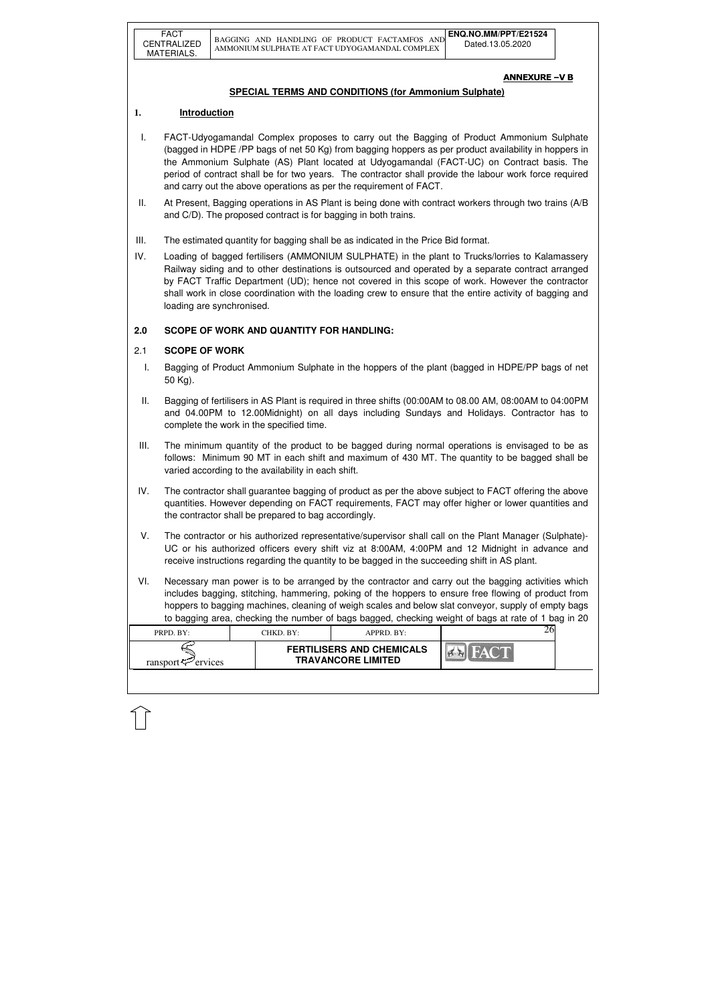| PRPD. BY:               | CHKD. BY: | APPRD. BY:                                                    |  |
|-------------------------|-----------|---------------------------------------------------------------|--|
| ransport $\leq$ ervices |           | <b>FERTILISERS AND CHEMICALS</b><br><b>TRAVANCORE LIMITED</b> |  |
|                         |           |                                                               |  |

### ANNEXURE –V B

## **SPECIAL TERMS AND CONDITIONS (for Ammonium Sulphate)**

# **1. Introduction**

- I. FACT-Udyogamandal Complex proposes to carry out the Bagging of Product Ammonium Sulphate (bagged in HDPE /PP bags of net 50 Kg) from bagging hoppers as per product availability in hoppers in the Ammonium Sulphate (AS) Plant located at Udyogamandal (FACT-UC) on Contract basis. The period of contract shall be for two years. The contractor shall provide the labour work force required and carry out the above operations as per the requirement of FACT.
- II. At Present, Bagging operations in AS Plant is being done with contract workers through two trains (A/B and C/D). The proposed contract is for bagging in both trains.
- III. The estimated quantity for bagging shall be as indicated in the Price Bid format.
- IV. Loading of bagged fertilisers (AMMONIUM SULPHATE) in the plant to Trucks/lorries to Kalamassery Railway siding and to other destinations is outsourced and operated by a separate contract arranged by FACT Traffic Department (UD); hence not covered in this scope of work. However the contractor shall work in close coordination with the loading crew to ensure that the entire activity of bagging and loading are synchronised.

# **2.0 SCOPE OF WORK AND QUANTITY FOR HANDLING:**

## 2.1 **SCOPE OF WORK**

- I. Bagging of Product Ammonium Sulphate in the hoppers of the plant (bagged in HDPE/PP bags of net 50 Kg).
- II. Bagging of fertilisers in AS Plant is required in three shifts (00:00AM to 08.00 AM, 08:00AM to 04:00PM and 04.00PM to 12.00Midnight) on all days including Sundays and Holidays. Contractor has to complete the work in the specified time.
- III. The minimum quantity of the product to be bagged during normal operations is envisaged to be as follows: Minimum 90 MT in each shift and maximum of 430 MT. The quantity to be bagged shall be varied according to the availability in each shift.
- IV. The contractor shall guarantee bagging of product as per the above subject to FACT offering the above quantities. However depending on FACT requirements, FACT may offer higher or lower quantities and the contractor shall be prepared to bag accordingly.
- V. The contractor or his authorized representative/supervisor shall call on the Plant Manager (Sulphate)- UC or his authorized officers every shift viz at 8:00AM, 4:00PM and 12 Midnight in advance and receive instructions regarding the quantity to be bagged in the succeeding shift in AS plant.
- VI. Necessary man power is to be arranged by the contractor and carry out the bagging activities which includes bagging, stitching, hammering, poking of the hoppers to ensure free flowing of product from hoppers to bagging machines, cleaning of weigh scales and below slat conveyor, supply of empty bags to bagging area, checking the number of bags bagged, checking weight of bags at rate of 1 bag in 20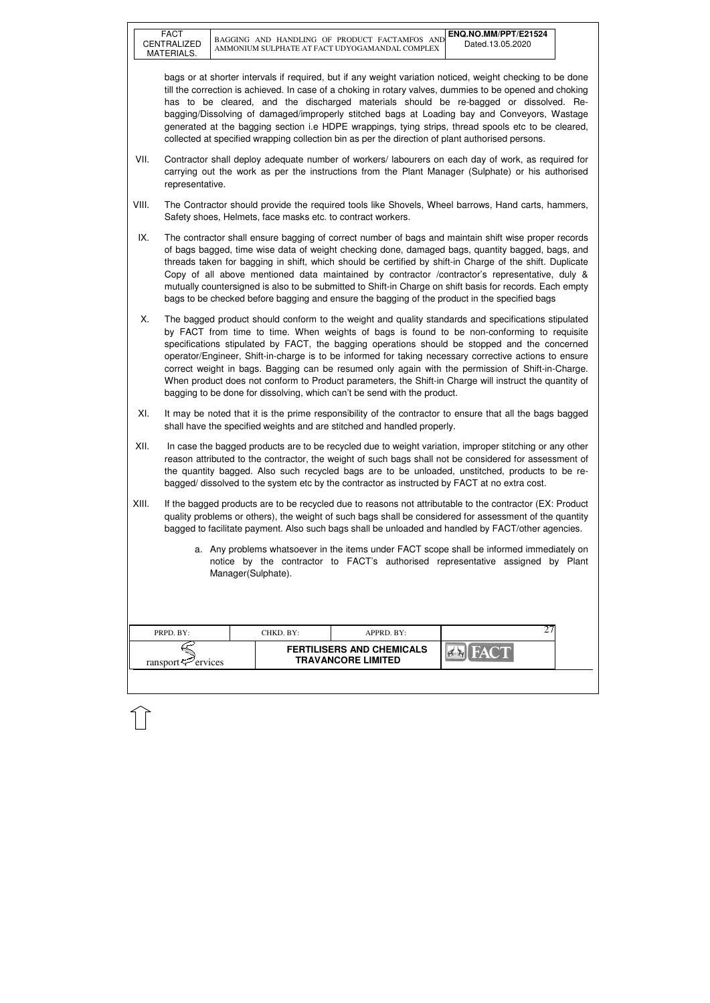| PRPD. BY:               | CHKD. BY: | APPRD. BY:                                                    | ∼ |  |
|-------------------------|-----------|---------------------------------------------------------------|---|--|
| ransport $\leq$ ervices |           | <b>FERTILISERS AND CHEMICALS</b><br><b>TRAVANCORE LIMITED</b> |   |  |

bags or at shorter intervals if required, but if any weight variation noticed, weight checking to be done till the correction is achieved. In case of a choking in rotary valves, dummies to be opened and choking has to be cleared, and the discharged materials should be re-bagged or dissolved. Rebagging/Dissolving of damaged/improperly stitched bags at Loading bay and Conveyors, Wastage generated at the bagging section i.e HDPE wrappings, tying strips, thread spools etc to be cleared, collected at specified wrapping collection bin as per the direction of plant authorised persons.

- VII. Contractor shall deploy adequate number of workers/ labourers on each day of work, as required for carrying out the work as per the instructions from the Plant Manager (Sulphate) or his authorised representative.
- VIII. The Contractor should provide the required tools like Shovels, Wheel barrows, Hand carts, hammers, Safety shoes, Helmets, face masks etc. to contract workers.
- IX. The contractor shall ensure bagging of correct number of bags and maintain shift wise proper records of bags bagged, time wise data of weight checking done, damaged bags, quantity bagged, bags, and threads taken for bagging in shift, which should be certified by shift-in Charge of the shift. Duplicate Copy of all above mentioned data maintained by contractor /contractor's representative, duly & mutually countersigned is also to be submitted to Shift-in Charge on shift basis for records. Each empty bags to be checked before bagging and ensure the bagging of the product in the specified bags
- X. The bagged product should conform to the weight and quality standards and specifications stipulated by FACT from time to time. When weights of bags is found to be non-conforming to requisite specifications stipulated by FACT, the bagging operations should be stopped and the concerned operator/Engineer, Shift-in-charge is to be informed for taking necessary corrective actions to ensure correct weight in bags. Bagging can be resumed only again with the permission of Shift-in-Charge. When product does not conform to Product parameters, the Shift-in Charge will instruct the quantity of bagging to be done for dissolving, which can't be send with the product.
- XI. It may be noted that it is the prime responsibility of the contractor to ensure that all the bags bagged shall have the specified weights and are stitched and handled properly.
- XII. In case the bagged products are to be recycled due to weight variation, improper stitching or any other reason attributed to the contractor, the weight of such bags shall not be considered for assessment of the quantity bagged. Also such recycled bags are to be unloaded, unstitched, products to be rebagged/ dissolved to the system etc by the contractor as instructed by FACT at no extra cost.
- XIII. If the bagged products are to be recycled due to reasons not attributable to the contractor (EX: Product quality problems or others), the weight of such bags shall be considered for assessment of the quantity bagged to facilitate payment. Also such bags shall be unloaded and handled by FACT/other agencies.
	- a. Any problems whatsoever in the items under FACT scope shall be informed immediately on notice by the contractor to FACT's authorised representative assigned by Plant Manager(Sulphate).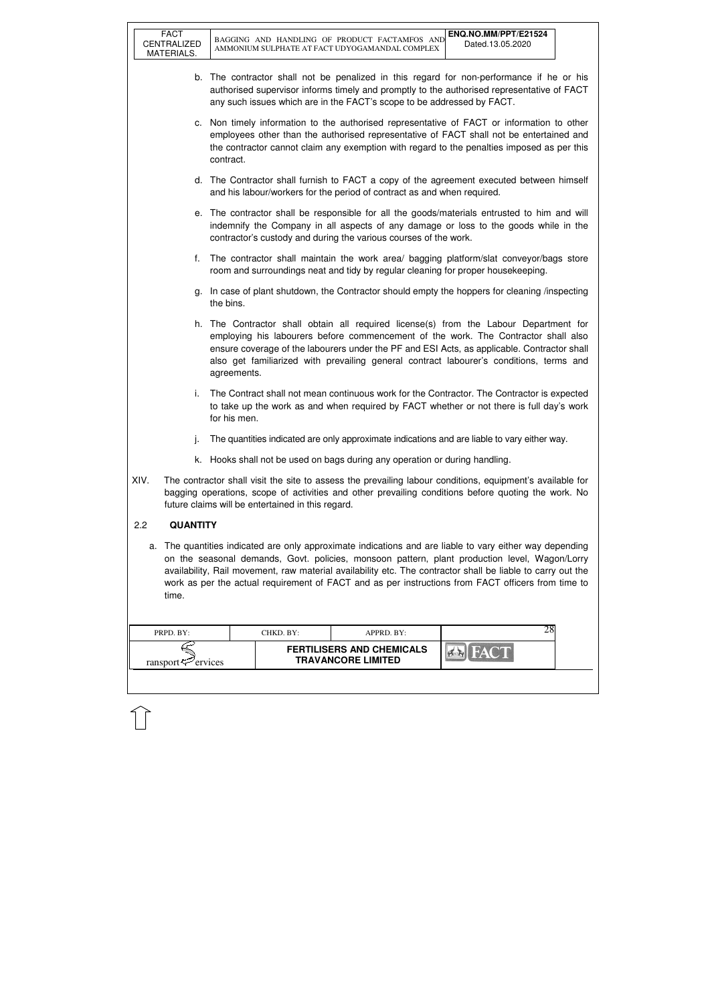FACT

| PRPD. BY:                  | CHKD. BY: | APPRD. BY:                                                    |  |
|----------------------------|-----------|---------------------------------------------------------------|--|
| ransport $\approx$ ervices |           | <b>FERTILISERS AND CHEMICALS</b><br><b>TRAVANCORE LIMITED</b> |  |

- b. The contractor shall not be penalized in this regard for non-performance if he or his authorised supervisor informs timely and promptly to the authorised representative of FACT any such issues which are in the FACT's scope to be addressed by FACT.
- c. Non timely information to the authorised representative of FACT or information to other employees other than the authorised representative of FACT shall not be entertained and the contractor cannot claim any exemption with regard to the penalties imposed as per this contract.
- d. The Contractor shall furnish to FACT a copy of the agreement executed between himself and his labour/workers for the period of contract as and when required.
- e. The contractor shall be responsible for all the goods/materials entrusted to him and will indemnify the Company in all aspects of any damage or loss to the goods while in the contractor's custody and during the various courses of the work.
- f. The contractor shall maintain the work area/ bagging platform/slat conveyor/bags store room and surroundings neat and tidy by regular cleaning for proper housekeeping.
- g. In case of plant shutdown, the Contractor should empty the hoppers for cleaning /inspecting the bins.
- h. The Contractor shall obtain all required license(s) from the Labour Department for employing his labourers before commencement of the work. The Contractor shall also ensure coverage of the labourers under the PF and ESI Acts, as applicable. Contractor shall also get familiarized with prevailing general contract labourer's conditions, terms and agreements.
- i. The Contract shall not mean continuous work for the Contractor. The Contractor is expected to take up the work as and when required by FACT whether or not there is full day's work for his men.
- j. The quantities indicated are only approximate indications and are liable to vary either way.
- k. Hooks shall not be used on bags during any operation or during handling.
- XIV. The contractor shall visit the site to assess the prevailing labour conditions, equipment's available for bagging operations, scope of activities and other prevailing conditions before quoting the work. No future claims will be entertained in this regard.

### 2.2 **QUANTITY**

a. The quantities indicated are only approximate indications and are liable to vary either way depending on the seasonal demands, Govt. policies, monsoon pattern, plant production level, Wagon/Lorry availability, Rail movement, raw material availability etc. The contractor shall be liable to carry out the work as per the actual requirement of FACT and as per instructions from FACT officers from time to time.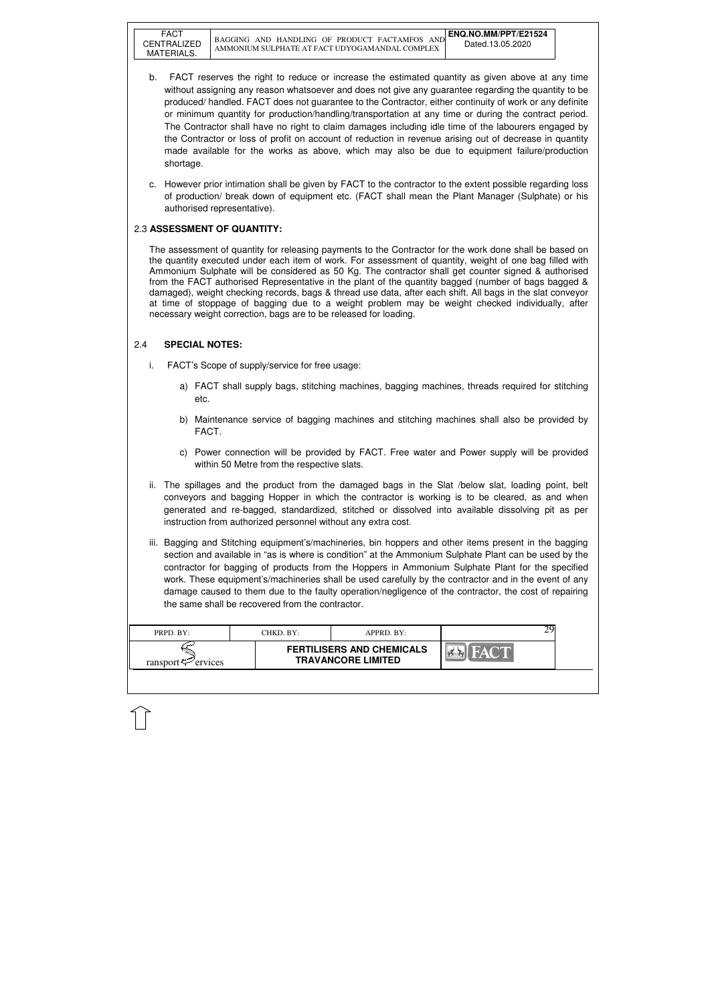FACT

| PRPD. BY:                  | CHKD. BY: | $APPRD$ . BY:                                                 |  |
|----------------------------|-----------|---------------------------------------------------------------|--|
| ransport $\approx$ ervices |           | <b>FERTILISERS AND CHEMICALS</b><br><b>TRAVANCORE LIMITED</b> |  |

- b. FACT reserves the right to reduce or increase the estimated quantity as given above at any time without assigning any reason whatsoever and does not give any guarantee regarding the quantity to be produced/ handled. FACT does not guarantee to the Contractor, either continuity of work or any definite or minimum quantity for production/handling/transportation at any time or during the contract period. The Contractor shall have no right to claim damages including idle time of the labourers engaged by the Contractor or loss of profit on account of reduction in revenue arising out of decrease in quantity made available for the works as above, which may also be due to equipment failure/production shortage.
- c. However prior intimation shall be given by FACT to the contractor to the extent possible regarding loss of production/ break down of equipment etc. (FACT shall mean the Plant Manager (Sulphate) or his authorised representative).

### 2.3 **ASSESSMENT OF QUANTITY:**

The assessment of quantity for releasing payments to the Contractor for the work done shall be based on the quantity executed under each item of work. For assessment of quantity, weight of one bag filled with Ammonium Sulphate will be considered as 50 Kg. The contractor shall get counter signed & authorised from the FACT authorised Representative in the plant of the quantity bagged (number of bags bagged & damaged), weight checking records, bags & thread use data, after each shift. All bags in the slat conveyor at time of stoppage of bagging due to a weight problem may be weight checked individually, after necessary weight correction, bags are to be released for loading.

# 2.4 **SPECIAL NOTES:**

- i. FACT's Scope of supply/service for free usage:
	- a) FACT shall supply bags, stitching machines, bagging machines, threads required for stitching etc.
	- b) Maintenance service of bagging machines and stitching machines shall also be provided by FACT.
	- c) Power connection will be provided by FACT. Free water and Power supply will be provided within 50 Metre from the respective slats.
- ii. The spillages and the product from the damaged bags in the Slat /below slat, loading point, belt conveyors and bagging Hopper in which the contractor is working is to be cleared, as and when generated and re-bagged, standardized, stitched or dissolved into available dissolving pit as per instruction from authorized personnel without any extra cost.
- iii. Bagging and Stitching equipment's/machineries, bin hoppers and other items present in the bagging section and available in "as is where is condition" at the Ammonium Sulphate Plant can be used by the contractor for bagging of products from the Hoppers in Ammonium Sulphate Plant for the specified work. These equipment's/machineries shall be used carefully by the contractor and in the event of any damage caused to them due to the faulty operation/negligence of the contractor, the cost of repairing the same shall be recovered from the contractor.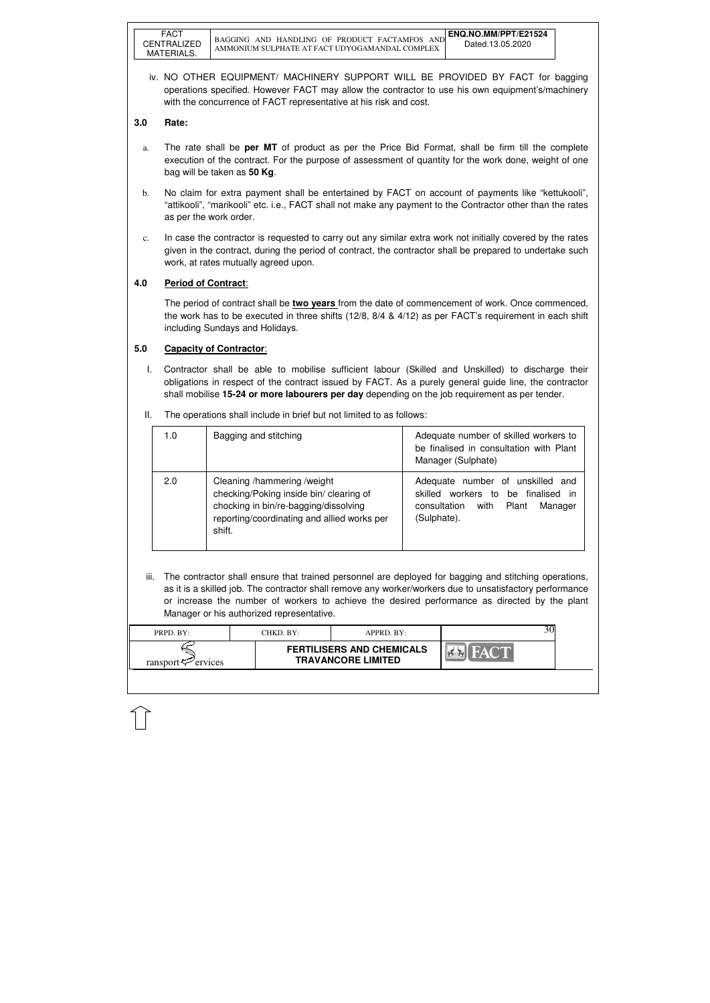| PRPD. BY:           | CHKD. BY:- | $APPRD$ $BY:$                                                 |  |
|---------------------|------------|---------------------------------------------------------------|--|
| ransport<br>ervices |            | <b>FERTILISERS AND CHEMICALS</b><br><b>TRAVANCORE LIMITED</b> |  |

iv. NO OTHER EQUIPMENT/ MACHINERY SUPPORT WILL BE PROVIDED BY FACT for bagging operations specified. However FACT may allow the contractor to use his own equipment's/machinery with the concurrence of FACT representative at his risk and cost.

### **3.0 Rate:**

- a. The rate shall be **per MT** of product as per the Price Bid Format, shall be firm till the complete execution of the contract. For the purpose of assessment of quantity for the work done, weight of one bag will be taken as **50 Kg**.
- b. No claim for extra payment shall be entertained by FACT on account of payments like "kettukooli", "attikooli", "marikooli" etc. i.e., FACT shall not make any payment to the Contractor other than the rates as per the work order.
- c. In case the contractor is requested to carry out any similar extra work not initially covered by the rates given in the contract, during the period of contract, the contractor shall be prepared to undertake such work, at rates mutually agreed upon.

## **4.0 Period of Contract**:

iii. The contractor shall ensure that trained personnel are deployed for bagging and stitching operations, as it is a skilled job. The contractor shall remove any worker/workers due to unsatisfactory performance or increase the number of workers to achieve the desired performance as directed by the plant Manager or his authorized representative.

 The period of contract shall be **two years** from the date of commencement of work. Once commenced, the work has to be executed in three shifts (12/8, 8/4 & 4/12) as per FACT's requirement in each shift including Sundays and Holidays.

### **5.0 Capacity of Contractor**:

I. Contractor shall be able to mobilise sufficient labour (Skilled and Unskilled) to discharge their obligations in respect of the contract issued by FACT. As a purely general guide line, the contractor shall mobilise **15-24 or more labourers per day** depending on the job requirement as per tender.

| The operations shall include in brief but not limited to as follows:<br>Ш. |
|----------------------------------------------------------------------------|
|----------------------------------------------------------------------------|

| 1.0 | Bagging and stitching                                                                                                                                                    | Adequate number of skilled workers to<br>be finalised in consultation with Plant<br>Manager (Sulphate)                                    |
|-----|--------------------------------------------------------------------------------------------------------------------------------------------------------------------------|-------------------------------------------------------------------------------------------------------------------------------------------|
| 2.0 | Cleaning /hammering /weight<br>checking/Poking inside bin/ clearing of<br>chocking in bin/re-bagging/dissolving<br>reporting/coordinating and allied works per<br>shift. | Adequate number of unskilled and<br>skilled workers to<br>be finalised<br>- in<br>with<br>consultation<br>Manager<br>Plant<br>(Sulphate). |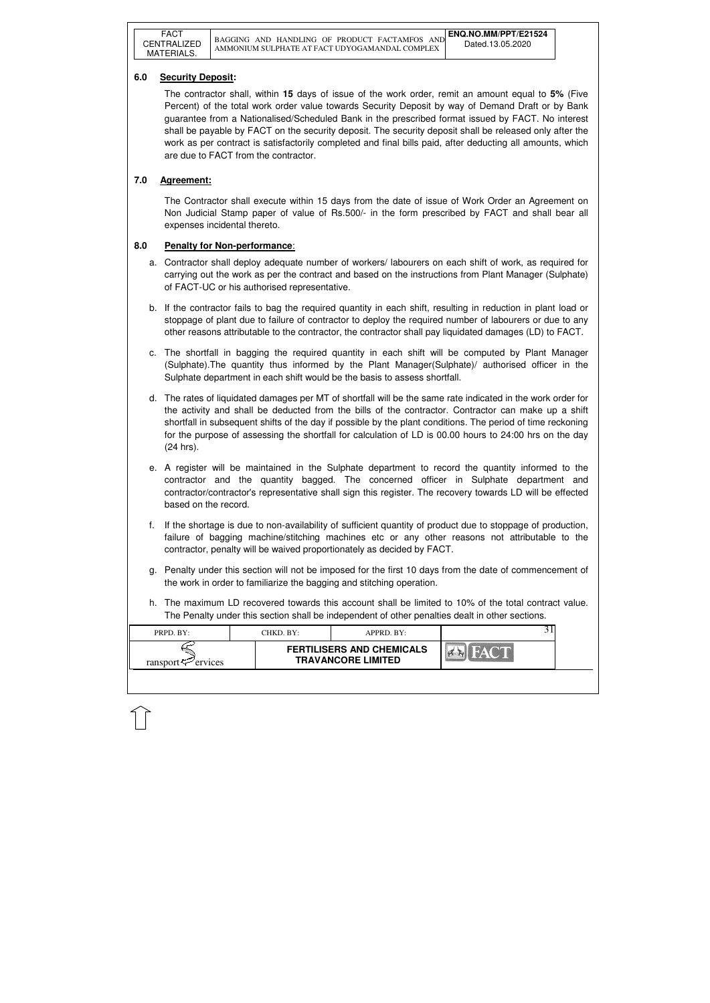| PRPD. BY:               | CHKD. BY:- | $APPRD$ . BY:                                                 |  |
|-------------------------|------------|---------------------------------------------------------------|--|
| ransport $\leq$ ervices |            | <b>FERTILISERS AND CHEMICALS</b><br><b>TRAVANCORE LIMITED</b> |  |
|                         |            |                                                               |  |

### **6.0 Security Deposit:**

 The contractor shall, within **15** days of issue of the work order, remit an amount equal to **5%** (Five Percent) of the total work order value towards Security Deposit by way of Demand Draft or by Bank guarantee from a Nationalised/Scheduled Bank in the prescribed format issued by FACT. No interest shall be payable by FACT on the security deposit. The security deposit shall be released only after the work as per contract is satisfactorily completed and final bills paid, after deducting all amounts, which are due to FACT from the contractor.

### **7.0 Agreement:**

The Contractor shall execute within 15 days from the date of issue of Work Order an Agreement on Non Judicial Stamp paper of value of Rs.500/- in the form prescribed by FACT and shall bear all expenses incidental thereto.

### **8.0 Penalty for Non-performance**:

- a. Contractor shall deploy adequate number of workers/ labourers on each shift of work, as required for carrying out the work as per the contract and based on the instructions from Plant Manager (Sulphate) of FACT-UC or his authorised representative.
- b. If the contractor fails to bag the required quantity in each shift, resulting in reduction in plant load or stoppage of plant due to failure of contractor to deploy the required number of labourers or due to any other reasons attributable to the contractor, the contractor shall pay liquidated damages (LD) to FACT.
- c. The shortfall in bagging the required quantity in each shift will be computed by Plant Manager (Sulphate).The quantity thus informed by the Plant Manager(Sulphate)/ authorised officer in the Sulphate department in each shift would be the basis to assess shortfall.
- d. The rates of liquidated damages per MT of shortfall will be the same rate indicated in the work order for the activity and shall be deducted from the bills of the contractor. Contractor can make up a shift shortfall in subsequent shifts of the day if possible by the plant conditions. The period of time reckoning for the purpose of assessing the shortfall for calculation of LD is 00.00 hours to 24:00 hrs on the day (24 hrs).
- e. A register will be maintained in the Sulphate department to record the quantity informed to the contractor and the quantity bagged. The concerned officer in Sulphate department and contractor/contractor's representative shall sign this register. The recovery towards LD will be effected based on the record.
- f. If the shortage is due to non-availability of sufficient quantity of product due to stoppage of production, failure of bagging machine/stitching machines etc or any other reasons not attributable to the contractor, penalty will be waived proportionately as decided by FACT.
- g. Penalty under this section will not be imposed for the first 10 days from the date of commencement of the work in order to familiarize the bagging and stitching operation.
- h. The maximum LD recovered towards this account shall be limited to 10% of the total contract value. The Penalty under this section shall be independent of other penalties dealt in other sections.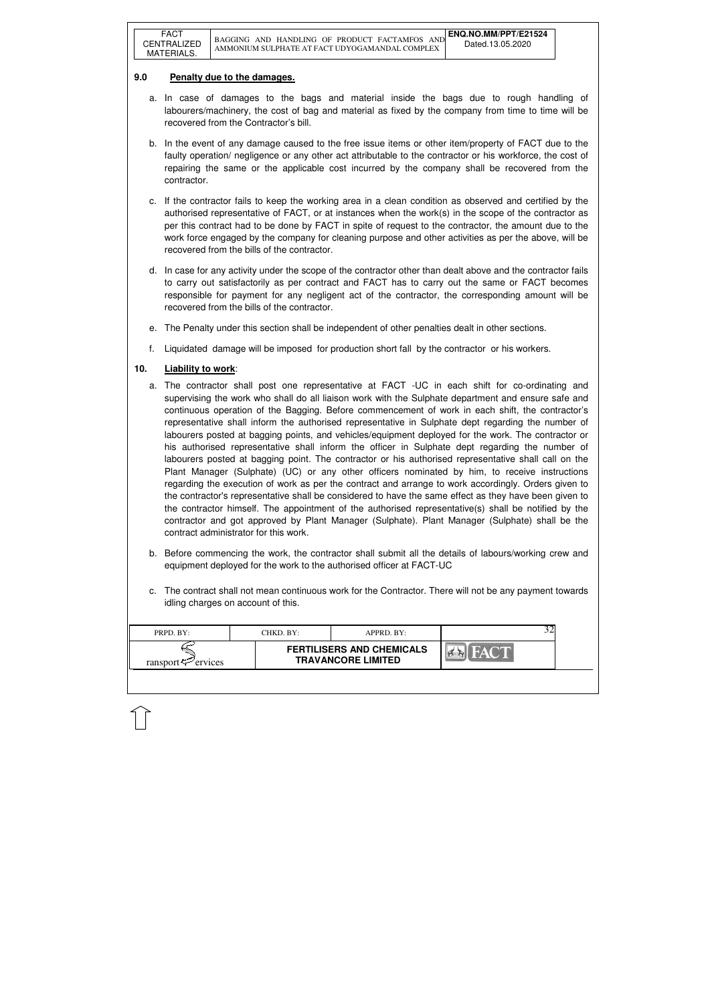| <b>FERTILISERS AND CHEMICALS</b><br><b>TRAVANCORE LIMITED</b> | PRPD. BY:               | CHKD. BY: | $APPRD$ . BY: |  |
|---------------------------------------------------------------|-------------------------|-----------|---------------|--|
|                                                               | ransport $\leq$ ervices |           |               |  |

### **9.0 Penalty due to the damages.**

- a. In case of damages to the bags and material inside the bags due to rough handling of labourers/machinery, the cost of bag and material as fixed by the company from time to time will be recovered from the Contractor's bill.
- b. In the event of any damage caused to the free issue items or other item/property of FACT due to the faulty operation/ negligence or any other act attributable to the contractor or his workforce, the cost of repairing the same or the applicable cost incurred by the company shall be recovered from the contractor.
- c. If the contractor fails to keep the working area in a clean condition as observed and certified by the authorised representative of FACT, or at instances when the work(s) in the scope of the contractor as per this contract had to be done by FACT in spite of request to the contractor, the amount due to the work force engaged by the company for cleaning purpose and other activities as per the above, will be recovered from the bills of the contractor.
- d. In case for any activity under the scope of the contractor other than dealt above and the contractor fails to carry out satisfactorily as per contract and FACT has to carry out the same or FACT becomes responsible for payment for any negligent act of the contractor, the corresponding amount will be recovered from the bills of the contractor.
- e. The Penalty under this section shall be independent of other penalties dealt in other sections.
- f. Liquidated damage will be imposed for production short fall by the contractor or his workers.

## **10. Liability to work**:

- a. The contractor shall post one representative at FACT -UC in each shift for co-ordinating and supervising the work who shall do all liaison work with the Sulphate department and ensure safe and continuous operation of the Bagging. Before commencement of work in each shift, the contractor's representative shall inform the authorised representative in Sulphate dept regarding the number of labourers posted at bagging points, and vehicles/equipment deployed for the work. The contractor or his authorised representative shall inform the officer in Sulphate dept regarding the number of labourers posted at bagging point. The contractor or his authorised representative shall call on the Plant Manager (Sulphate) (UC) or any other officers nominated by him, to receive instructions regarding the execution of work as per the contract and arrange to work accordingly. Orders given to the contractor's representative shall be considered to have the same effect as they have been given to the contractor himself. The appointment of the authorised representative(s) shall be notified by the contractor and got approved by Plant Manager (Sulphate). Plant Manager (Sulphate) shall be the contract administrator for this work.
- b. Before commencing the work, the contractor shall submit all the details of labours/working crew and equipment deployed for the work to the authorised officer at FACT-UC
- c. The contract shall not mean continuous work for the Contractor. There will not be any payment towards idling charges on account of this.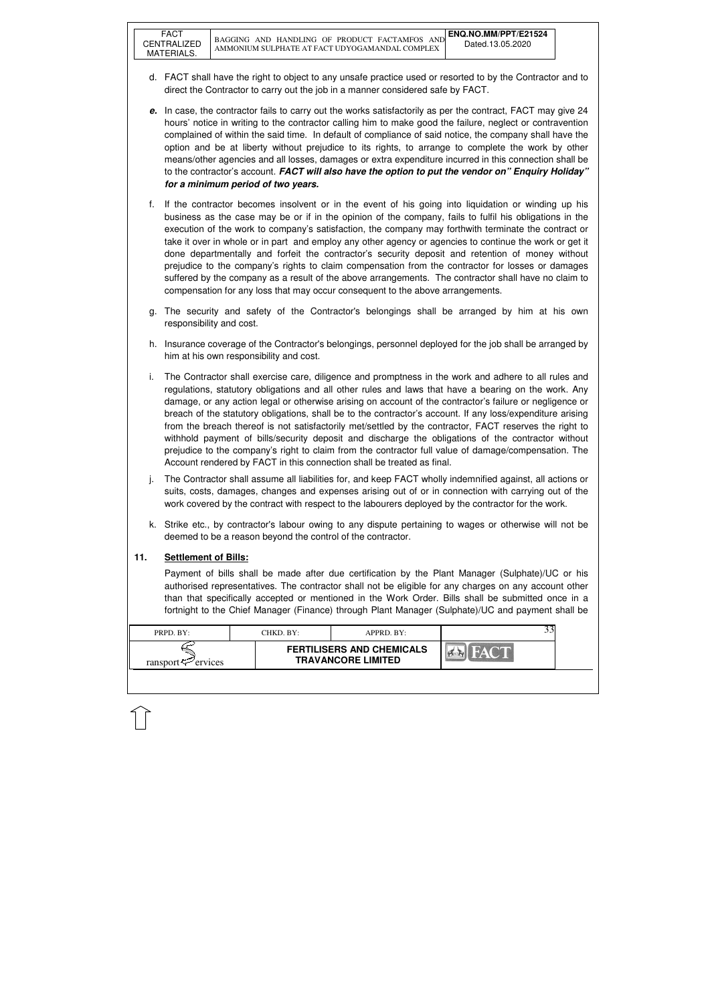| PRPD. BY:               | CHKD. BY: | $APPRD$ . BY:                                                 |  |
|-------------------------|-----------|---------------------------------------------------------------|--|
| ransport $\leq$ ervices |           | <b>FERTILISERS AND CHEMICALS</b><br><b>TRAVANCORE LIMITED</b> |  |

- d. FACT shall have the right to object to any unsafe practice used or resorted to by the Contractor and to direct the Contractor to carry out the job in a manner considered safe by FACT.
- **e.** In case, the contractor fails to carry out the works satisfactorily as per the contract, FACT may give 24 hours' notice in writing to the contractor calling him to make good the failure, neglect or contravention complained of within the said time. In default of compliance of said notice, the company shall have the option and be at liberty without prejudice to its rights, to arrange to complete the work by other means/other agencies and all losses, damages or extra expenditure incurred in this connection shall be to the contractor's account. **FACT will also have the option to put the vendor on" Enquiry Holiday" for a minimum period of two years.**
- f. If the contractor becomes insolvent or in the event of his going into liquidation or winding up his business as the case may be or if in the opinion of the company, fails to fulfil his obligations in the execution of the work to company's satisfaction, the company may forthwith terminate the contract or take it over in whole or in part and employ any other agency or agencies to continue the work or get it done departmentally and forfeit the contractor's security deposit and retention of money without prejudice to the company's rights to claim compensation from the contractor for losses or damages suffered by the company as a result of the above arrangements. The contractor shall have no claim to compensation for any loss that may occur consequent to the above arrangements.
- g. The security and safety of the Contractor's belongings shall be arranged by him at his own responsibility and cost.
- h. Insurance coverage of the Contractor's belongings, personnel deployed for the job shall be arranged by him at his own responsibility and cost.
- i. The Contractor shall exercise care, diligence and promptness in the work and adhere to all rules and regulations, statutory obligations and all other rules and laws that have a bearing on the work. Any damage, or any action legal or otherwise arising on account of the contractor's failure or negligence or breach of the statutory obligations, shall be to the contractor's account. If any loss/expenditure arising from the breach thereof is not satisfactorily met/settled by the contractor, FACT reserves the right to withhold payment of bills/security deposit and discharge the obligations of the contractor without prejudice to the company's right to claim from the contractor full value of damage/compensation. The Account rendered by FACT in this connection shall be treated as final.
- j. The Contractor shall assume all liabilities for, and keep FACT wholly indemnified against, all actions or suits, costs, damages, changes and expenses arising out of or in connection with carrying out of the work covered by the contract with respect to the labourers deployed by the contractor for the work.
- k. Strike etc., by contractor's labour owing to any dispute pertaining to wages or otherwise will not be deemed to be a reason beyond the control of the contractor.

### **11. Settlement of Bills:**

 Payment of bills shall be made after due certification by the Plant Manager (Sulphate)/UC or his authorised representatives. The contractor shall not be eligible for any charges on any account other than that specifically accepted or mentioned in the Work Order. Bills shall be submitted once in a fortnight to the Chief Manager (Finance) through Plant Manager (Sulphate)/UC and payment shall be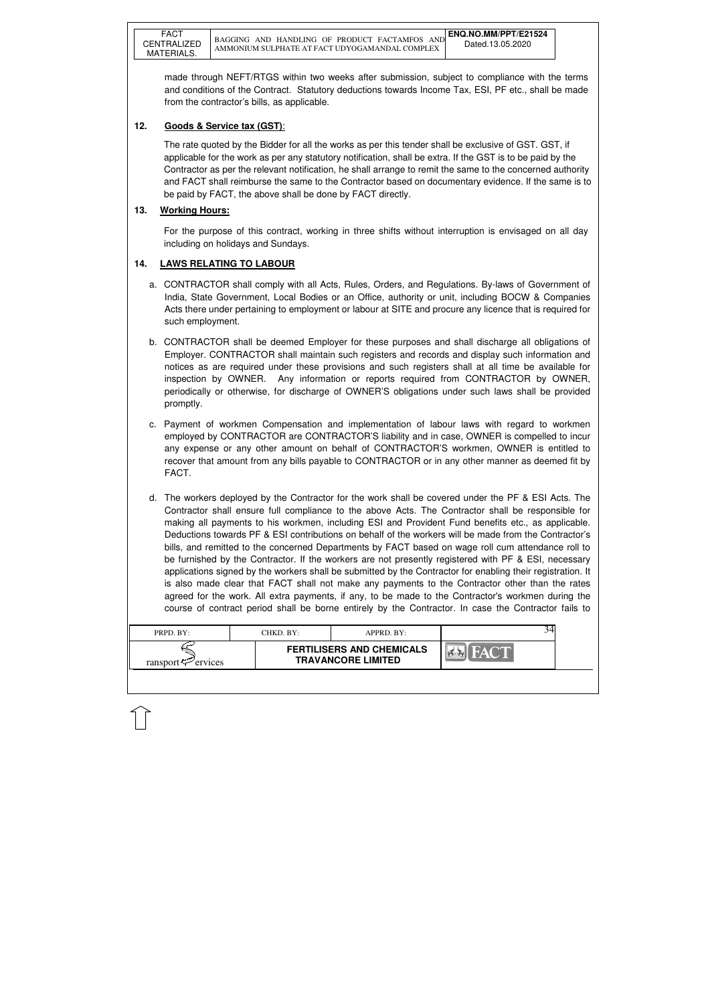| PRPD. BY:               | CHKD. BY: | APPRD. BY:                                                    |  |
|-------------------------|-----------|---------------------------------------------------------------|--|
| ransport $\leq$ ervices |           | <b>FERTILISERS AND CHEMICALS</b><br><b>TRAVANCORE LIMITED</b> |  |

made through NEFT/RTGS within two weeks after submission, subject to compliance with the terms and conditions of the Contract. Statutory deductions towards Income Tax, ESI, PF etc., shall be made from the contractor's bills, as applicable.

## **12. Goods & Service tax (GST)**:

The rate quoted by the Bidder for all the works as per this tender shall be exclusive of GST. GST, if applicable for the work as per any statutory notification, shall be extra. If the GST is to be paid by the Contractor as per the relevant notification, he shall arrange to remit the same to the concerned authority and FACT shall reimburse the same to the Contractor based on documentary evidence. If the same is to be paid by FACT, the above shall be done by FACT directly.

## **13. Working Hours:**

For the purpose of this contract, working in three shifts without interruption is envisaged on all day including on holidays and Sundays.

# **14. LAWS RELATING TO LABOUR**

- a. CONTRACTOR shall comply with all Acts, Rules, Orders, and Regulations. By-laws of Government of India, State Government, Local Bodies or an Office, authority or unit, including BOCW & Companies Acts there under pertaining to employment or labour at SITE and procure any licence that is required for such employment.
- b. CONTRACTOR shall be deemed Employer for these purposes and shall discharge all obligations of Employer. CONTRACTOR shall maintain such registers and records and display such information and notices as are required under these provisions and such registers shall at all time be available for inspection by OWNER. Any information or reports required from CONTRACTOR by OWNER, periodically or otherwise, for discharge of OWNER'S obligations under such laws shall be provided promptly.
- c. Payment of workmen Compensation and implementation of labour laws with regard to workmen employed by CONTRACTOR are CONTRACTOR'S liability and in case, OWNER is compelled to incur any expense or any other amount on behalf of CONTRACTOR'S workmen, OWNER is entitled to recover that amount from any bills payable to CONTRACTOR or in any other manner as deemed fit by FACT.
- d. The workers deployed by the Contractor for the work shall be covered under the PF & ESI Acts. The Contractor shall ensure full compliance to the above Acts. The Contractor shall be responsible for making all payments to his workmen, including ESI and Provident Fund benefits etc., as applicable. Deductions towards PF & ESI contributions on behalf of the workers will be made from the Contractor's bills, and remitted to the concerned Departments by FACT based on wage roll cum attendance roll to be furnished by the Contractor. If the workers are not presently registered with PF & ESI, necessary applications signed by the workers shall be submitted by the Contractor for enabling their registration. It is also made clear that FACT shall not make any payments to the Contractor other than the rates agreed for the work. All extra payments, if any, to be made to the Contractor's workmen during the course of contract period shall be borne entirely by the Contractor. In case the Contractor fails to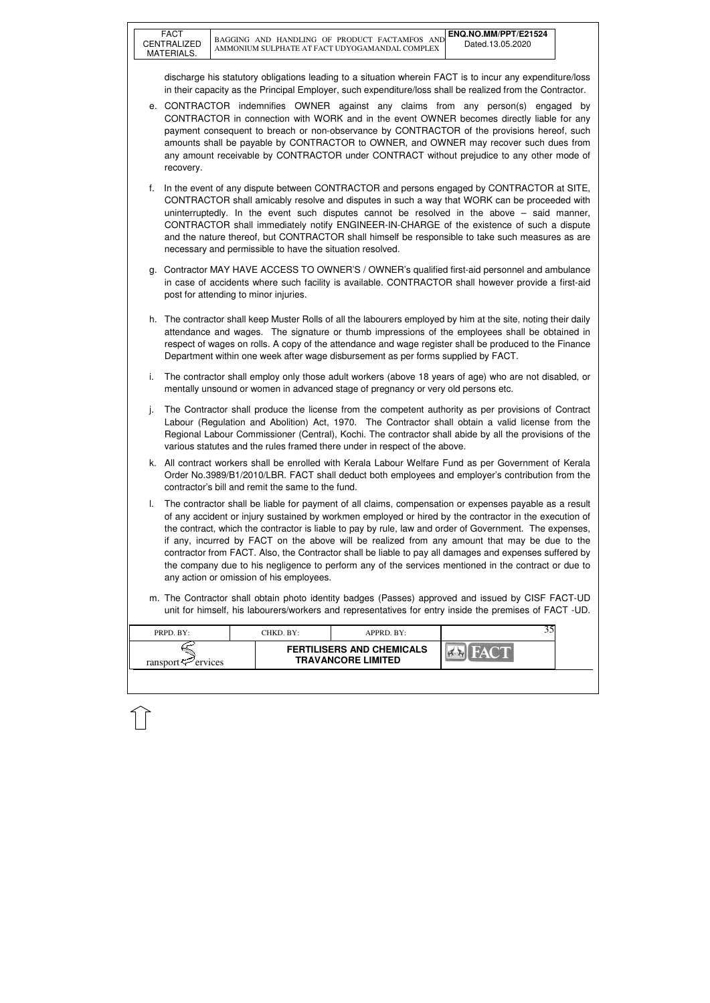| PRPD. BY:                      | CHKD. BY: | APPRD. BY:                                                    |  |
|--------------------------------|-----------|---------------------------------------------------------------|--|
| ransport $\mathcal{P}$ ervices |           | <b>FERTILISERS AND CHEMICALS</b><br><b>TRAVANCORE LIMITED</b> |  |
|                                |           |                                                               |  |

discharge his statutory obligations leading to a situation wherein FACT is to incur any expenditure/loss in their capacity as the Principal Employer, such expenditure/loss shall be realized from the Contractor.

- e. CONTRACTOR indemnifies OWNER against any claims from any person(s) engaged by CONTRACTOR in connection with WORK and in the event OWNER becomes directly liable for any payment consequent to breach or non-observance by CONTRACTOR of the provisions hereof, such amounts shall be payable by CONTRACTOR to OWNER, and OWNER may recover such dues from any amount receivable by CONTRACTOR under CONTRACT without prejudice to any other mode of recovery.
- f. In the event of any dispute between CONTRACTOR and persons engaged by CONTRACTOR at SITE, CONTRACTOR shall amicably resolve and disputes in such a way that WORK can be proceeded with uninterruptedly. In the event such disputes cannot be resolved in the above – said manner, CONTRACTOR shall immediately notify ENGINEER-IN-CHARGE of the existence of such a dispute and the nature thereof, but CONTRACTOR shall himself be responsible to take such measures as are necessary and permissible to have the situation resolved.
- g. Contractor MAY HAVE ACCESS TO OWNER'S / OWNER's qualified first-aid personnel and ambulance in case of accidents where such facility is available. CONTRACTOR shall however provide a first-aid post for attending to minor injuries.
- h. The contractor shall keep Muster Rolls of all the labourers employed by him at the site, noting their daily attendance and wages. The signature or thumb impressions of the employees shall be obtained in respect of wages on rolls. A copy of the attendance and wage register shall be produced to the Finance Department within one week after wage disbursement as per forms supplied by FACT.
- i. The contractor shall employ only those adult workers (above 18 years of age) who are not disabled, or mentally unsound or women in advanced stage of pregnancy or very old persons etc.
- j. The Contractor shall produce the license from the competent authority as per provisions of Contract Labour (Regulation and Abolition) Act, 1970. The Contractor shall obtain a valid license from the Regional Labour Commissioner (Central), Kochi. The contractor shall abide by all the provisions of the various statutes and the rules framed there under in respect of the above.
- k. All contract workers shall be enrolled with Kerala Labour Welfare Fund as per Government of Kerala Order No.3989/B1/2010/LBR. FACT shall deduct both employees and employer's contribution from the contractor's bill and remit the same to the fund.
- l. The contractor shall be liable for payment of all claims, compensation or expenses payable as a result of any accident or injury sustained by workmen employed or hired by the contractor in the execution of the contract, which the contractor is liable to pay by rule, law and order of Government. The expenses, if any, incurred by FACT on the above will be realized from any amount that may be due to the contractor from FACT. Also, the Contractor shall be liable to pay all damages and expenses suffered by the company due to his negligence to perform any of the services mentioned in the contract or due to any action or omission of his employees.
- m. The Contractor shall obtain photo identity badges (Passes) approved and issued by CISF FACT-UD unit for himself, his labourers/workers and representatives for entry inside the premises of FACT -UD.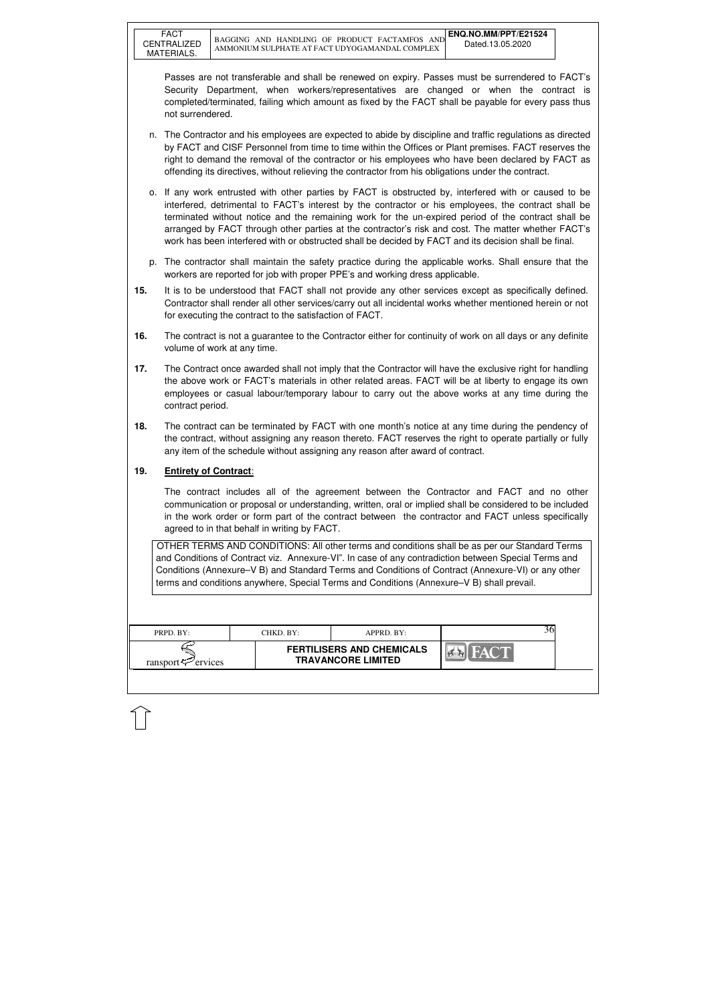| <b>FERTILISERS AND CHEMICALS</b><br><b>TRAVANCORE LIMITED</b><br>ransport $\leq$ ervices |  |
|------------------------------------------------------------------------------------------|--|

Passes are not transferable and shall be renewed on expiry. Passes must be surrendered to FACT's Security Department, when workers/representatives are changed or when the contract is completed/terminated, failing which amount as fixed by the FACT shall be payable for every pass thus not surrendered.

- n. The Contractor and his employees are expected to abide by discipline and traffic regulations as directed by FACT and CISF Personnel from time to time within the Offices or Plant premises. FACT reserves the right to demand the removal of the contractor or his employees who have been declared by FACT as offending its directives, without relieving the contractor from his obligations under the contract.
- o. If any work entrusted with other parties by FACT is obstructed by, interfered with or caused to be interfered, detrimental to FACT's interest by the contractor or his employees, the contract shall be terminated without notice and the remaining work for the un-expired period of the contract shall be arranged by FACT through other parties at the contractor's risk and cost. The matter whether FACT's work has been interfered with or obstructed shall be decided by FACT and its decision shall be final.
- p. The contractor shall maintain the safety practice during the applicable works. Shall ensure that the workers are reported for job with proper PPE's and working dress applicable.
- **15.** It is to be understood that FACT shall not provide any other services except as specifically defined. Contractor shall render all other services/carry out all incidental works whether mentioned herein or not for executing the contract to the satisfaction of FACT.
- **16.** The contract is not a guarantee to the Contractor either for continuity of work on all days or any definite volume of work at any time.
- **17.** The Contract once awarded shall not imply that the Contractor will have the exclusive right for handling the above work or FACT's materials in other related areas. FACT will be at liberty to engage its own employees or casual labour/temporary labour to carry out the above works at any time during the contract period.
- **18.** The contract can be terminated by FACT with one month's notice at any time during the pendency of the contract, without assigning any reason thereto. FACT reserves the right to operate partially or fully any item of the schedule without assigning any reason after award of contract.

### **19. Entirety of Contract**:

 The contract includes all of the agreement between the Contractor and FACT and no other communication or proposal or understanding, written, oral or implied shall be considered to be included in the work order or form part of the contract between the contractor and FACT unless specifically agreed to in that behalf in writing by FACT.

OTHER TERMS AND CONDITIONS: All other terms and conditions shall be as per our Standard Terms and Conditions of Contract viz. Annexure-VI". In case of any contradiction between Special Terms and Conditions (Annexure–V B) and Standard Terms and Conditions of Contract (Annexure-VI) or any other terms and conditions anywhere, Special Terms and Conditions (Annexure–V B) shall prevail.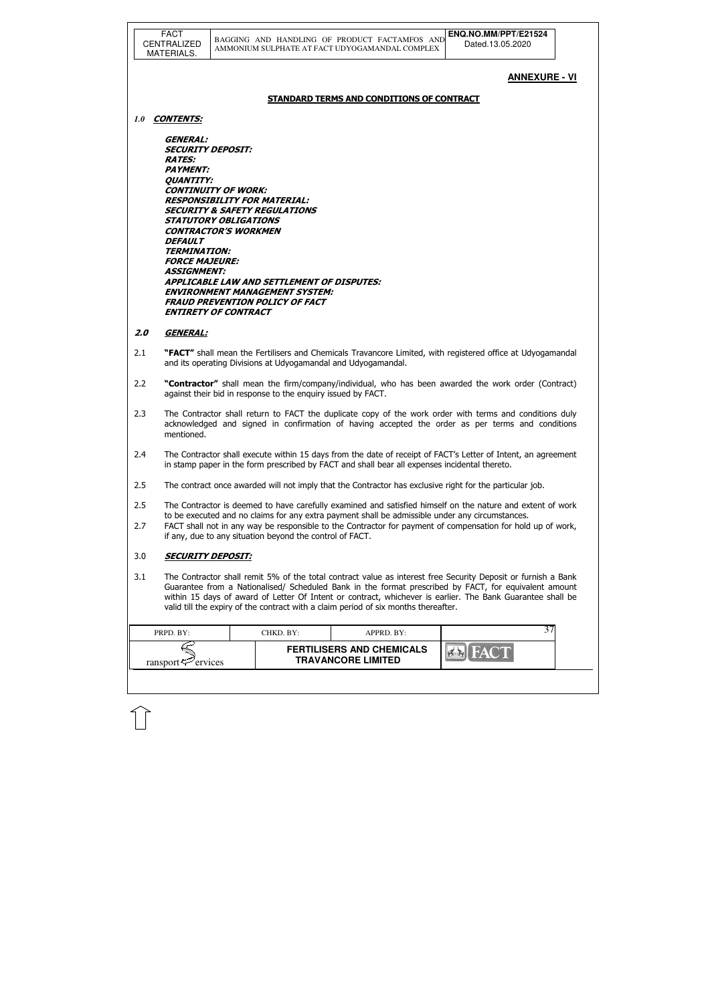|     | <b>FACT</b><br>CENTRALIZED<br><b>MATERIALS.</b>                                                                                                                                                           | ENQ.NO.MM/PPT/E21524<br>BAGGING AND HANDLING OF PRODUCT FACTAMFOS AND<br>Dated.13.05.2020<br>AMMONIUM SULPHATE AT FACT UDYOGAMANDAL COMPLEX                                                                                                                                                                                                                                                                                 |
|-----|-----------------------------------------------------------------------------------------------------------------------------------------------------------------------------------------------------------|-----------------------------------------------------------------------------------------------------------------------------------------------------------------------------------------------------------------------------------------------------------------------------------------------------------------------------------------------------------------------------------------------------------------------------|
|     |                                                                                                                                                                                                           | <u>ANNEXURE - VI</u>                                                                                                                                                                                                                                                                                                                                                                                                        |
|     |                                                                                                                                                                                                           | <b>STANDARD TERMS AND CONDITIONS OF CONTRACT</b>                                                                                                                                                                                                                                                                                                                                                                            |
| 1.0 | <b>CONTENTS:</b>                                                                                                                                                                                          |                                                                                                                                                                                                                                                                                                                                                                                                                             |
|     | <i><b>GENERAL:</b></i><br><b>SECURITY DEPOSIT:</b><br><b>RATES:</b><br><b>PAYMENT:</b><br><b>QUANTITY:</b><br><i><b>DEFAULT</b></i><br><b>TERMINATION:</b><br><b>FORCE MAJEURE:</b><br><b>ASSIGNMENT:</b> | <b>CONTINUITY OF WORK:</b><br><b>RESPONSIBILITY FOR MATERIAL:</b><br><b>SECURITY &amp; SAFETY REGULATIONS</b><br><b>STATUTORY OBLIGATIONS</b><br><b>CONTRACTOR'S WORKMEN</b><br><b>APPLICABLE LAW AND SETTLEMENT OF DISPUTES:</b><br><b>ENVIRONMENT MANAGEMENT SYSTEM:</b><br><b>FRAUD PREVENTION POLICY OF FACT</b><br><b>ENTIRETY OF CONTRACT</b>                                                                         |
| 2.0 | <b>GENERAL:</b>                                                                                                                                                                                           |                                                                                                                                                                                                                                                                                                                                                                                                                             |
| 2.1 |                                                                                                                                                                                                           | "FACT" shall mean the Fertilisers and Chemicals Travancore Limited, with registered office at Udyogamandal<br>and its operating Divisions at Udyogamandal and Udyogamandal.                                                                                                                                                                                                                                                 |
| 2.2 |                                                                                                                                                                                                           | "Contractor" shall mean the firm/company/individual, who has been awarded the work order (Contract)<br>against their bid in response to the enquiry issued by FACT.                                                                                                                                                                                                                                                         |
| 2.3 | mentioned.                                                                                                                                                                                                | The Contractor shall return to FACT the duplicate copy of the work order with terms and conditions duly<br>acknowledged and signed in confirmation of having accepted the order as per terms and conditions                                                                                                                                                                                                                 |
| 2.4 |                                                                                                                                                                                                           | The Contractor shall execute within 15 days from the date of receipt of FACT's Letter of Intent, an agreement<br>in stamp paper in the form prescribed by FACT and shall bear all expenses incidental thereto.                                                                                                                                                                                                              |
| 2.5 |                                                                                                                                                                                                           | The contract once awarded will not imply that the Contractor has exclusive right for the particular job.                                                                                                                                                                                                                                                                                                                    |
| 2.5 |                                                                                                                                                                                                           | The Contractor is deemed to have carefully examined and satisfied himself on the nature and extent of work                                                                                                                                                                                                                                                                                                                  |
| 2.7 |                                                                                                                                                                                                           | to be executed and no claims for any extra payment shall be admissible under any circumstances.<br>FACT shall not in any way be responsible to the Contractor for payment of compensation for hold up of work,<br>if any, due to any situation beyond the control of FACT.                                                                                                                                                  |
| 3.0 | <b>SECURITY DEPOSIT:</b>                                                                                                                                                                                  |                                                                                                                                                                                                                                                                                                                                                                                                                             |
| 3.1 |                                                                                                                                                                                                           | The Contractor shall remit 5% of the total contract value as interest free Security Deposit or furnish a Bank<br>Guarantee from a Nationalised/ Scheduled Bank in the format prescribed by FACT, for equivalent amount<br>within 15 days of award of Letter Of Intent or contract, whichever is earlier. The Bank Guarantee shall be<br>valid till the expiry of the contract with a claim period of six months thereafter. |
|     | PRPD. BY:                                                                                                                                                                                                 | 37<br>CHKD. BY:<br>APPRD. BY:                                                                                                                                                                                                                                                                                                                                                                                               |
|     | ransport $\approx$ ervices                                                                                                                                                                                | <b>FERTILISERS AND CHEMICALS</b><br><b>TRAVANCORE LIMITED</b>                                                                                                                                                                                                                                                                                                                                                               |
|     |                                                                                                                                                                                                           |                                                                                                                                                                                                                                                                                                                                                                                                                             |

 $\widehat{1}$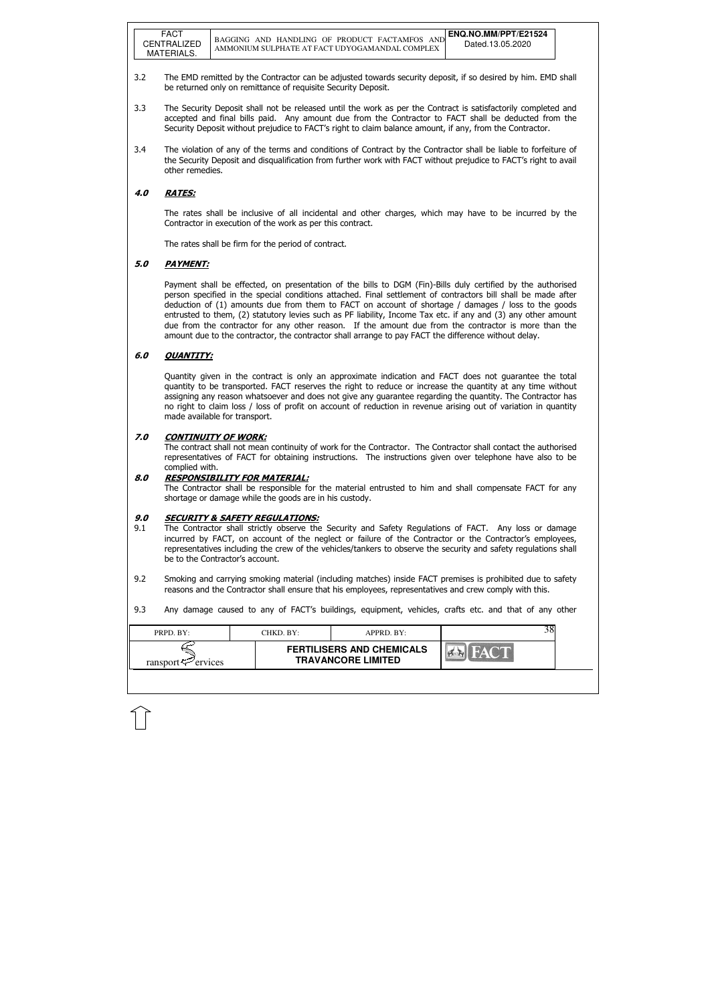| PRPD. BY:                      | CHKD. BY: | APPRD. BY:                                                    |  | 38 |
|--------------------------------|-----------|---------------------------------------------------------------|--|----|
| ransport $\mathcal{P}$ ervices |           | <b>FERTILISERS AND CHEMICALS</b><br><b>TRAVANCORE LIMITED</b> |  |    |

- 3.2 The EMD remitted by the Contractor can be adjusted towards security deposit, if so desired by him. EMD shall be returned only on remittance of requisite Security Deposit.
- 3.3 The Security Deposit shall not be released until the work as per the Contract is satisfactorily completed and accepted and final bills paid. Any amount due from the Contractor to FACT shall be deducted from the Security Deposit without prejudice to FACT's right to claim balance amount, if any, from the Contractor.
- 3.4 The violation of any of the terms and conditions of Contract by the Contractor shall be liable to forfeiture of the Security Deposit and disqualification from further work with FACT without prejudice to FACT's right to avail other remedies.

### 4.0 RATES:

The rates shall be inclusive of all incidental and other charges, which may have to be incurred by the Contractor in execution of the work as per this contract.

The rates shall be firm for the period of contract.

### 5.0 PAYMENT:

Payment shall be effected, on presentation of the bills to DGM (Fin)-Bills duly certified by the authorised person specified in the special conditions attached. Final settlement of contractors bill shall be made after deduction of (1) amounts due from them to FACT on account of shortage / damages / loss to the goods entrusted to them, (2) statutory levies such as PF liability, Income Tax etc. if any and (3) any other amount due from the contractor for any other reason. If the amount due from the contractor is more than the amount due to the contractor, the contractor shall arrange to pay FACT the difference without delay.

#### 6.0 QUANTITY:

Quantity given in the contract is only an approximate indication and FACT does not guarantee the total quantity to be transported. FACT reserves the right to reduce or increase the quantity at any time without assigning any reason whatsoever and does not give any guarantee regarding the quantity. The Contractor has no right to claim loss / loss of profit on account of reduction in revenue arising out of variation in quantity made available for transport.

#### 7.0 CONTINUITY OF WORK:

 The contract shall not mean continuity of work for the Contractor. The Contractor shall contact the authorised representatives of FACT for obtaining instructions. The instructions given over telephone have also to be complied with.

#### 8.0 RESPONSIBILITY FOR MATERIAL:

 The Contractor shall be responsible for the material entrusted to him and shall compensate FACT for any shortage or damage while the goods are in his custody.

#### 9.0 SECURITY & SAFETY REGULATIONS:

- 9.1 The Contractor shall strictly observe the Security and Safety Regulations of FACT. Any loss or damage incurred by FACT, on account of the neglect or failure of the Contractor or the Contractor's employees, representatives including the crew of the vehicles/tankers to observe the security and safety regulations shall be to the Contractor's account.
- 9.2 Smoking and carrying smoking material (including matches) inside FACT premises is prohibited due to safety reasons and the Contractor shall ensure that his employees, representatives and crew comply with this.
- 9.3 Any damage caused to any of FACT's buildings, equipment, vehicles, crafts etc. and that of any other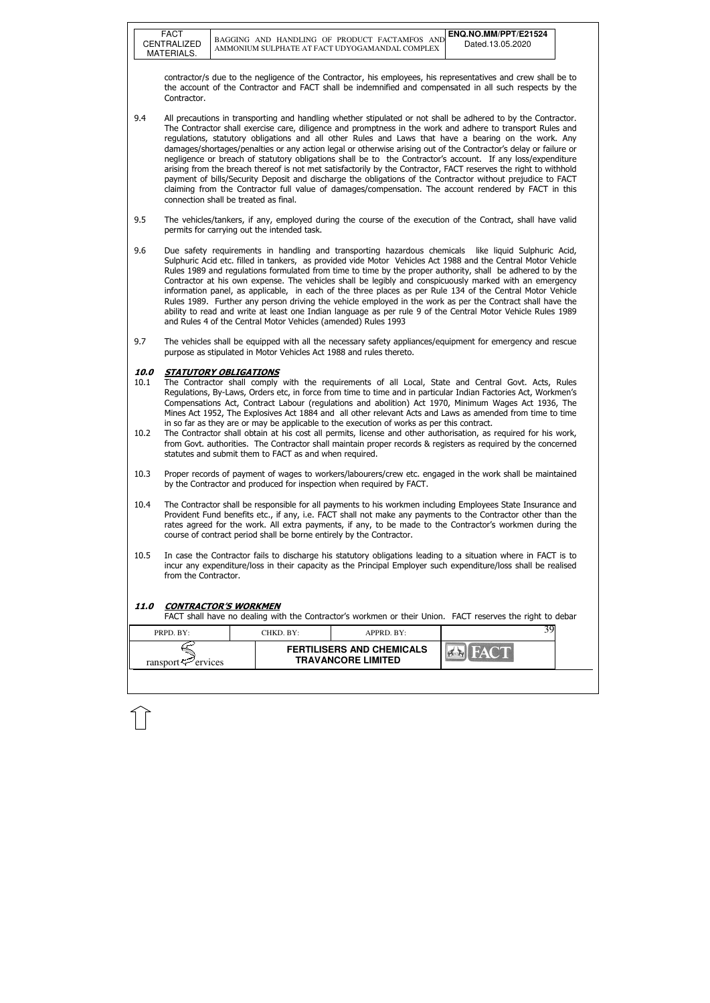FACT

| PRPD. BY:           | CHKD. BY:- | $APPRD$ . BY:                                                 |  |
|---------------------|------------|---------------------------------------------------------------|--|
| ransport<br>ervices |            | <b>FERTILISERS AND CHEMICALS</b><br><b>TRAVANCORE LIMITED</b> |  |

contractor/s due to the negligence of the Contractor, his employees, his representatives and crew shall be to the account of the Contractor and FACT shall be indemnified and compensated in all such respects by the Contractor.

- 9.4 All precautions in transporting and handling whether stipulated or not shall be adhered to by the Contractor. The Contractor shall exercise care, diligence and promptness in the work and adhere to transport Rules and regulations, statutory obligations and all other Rules and Laws that have a bearing on the work. Any damages/shortages/penalties or any action legal or otherwise arising out of the Contractor's delay or failure or negligence or breach of statutory obligations shall be to the Contractor's account. If any loss/expenditure arising from the breach thereof is not met satisfactorily by the Contractor, FACT reserves the right to withhold payment of bills/Security Deposit and discharge the obligations of the Contractor without prejudice to FACT claiming from the Contractor full value of damages/compensation. The account rendered by FACT in this connection shall be treated as final.
- 9.5 The vehicles/tankers, if any, employed during the course of the execution of the Contract, shall have valid permits for carrying out the intended task.
- 9.6 Due safety requirements in handling and transporting hazardous chemicals like liquid Sulphuric Acid, Sulphuric Acid etc. filled in tankers, as provided vide Motor Vehicles Act 1988 and the Central Motor Vehicle Rules 1989 and regulations formulated from time to time by the proper authority, shall be adhered to by the Contractor at his own expense. The vehicles shall be legibly and conspicuously marked with an emergency information panel, as applicable, in each of the three places as per Rule 134 of the Central Motor Vehicle Rules 1989. Further any person driving the vehicle employed in the work as per the Contract shall have the ability to read and write at least one Indian language as per rule 9 of the Central Motor Vehicle Rules 1989 and Rules 4 of the Central Motor Vehicles (amended) Rules 1993
- 9.7 The vehicles shall be equipped with all the necessary safety appliances/equipment for emergency and rescue purpose as stipulated in Motor Vehicles Act 1988 and rules thereto.

#### 10.0 STATUTORY OBLIGATIONS

- 10.1 The Contractor shall comply with the requirements of all Local, State and Central Govt. Acts, Rules Regulations, By-Laws, Orders etc, in force from time to time and in particular Indian Factories Act, Workmen's Compensations Act, Contract Labour (regulations and abolition) Act 1970, Minimum Wages Act 1936, The Mines Act 1952, The Explosives Act 1884 and all other relevant Acts and Laws as amended from time to time in so far as they are or may be applicable to the execution of works as per this contract.
- 10.2 The Contractor shall obtain at his cost all permits, license and other authorisation, as required for his work, from Govt. authorities. The Contractor shall maintain proper records & registers as required by the concerned statutes and submit them to FACT as and when required.
- 10.3 Proper records of payment of wages to workers/labourers/crew etc. engaged in the work shall be maintained by the Contractor and produced for inspection when required by FACT.
- 10.4 The Contractor shall be responsible for all payments to his workmen including Employees State Insurance and Provident Fund benefits etc., if any, i.e. FACT shall not make any payments to the Contractor other than the rates agreed for the work. All extra payments, if any, to be made to the Contractor's workmen during the course of contract period shall be borne entirely by the Contractor.
- 10.5 In case the Contractor fails to discharge his statutory obligations leading to a situation where in FACT is to incur any expenditure/loss in their capacity as the Principal Employer such expenditure/loss shall be realised from the Contractor.

#### 11.0 CONTRACTOR'S WORKMEN

FACT shall have no dealing with the Contractor's workmen or their Union. FACT reserves the right to debar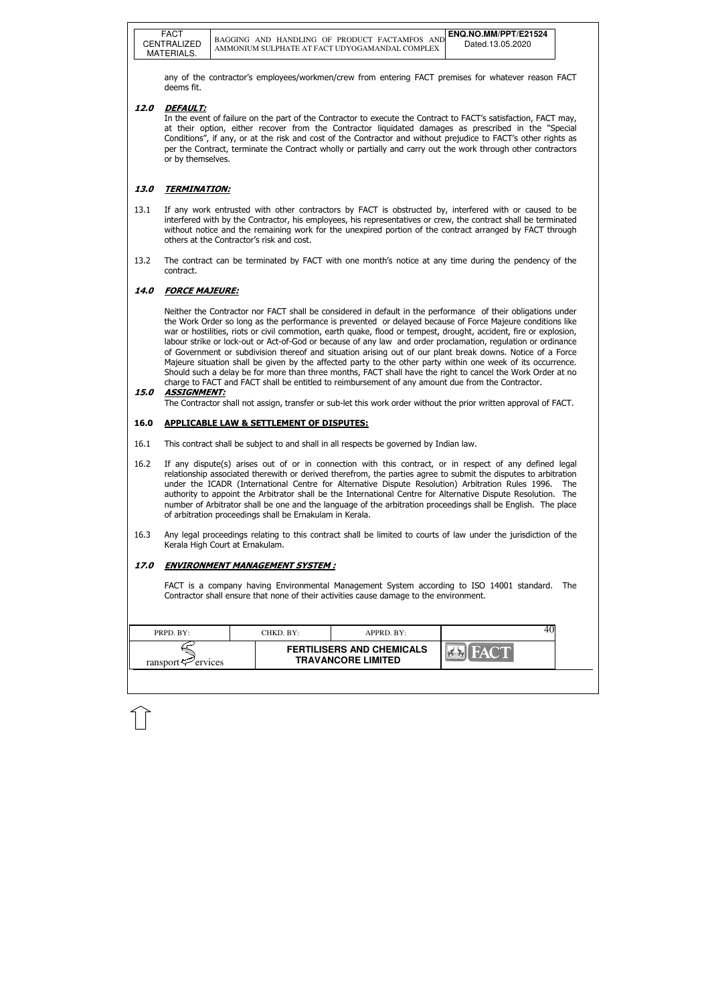| PRPD. BY:               | CHKD. BY: | APPRD. BY:                                                    |  |
|-------------------------|-----------|---------------------------------------------------------------|--|
| ransport $\leq$ ervices |           | <b>FERTILISERS AND CHEMICALS</b><br><b>TRAVANCORE LIMITED</b> |  |

any of the contractor's employees/workmen/crew from entering FACT premises for whatever reason FACT deems fit.

#### 12.0 DEFAULT:

 In the event of failure on the part of the Contractor to execute the Contract to FACT's satisfaction, FACT may, at their option, either recover from the Contractor liquidated damages as prescribed in the "Special Conditions", if any, or at the risk and cost of the Contractor and without prejudice to FACT's other rights as per the Contract, terminate the Contract wholly or partially and carry out the work through other contractors or by themselves.

#### 13.0 TERMINATION:

- 13.1 If any work entrusted with other contractors by FACT is obstructed by, interfered with or caused to be interfered with by the Contractor, his employees, his representatives or crew, the contract shall be terminated without notice and the remaining work for the unexpired portion of the contract arranged by FACT through others at the Contractor's risk and cost.
- 13.2 The contract can be terminated by FACT with one month's notice at any time during the pendency of the contract.

#### 14.0 FORCE MAJEURE:

 Neither the Contractor nor FACT shall be considered in default in the performance of their obligations under the Work Order so long as the performance is prevented or delayed because of Force Majeure conditions like war or hostilities, riots or civil commotion, earth quake, flood or tempest, drought, accident, fire or explosion, labour strike or lock-out or Act-of-God or because of any law and order proclamation, regulation or ordinance of Government or subdivision thereof and situation arising out of our plant break downs. Notice of a Force Majeure situation shall be given by the affected party to the other party within one week of its occurrence. Should such a delay be for more than three months, FACT shall have the right to cancel the Work Order at no charge to FACT and FACT shall be entitled to reimbursement of any amount due from the Contractor.

#### 15.0 ASSIGNMENT:

The Contractor shall not assign, transfer or sub-let this work order without the prior written approval of FACT.

#### 16.0 APPLICABLE LAW & SETTLEMENT OF DISPUTES:

- 16.1 This contract shall be subject to and shall in all respects be governed by Indian law.
- 16.2 If any dispute(s) arises out of or in connection with this contract, or in respect of any defined legal relationship associated therewith or derived therefrom, the parties agree to submit the disputes to arbitration under the ICADR (International Centre for Alternative Dispute Resolution) Arbitration Rules 1996. The authority to appoint the Arbitrator shall be the International Centre for Alternative Dispute Resolution. The number of Arbitrator shall be one and the language of the arbitration proceedings shall be English. The place of arbitration proceedings shall be Ernakulam in Kerala.
- 16.3 Any legal proceedings relating to this contract shall be limited to courts of law under the jurisdiction of the Kerala High Court at Ernakulam.

#### 17.0 ENVIRONMENT MANAGEMENT SYSTEM :

FACT is a company having Environmental Management System according to ISO 14001 standard. The Contractor shall ensure that none of their activities cause damage to the environment.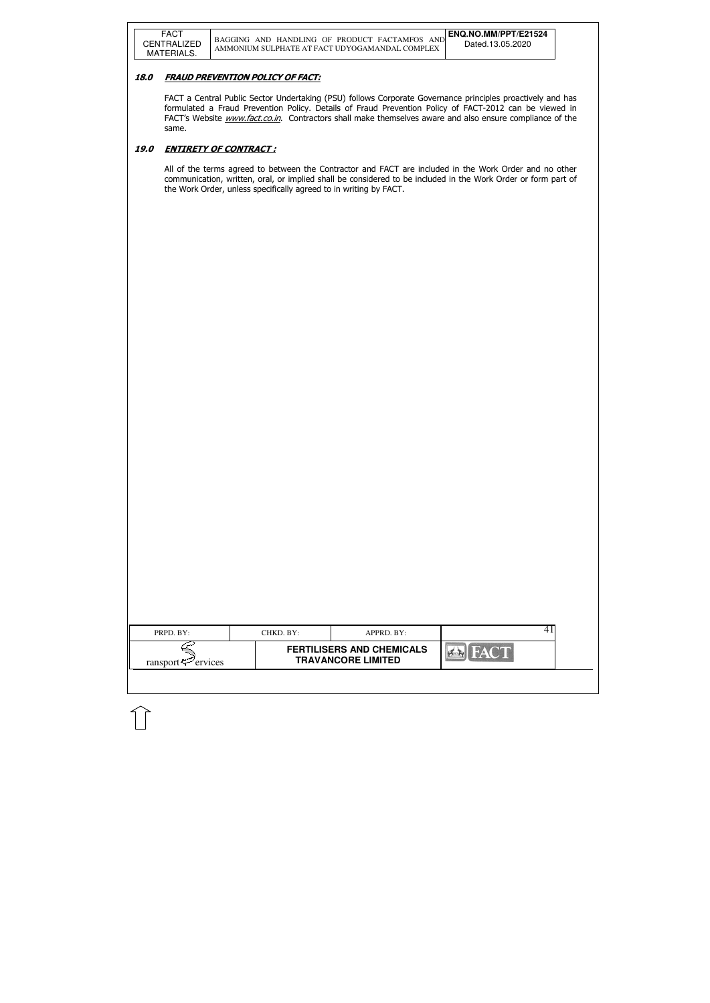### 18.0 FRAUD PREVENTION POLICY OF FACT:

|                                                         | PRPD. BY: | CHKD. BY:<br>APPRD. BY:          |  |
|---------------------------------------------------------|-----------|----------------------------------|--|
| <b>TRAVANCORE LIMITED</b><br>ransport $\approx$ ervices |           | <b>FERTILISERS AND CHEMICALS</b> |  |

FACT a Central Public Sector Undertaking (PSU) follows Corporate Governance principles proactively and has formulated a Fraud Prevention Policy. Details of Fraud Prevention Policy of FACT-2012 can be viewed in FACT's Website *www.fact.co.in*. Contractors shall make themselves aware and also ensure compliance of the same.

### 19.0 ENTIRETY OF CONTRACT :

All of the terms agreed to between the Contractor and FACT are included in the Work Order and no other communication, written, oral, or implied shall be considered to be included in the Work Order or form part of the Work Order, unless specifically agreed to in writing by FACT.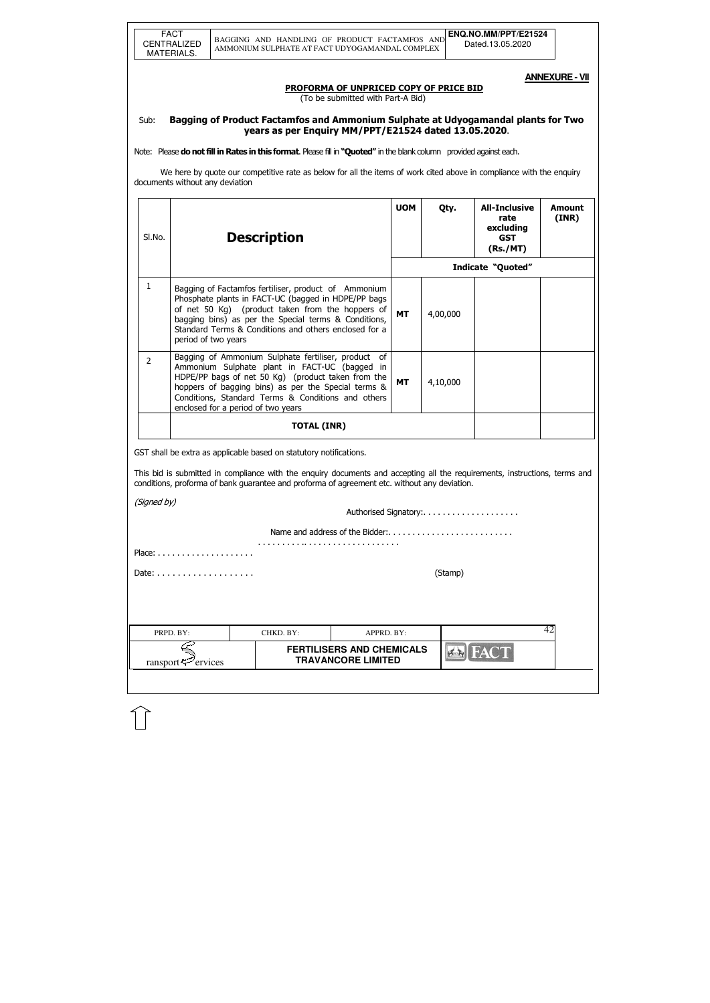**ANNEXURE - VII** 

#### PROFORMA OF UNPRICED COPY OF PRICE BID

(To be submitted with Part-A Bid)

### Sub: Bagging of Product Factamfos and Ammonium Sulphate at Udyogamandal plants for Two years as per Enquiry MM/PPT/E21524 dated 13.05.2020.

Note: Please do not fill in Rates in this format. Please fill in "Quoted" in the blank column provided against each.

 We here by quote our competitive rate as below for all the items of work cited above in compliance with the enquiry documents without any deviation

| SI.No.         |                                                                                                                                                                                                                                                                                                               | <b>Description</b>                                                                                                                                                                                                                                                                               | <b>UOM</b>                                                    | Qty.      | <b>All-Inclusive</b><br>rate<br>excluding<br><b>GST</b><br>(Rs./MT) | <b>Amount</b><br>(INR)   |    |  |  |
|----------------|---------------------------------------------------------------------------------------------------------------------------------------------------------------------------------------------------------------------------------------------------------------------------------------------------------------|--------------------------------------------------------------------------------------------------------------------------------------------------------------------------------------------------------------------------------------------------------------------------------------------------|---------------------------------------------------------------|-----------|---------------------------------------------------------------------|--------------------------|----|--|--|
|                |                                                                                                                                                                                                                                                                                                               |                                                                                                                                                                                                                                                                                                  |                                                               |           |                                                                     | <b>Indicate "Quoted"</b> |    |  |  |
| 1              | period of two years                                                                                                                                                                                                                                                                                           | Bagging of Factamfos fertiliser, product of Ammonium<br>Phosphate plants in FACT-UC (bagged in HDPE/PP bags<br>of net 50 Kg) (product taken from the hoppers of<br>bagging bins) as per the Special terms & Conditions,<br>Standard Terms & Conditions and others enclosed for a                 |                                                               | <b>MT</b> | 4,00,000                                                            |                          |    |  |  |
| $\overline{2}$ | Bagging of Ammonium Sulphate fertiliser, product of<br>Ammonium Sulphate plant in FACT-UC (bagged in<br>HDPE/PP bags of net 50 Kg) (product taken from the<br>hoppers of bagging bins) as per the Special terms &<br>Conditions, Standard Terms & Conditions and others<br>enclosed for a period of two years |                                                                                                                                                                                                                                                                                                  |                                                               |           |                                                                     |                          |    |  |  |
|                |                                                                                                                                                                                                                                                                                                               | <b>TOTAL (INR)</b>                                                                                                                                                                                                                                                                               |                                                               |           |                                                                     |                          |    |  |  |
|                |                                                                                                                                                                                                                                                                                                               | GST shall be extra as applicable based on statutory notifications.<br>This bid is submitted in compliance with the enquiry documents and accepting all the requirements, instructions, terms and<br>conditions, proforma of bank guarantee and proforma of agreement etc. without any deviation. |                                                               |           |                                                                     |                          |    |  |  |
| (Signed by)    |                                                                                                                                                                                                                                                                                                               |                                                                                                                                                                                                                                                                                                  |                                                               |           | Authorised Signatory:                                               |                          |    |  |  |
|                |                                                                                                                                                                                                                                                                                                               |                                                                                                                                                                                                                                                                                                  |                                                               |           |                                                                     |                          |    |  |  |
|                |                                                                                                                                                                                                                                                                                                               |                                                                                                                                                                                                                                                                                                  |                                                               |           |                                                                     |                          |    |  |  |
|                | (Stamp)                                                                                                                                                                                                                                                                                                       |                                                                                                                                                                                                                                                                                                  |                                                               |           |                                                                     |                          |    |  |  |
|                |                                                                                                                                                                                                                                                                                                               |                                                                                                                                                                                                                                                                                                  |                                                               |           |                                                                     |                          |    |  |  |
|                | PRPD. BY:                                                                                                                                                                                                                                                                                                     | CHKD. BY:                                                                                                                                                                                                                                                                                        | APPRD. BY:                                                    |           |                                                                     |                          | 42 |  |  |
|                | ransport $\leq$ ervices                                                                                                                                                                                                                                                                                       |                                                                                                                                                                                                                                                                                                  | <b>FERTILISERS AND CHEMICALS</b><br><b>TRAVANCORE LIMITED</b> |           | $\leq$                                                              | <b>IFACT</b>             |    |  |  |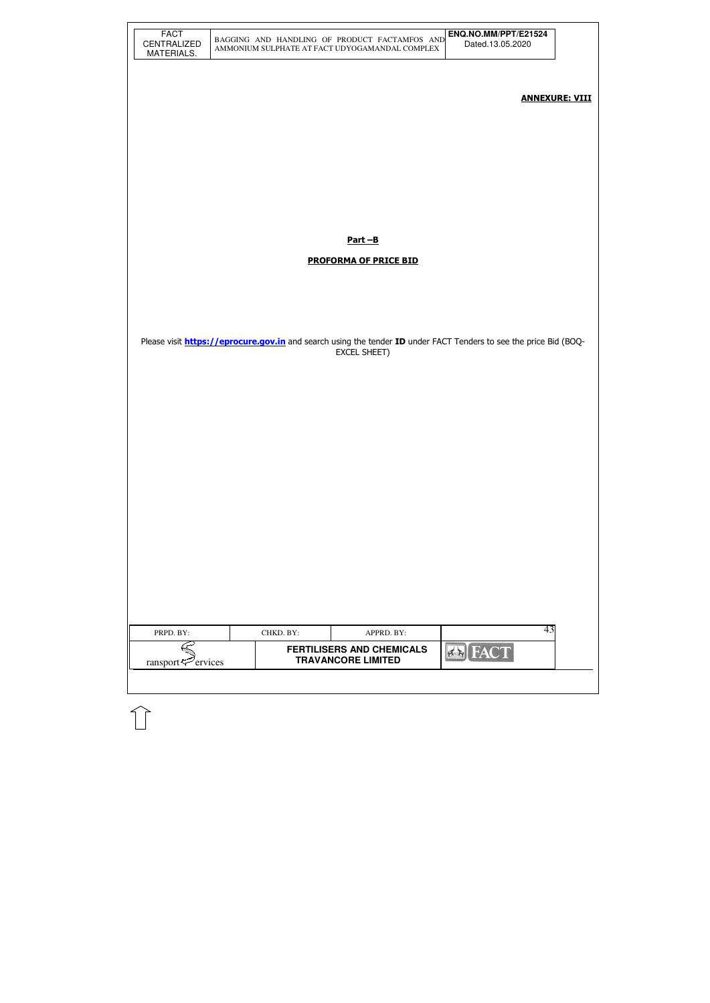| <b>FACT</b><br>CENTRALIZED<br>MATERIALS. |           | BAGGING AND HANDLING OF PRODUCT FACTAMFOS AND<br>AMMONIUM SULPHATE AT FACT UDYOGAMANDAL COMPLEX | ENQ.NO.MM/PPT/E21524<br>Dated.13.05.2020                                                                                 |                       |
|------------------------------------------|-----------|-------------------------------------------------------------------------------------------------|--------------------------------------------------------------------------------------------------------------------------|-----------------------|
|                                          |           |                                                                                                 |                                                                                                                          | <b>ANNEXURE: VIII</b> |
|                                          |           |                                                                                                 |                                                                                                                          |                       |
|                                          |           |                                                                                                 |                                                                                                                          |                       |
|                                          |           | $Part - B$                                                                                      |                                                                                                                          |                       |
|                                          |           | <b>PROFORMA OF PRICE BID</b>                                                                    |                                                                                                                          |                       |
|                                          |           |                                                                                                 |                                                                                                                          |                       |
|                                          |           | EXCEL SHEET)                                                                                    | Please visit <b>https://eprocure.gov.in</b> and search using the tender ID under FACT Tenders to see the price Bid (BOQ- |                       |
|                                          |           |                                                                                                 |                                                                                                                          |                       |
|                                          |           |                                                                                                 |                                                                                                                          |                       |
|                                          |           |                                                                                                 |                                                                                                                          |                       |
|                                          |           |                                                                                                 |                                                                                                                          |                       |
|                                          |           |                                                                                                 |                                                                                                                          |                       |
|                                          |           |                                                                                                 |                                                                                                                          |                       |
| PRPD. BY:                                | CHKD. BY: | APPRD. BY:                                                                                      | 43                                                                                                                       |                       |
| ransport <sup>52</sup> ervices           |           | <b>FERTILISERS AND CHEMICALS</b><br><b>TRAVANCORE LIMITED</b>                                   | <b>Ex FACT</b>                                                                                                           |                       |
|                                          |           |                                                                                                 |                                                                                                                          |                       |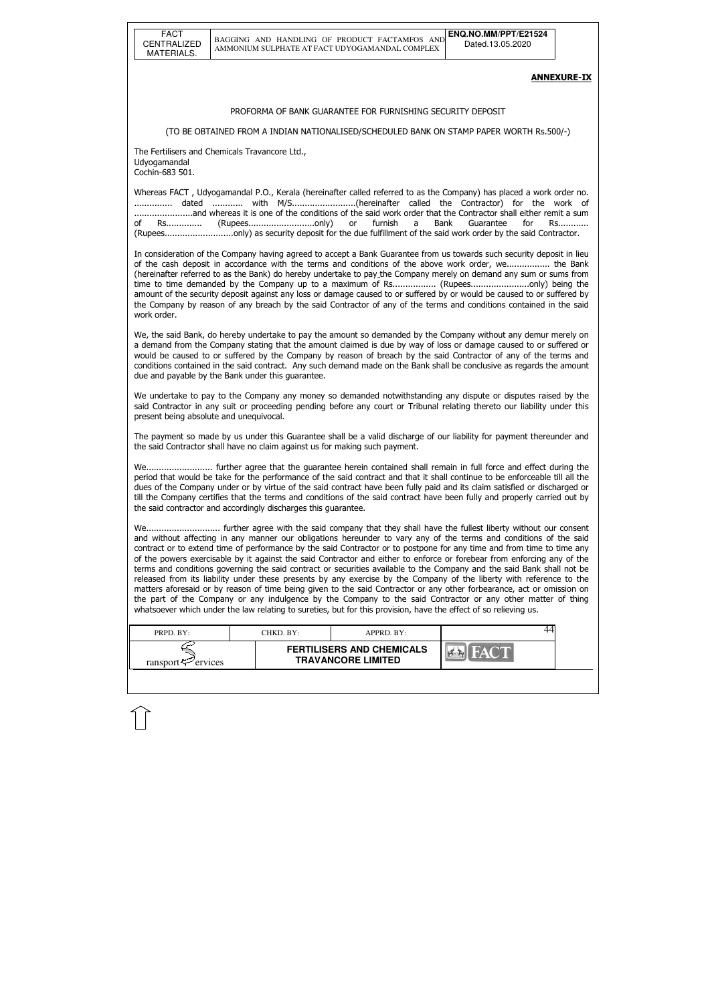| <b>FACT</b>        |
|--------------------|
| <b>CENTRALIZED</b> |
| MATERIALS.         |

| PRPD. BY:               | CHKD. BY: | $APPRD$ . BY:                                                 |  |
|-------------------------|-----------|---------------------------------------------------------------|--|
| ransport $\leq$ ervices |           | <b>FERTILISERS AND CHEMICALS</b><br><b>TRAVANCORE LIMITED</b> |  |

#### ANNEXURE-IX

#### PROFORMA OF BANK GUARANTEE FOR FURNISHING SECURITY DEPOSIT

(TO BE OBTAINED FROM A INDIAN NATIONALISED/SCHEDULED BANK ON STAMP PAPER WORTH Rs.500/-)

The Fertilisers and Chemicals Travancore Ltd., Udyogamandal Cochin-683 501.

Whereas FACT , Udyogamandal P.O., Kerala (hereinafter called referred to as the Company) has placed a work order no. ............... dated ............ with M/S.........................(hereinafter called the Contractor) for the work of .......................and whereas it is one of the conditions of the said work order that the Contractor shall either remit a sum of Rs.............. (Rupees..........................only) or furnish a Bank Guarantee for Rs............ (Rupees...........................only) as security deposit for the due fulfillment of the said work order by the said Contractor.

In consideration of the Company having agreed to accept a Bank Guarantee from us towards such security deposit in lieu of the cash deposit in accordance with the terms and conditions of the above work order, we................. the Bank (hereinafter referred to as the Bank) do hereby undertake to pay the Company merely on demand any sum or sums from time to time demanded by the Company up to a maximum of Rs.................. (Rupees..........................only) being the amount of the security deposit against any loss or damage caused to or suffered by or would be caused to or suffered by the Company by reason of any breach by the said Contractor of any of the terms and conditions contained in the said work order.

We, the said Bank, do hereby undertake to pay the amount so demanded by the Company without any demur merely on a demand from the Company stating that the amount claimed is due by way of loss or damage caused to or suffered or would be caused to or suffered by the Company by reason of breach by the said Contractor of any of the terms and conditions contained in the said contract. Any such demand made on the Bank shall be conclusive as regards the amount due and payable by the Bank under this guarantee.

We undertake to pay to the Company any money so demanded notwithstanding any dispute or disputes raised by the said Contractor in any suit or proceeding pending before any court or Tribunal relating thereto our liability under this present being absolute and unequivocal.

The payment so made by us under this Guarantee shall be a valid discharge of our liability for payment thereunder and the said Contractor shall have no claim against us for making such payment.

We.......................... further agree that the guarantee herein contained shall remain in full force and effect during the period that would be take for the performance of the said contract and that it shall continue to be enforceable till all the dues of the Company under or by virtue of the said contract have been fully paid and its claim satisfied or discharged or till the Company certifies that the terms and conditions of the said contract have been fully and properly carried out by the said contractor and accordingly discharges this guarantee.

We............................. further agree with the said company that they shall have the fullest liberty without our consent and without affecting in any manner our obligations hereunder to vary any of the terms and conditions of the said contract or to extend time of performance by the said Contractor or to postpone for any time and from time to time any of the powers exercisable by it against the said Contractor and either to enforce or forebear from enforcing any of the terms and conditions governing the said contract or securities available to the Company and the said Bank shall not be released from its liability under these presents by any exercise by the Company of the liberty with reference to the matters aforesaid or by reason of time being given to the said Contractor or any other forbearance, act or omission on the part of the Company or any indulgence by the Company to the said Contractor or any other matter of thing whatsoever which under the law relating to sureties, but for this provision, have the effect of so relieving us.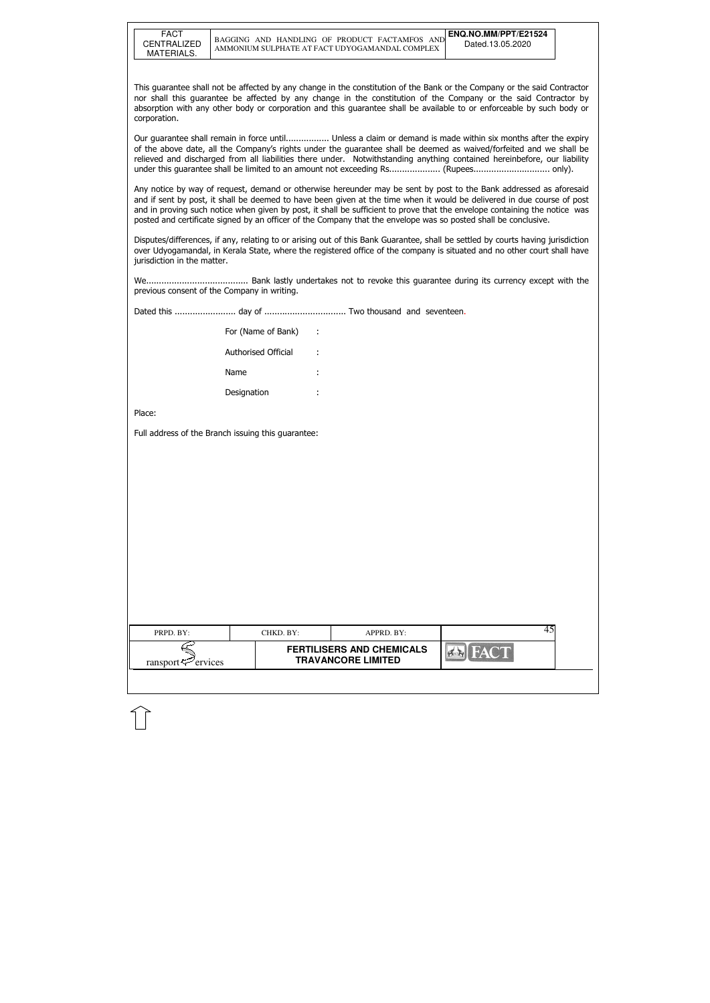| FACT        |
|-------------|
| CENTRALIZED |
| MATERIALS.  |

| PRPD. BY:               | CHKD. BY: | $APPRD$ . BY:                                                 |  |
|-------------------------|-----------|---------------------------------------------------------------|--|
| ransport $\leq$ ervices |           | <b>FERTILISERS AND CHEMICALS</b><br><b>TRAVANCORE LIMITED</b> |  |

This guarantee shall not be affected by any change in the constitution of the Bank or the Company or the said Contractor nor shall this guarantee be affected by any change in the constitution of the Company or the said Contractor by absorption with any other body or corporation and this guarantee shall be available to or enforceable by such body or corporation.

Our guarantee shall remain in force until................. Unless a claim or demand is made within six months after the expiry of the above date, all the Company's rights under the guarantee shall be deemed as waived/forfeited and we shall be relieved and discharged from all liabilities there under. Notwithstanding anything contained hereinbefore, our liability under this guarantee shall be limited to an amount not exceeding Rs.................... (Rupees.............................. only).

Any notice by way of request, demand or otherwise hereunder may be sent by post to the Bank addressed as aforesaid and if sent by post, it shall be deemed to have been given at the time when it would be delivered in due course of post and in proving such notice when given by post, it shall be sufficient to prove that the envelope containing the notice was posted and certificate signed by an officer of the Company that the envelope was so posted shall be conclusive.

Disputes/differences, if any, relating to or arising out of this Bank Guarantee, shall be settled by courts having jurisdiction over Udyogamandal, in Kerala State, where the registered office of the company is situated and no other court shall have jurisdiction in the matter.

We........................................ Bank lastly undertakes not to revoke this guarantee during its currency except with the previous consent of the Company in writing.

Dated this ........................ day of ................................ Two thousand and seventeen.

| For (Name of Bank)  |   |
|---------------------|---|
| Authorised Official |   |
| Name                | ٠ |
| Designation         |   |

Place:

Full address of the Branch issuing this guarantee: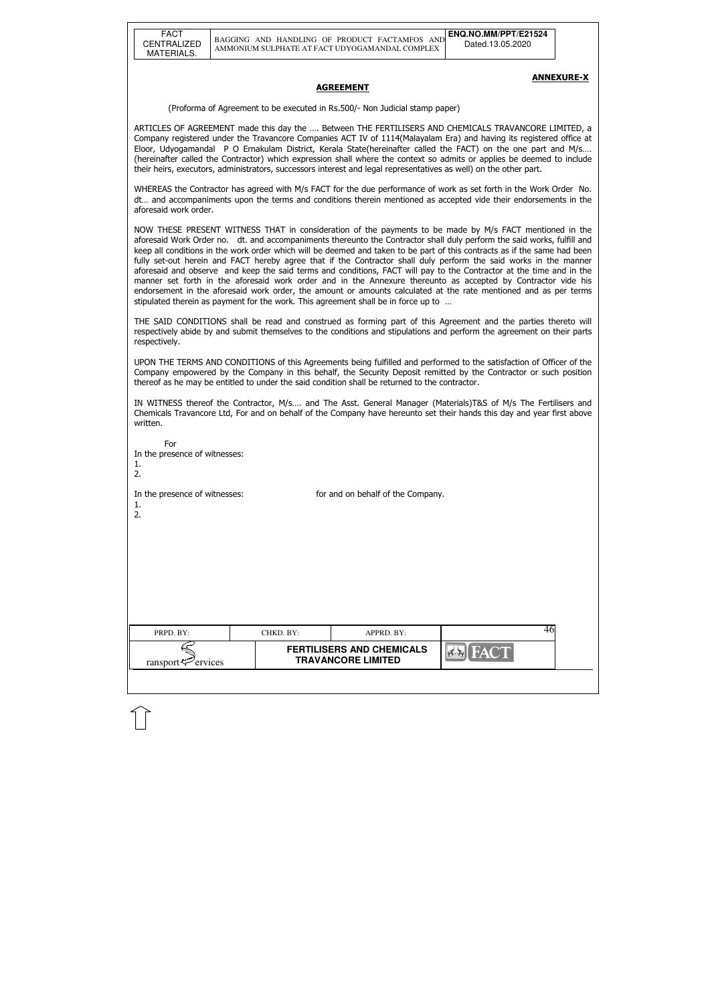#### ANNEXURE-X

#### **AGREEMENT**

(Proforma of Agreement to be executed in Rs.500/- Non Judicial stamp paper)

ARTICLES OF AGREEMENT made this day the …. Between THE FERTILISERS AND CHEMICALS TRAVANCORE LIMITED, a Company registered under the Travancore Companies ACT IV of 1114(Malayalam Era) and having its registered office at Eloor, Udyogamandal P O Ernakulam District, Kerala State(hereinafter called the FACT) on the one part and M/s…. (hereinafter called the Contractor) which expression shall where the context so admits or applies be deemed to include their heirs, executors, administrators, successors interest and legal representatives as well) on the other part.

WHEREAS the Contractor has agreed with M/s FACT for the due performance of work as set forth in the Work Order No. dt… and accompaniments upon the terms and conditions therein mentioned as accepted vide their endorsements in the aforesaid work order.

| For<br>In the presence of witnesses:<br>1.<br>2. |           |                                                               |                          |  |
|--------------------------------------------------|-----------|---------------------------------------------------------------|--------------------------|--|
| In the presence of witnesses:<br>1.<br>2.        |           | for and on behalf of the Company.                             |                          |  |
| PRPD. BY:                                        | CHKD. BY: | APPRD. BY:                                                    | 46                       |  |
| ervices<br>ransport                              |           | <b>FERTILISERS AND CHEMICALS</b><br><b>TRAVANCORE LIMITED</b> | $\mathbf{E}$<br>$\sigma$ |  |
|                                                  |           |                                                               |                          |  |

NOW THESE PRESENT WITNESS THAT in consideration of the payments to be made by M/s FACT mentioned in the aforesaid Work Order no. dt. and accompaniments thereunto the Contractor shall duly perform the said works, fulfill and keep all conditions in the work order which will be deemed and taken to be part of this contracts as if the same had been fully set-out herein and FACT hereby agree that if the Contractor shall duly perform the said works in the manner aforesaid and observe and keep the said terms and conditions, FACT will pay to the Contractor at the time and in the manner set forth in the aforesaid work order and in the Annexure thereunto as accepted by Contractor vide his endorsement in the aforesaid work order, the amount or amounts calculated at the rate mentioned and as per terms stipulated therein as payment for the work. This agreement shall be in force up to …

THE SAID CONDITIONS shall be read and construed as forming part of this Agreement and the parties thereto will respectively abide by and submit themselves to the conditions and stipulations and perform the agreement on their parts respectively.

UPON THE TERMS AND CONDITIONS of this Agreements being fulfilled and performed to the satisfaction of Officer of the Company empowered by the Company in this behalf, the Security Deposit remitted by the Contractor or such position thereof as he may be entitled to under the said condition shall be returned to the contractor.

IN WITNESS thereof the Contractor, M/s…. and The Asst. General Manager (Materials)T&S of M/s The Fertilisers and Chemicals Travancore Ltd, For and on behalf of the Company have hereunto set their hands this day and year first above written.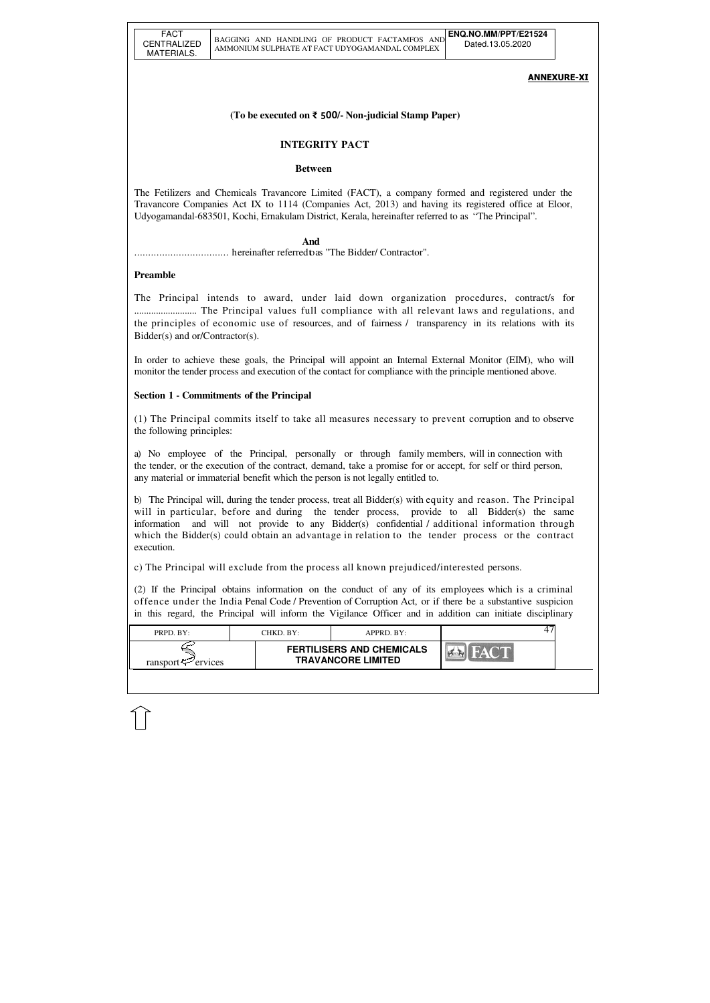| PRPD. BY:           | CHKD. BY:-                                                    | APPRD. BY: |  |
|---------------------|---------------------------------------------------------------|------------|--|
| ransport<br>ervices | <b>FERTILISERS AND CHEMICALS</b><br><b>TRAVANCORE LIMITED</b> |            |  |

## ANNEXURE-XI

### **(To be executed on** ₹ 500**/- Non-judicial Stamp Paper)**

## **INTEGRITY PACT**

#### **Between**

The Fetilizers and Chemicals Travancore Limited (FACT), a company formed and registered under the Travancore Companies Act IX to 1114 (Companies Act, 2013) and having its registered office at Eloor, Udyogamandal-683501, Kochi, Ernakulam District, Kerala, hereinafter referred to as "The Principal".

#### **And**

.................................. hereinafter referred to as "The Bidder/ Contractor".

### **Preamble**

The Principal intends to award, under laid down organization procedures, contract/s for .......................... The Principal values full compliance with all relevant laws and regulations, and the principles of economic use of resources, and of fairness / transparency in its relations with its Bidder(s) and or/Contractor(s).

In order to achieve these goals, the Principal will appoint an Internal External Monitor (EIM), who will monitor the tender process and execution of the contact for compliance with the principle mentioned above.

### **Section 1 - Commitments of the Principal**

(1) The Principal commits itself to take all measures necessary to prevent corruption and to observe the following principles:

a) No employee of the Principal, personally or through family members, will in connection with the tender, or the execution of the contract, demand, take a promise for or accept, for self or third person, any material or immaterial benefit which the person is not legally entitled to.

b) The Principal will, during the tender process, treat all Bidder(s) with equity and reason. The Principal will in particular, before and during the tender process, provide to all Bidder(s) the same information and will not provide to any Bidder(s) confidential / additional information through which the Bidder(s) could obtain an advantage in relation to the tender process or the contract execution.

c) The Principal will exclude from the process all known prejudiced/interested persons.

(2) If the Principal obtains information on the conduct of any of its employees which is a criminal offence under the India Penal Code / Prevention of Corruption Act, or if there be a substantive suspicion in this regard, the Principal will inform the Vigilance Officer and in addition can initiate disciplinary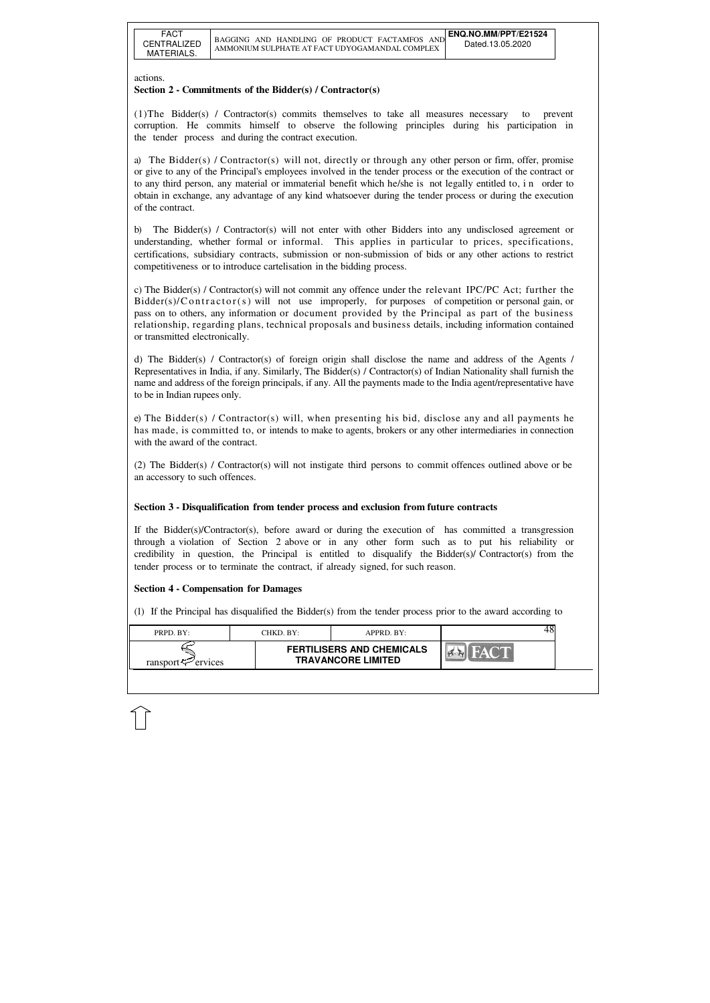| PRPD BY:            | CHKD. BY:- | $APPRD$ $BY:$                                                 |  |
|---------------------|------------|---------------------------------------------------------------|--|
| ransport<br>ervices |            | <b>FERTILISERS AND CHEMICALS</b><br><b>TRAVANCORE LIMITED</b> |  |

#### actions.

### **Section 2 - Commitments of the Bidder(s) / Contractor(s)**

(1)The Bidder(s) / Contractor(s) commits themselves to take all measures necessary to prevent corruption. He commits himself to observe the following principles during his participation in the tender process and during the contract execution.

a) The Bidder(s) / Contractor(s) will not, directly or through any other person or firm, offer, promise or give to any of the Principal's employees involved in the tender process or the execution of the contract or to any third person, any material or immaterial benefit which he/she is not legally entitled to, i n order to obtain in exchange, any advantage of any kind whatsoever during the tender process or during the execution of the contract.

b) The Bidder(s) / Contractor(s) will not enter with other Bidders into any undisclosed agreement or understanding, whether formal or informal. This applies in particular to prices, specifications, certifications, subsidiary contracts, submission or non-submission of bids or any other actions to restrict competitiveness or to introduce cartelisation in the bidding process.

c) The Bidder(s) / Contractor(s) will not commit any offence under the relevant IPC/PC Act; further the  $Bidder(s)/Contractor(s)$  will not use improperly, for purposes of competition or personal gain, or pass on to others, any information or document provided by the Principal as part of the business relationship, regarding plans, technical proposals and business details, including information contained or transmitted electronically.

d) The Bidder(s) / Contractor(s) of foreign origin shall disclose the name and address of the Agents / Representatives in India, if any. Similarly, The Bidder(s) / Contractor(s) of Indian Nationality shall furnish the name and address of the foreign principals, if any. All the payments made to the India agent/representative have to be in Indian rupees only.

e) The Bidder(s) / Contractor(s) will, when presenting his bid, disclose any and all payments he has made, is committed to, or intends to make to agents, brokers or any other intermediaries in connection with the award of the contract.

(2) The Bidder(s) / Contractor(s) will not instigate third persons to commit offences outlined above or be an accessory to such offences.

### **Section 3 - Disqualification from tender process and exclusion from future contracts**

If the Bidder(s)/Contractor(s), before award or during the execution of has committed a transgression through a violation of Section 2 above or in any other form such as to put his reliability or credibility in question, the Principal is entitled to disqualify the Bidder(s)/ Contractor(s) from the tender process or to terminate the contract, if already signed, for such reason.

### **Section 4 - Compensation for Damages**

(1) If the Principal has disqualified the Bidder(s) from the tender process prior to the award according to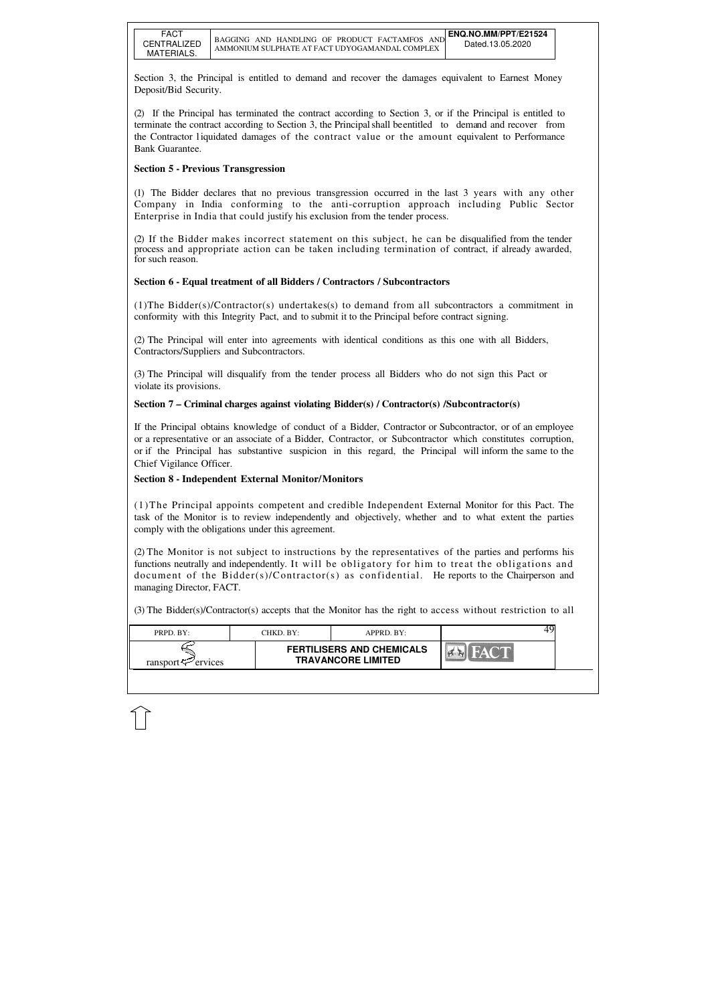| PRPD. BY:                     | CHKD. BY:- | $APPRD$ . BY:                                                 |  |  |
|-------------------------------|------------|---------------------------------------------------------------|--|--|
| ransport $\leftarrow$ ervices |            | <b>FERTILISERS AND CHEMICALS</b><br><b>TRAVANCORE LIMITED</b> |  |  |

Section 3, the Principal is entitled to demand and recover the damages equivalent to Earnest Money Deposit/Bid Security.

(2) If the Principal has terminated the contract according to Section 3, or if the Principal is entitled to terminate the contract according to Section 3, the Principal shall be entitled to demand and recover from the Contractor l iquidated damages of the contract value or the amount equivalent to Performance Bank Guarantee.

## **Section 5 - Previous Transgression**

(1) The Bidder declares that no previous transgression occurred in the last 3 years with any other Company in India conforming to the anti-corruption approach including Public Sector Enterprise in India that could justify his exclusion from the tender process.

(2) If the Bidder makes incorrect statement on this subject, he can be disqualified from the tender process and appropriate action can be taken including termination of contract, if already awarded, for such reason.

## **Section 6 - Equal treatment of all Bidders / Contractors / Subcontractors**

(1)The Bidder(s)/Contractor(s) undertakes(s) to demand from all subcontractors a commitment in conformity with this Integrity Pact, and to submit it to the Principal before contract signing.

(2) The Principal will enter into agreements with identical conditions as this one with all Bidders, Contractors/Suppliers and Subcontractors.

(3) The Principal will disqualify from the tender process all Bidders who do not sign this Pact or violate its provisions.

### **Section 7 – Criminal charges against violating Bidder(s) / Contractor(s) /Subcontractor(s)**

If the Principal obtains knowledge of conduct of a Bidder, Contractor or Subcontractor, or of an employee or a representative or an associate of a Bidder, Contractor, or Subcontractor which constitutes corruption, or if the Principal has substantive suspicion in this regard, the Principal will inform the same to the Chief Vigilance Officer.

### **Section 8 - Independent External Monitor/Monitors**

(1)The Principal appoints competent and credible Independent External Monitor for this Pact. The task of the Monitor is to review independently and objectively, whether and to what extent the parties comply with the obligations under this agreement.

(2) The Monitor is not subject to instructions by the representatives of the parties and performs his functions neutrally and independently. It will be obligatory for him to treat the obligations and document of the Bidder(s)/Contractor(s) as confidential. He reports to the Chairperson and managing Director, FACT.

(3) The Bidder(s)/Contractor(s) accepts that the Monitor has the right to access without restriction to all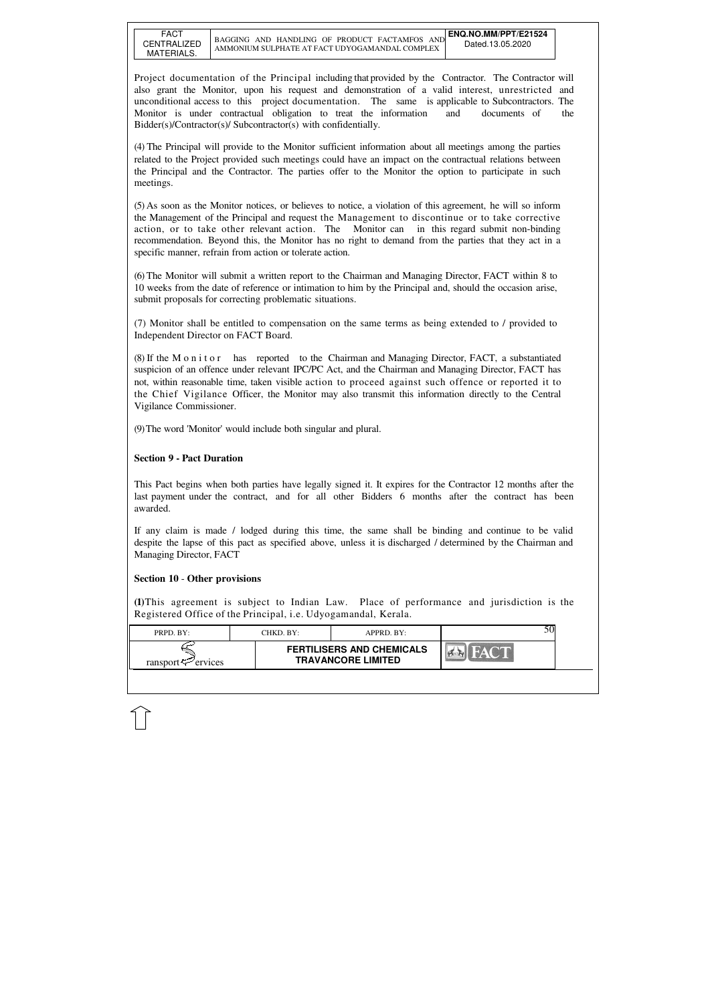| $PRPD$ $BY:$            | CHKD. BY:- | APPRD. BY:                                                    |  |  |
|-------------------------|------------|---------------------------------------------------------------|--|--|
| ransport $\leq$ ervices |            | <b>FERTILISERS AND CHEMICALS</b><br><b>TRAVANCORE LIMITED</b> |  |  |

Project documentation of the Principal including that provided by the Contractor. The Contractor will also grant the Monitor, upon his request and demonstration of a valid interest, unrestricted and unconditional access to this project documentation. The same is applicable to Subcontractors. The Monitor is under contractual obligation to treat the information and documents of the Bidder(s)/Contractor(s)/ Subcontractor(s) with confidentially.

(5) As soon as the Monitor notices, or believes to notice, a violation of this agreement, he will so inform the Management of the Principal and request the Management to discontinue or to take corrective action, or to take other relevant action. The Monitor can in this regard submit non-binding recommendation. Beyond this, the Monitor has no right to demand from the parties that they act in a specific manner, refrain from action or tolerate action.

(4) The Principal will provide to the Monitor sufficient information about all meetings among the parties related to the Project provided such meetings could have an impact on the contractual relations between the Principal and the Contractor. The parties offer to the Monitor the option to participate in such meetings.

(6) The Monitor will submit a written report to the Chairman and Managing Director, FACT within 8 to 10 weeks from the date of reference or intimation to him by the Principal and, should the occasion arise, submit proposals for correcting problematic situations.

(7) Monitor shall be entitled to compensation on the same terms as being extended to / provided to Independent Director on FACT Board.

(8) If the M o n i t o r has reported to the Chairman and Managing Director, FACT, a substantiated suspicion of an offence under relevant IPC/PC Act, and the Chairman and Managing Director, FACT has not, within reasonable time, taken visible action to proceed against such offence or reported it to the Chief Vigilance Officer, the Monitor may also transmit this information directly to the Central Vigilance Commissioner.

(9) The word 'Monitor' would include both singular and plural.

### **Section 9 - Pact Duration**

This Pact begins when both parties have legally signed it. It expires for the Contractor 12 months after the last payment under the contract, and for all other Bidders 6 months after the contract has been awarded.

If any claim is made / lodged during this time, the same shall be binding and continue to be valid despite the lapse of this pact as specified above, unless it is discharged / determined by the Chairman and Managing Director, FACT

#### **Section 10** - **Other provisions**

**(1)**This agreement is subject to Indian Law. Place of performance and jurisdiction is the Registered Office of the Principal, i.e. Udyogamandal, Kerala.